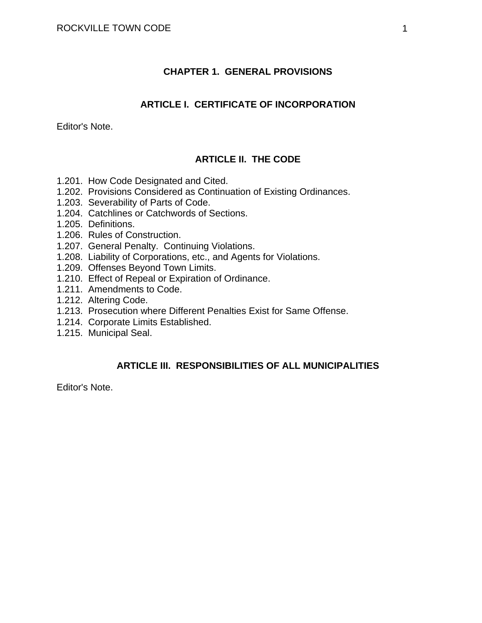#### **CHAPTER 1. GENERAL PROVISIONS**

#### **ARTICLE I. CERTIFICATE OF INCORPORATION**

Editor's Note.

#### **ARTICLE II. THE CODE**

- 1.201. How Code Designated and Cited.
- 1.202. Provisions Considered as Continuation of Existing Ordinances.
- 1.203. Severability of Parts of Code.
- 1.204. Catchlines or Catchwords of Sections.
- 1.205. Definitions.
- 1.206. Rules of Construction.
- 1.207. General Penalty. Continuing Violations.
- 1.208. Liability of Corporations, etc., and Agents for Violations.
- 1.209. Offenses Beyond Town Limits.
- 1.210. Effect of Repeal or Expiration of Ordinance.
- 1.211. Amendments to Code.
- 1.212. Altering Code.
- 1.213. Prosecution where Different Penalties Exist for Same Offense.
- 1.214. Corporate Limits Established.
- 1.215. Municipal Seal.

# **ARTICLE III. RESPONSIBILITIES OF ALL MUNICIPALITIES**

Editor's Note.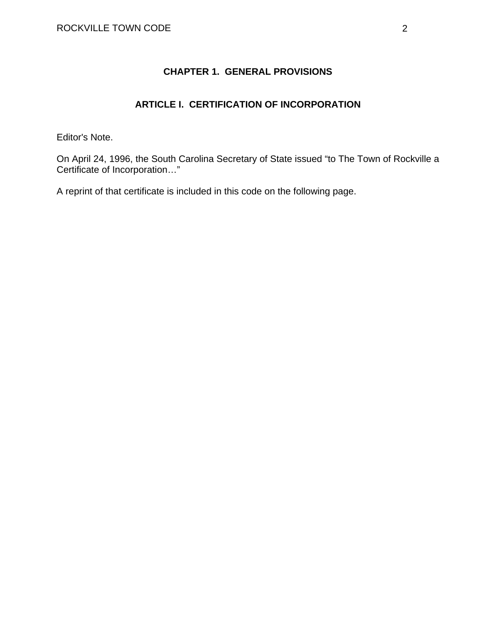# **CHAPTER 1. GENERAL PROVISIONS**

## **ARTICLE I. CERTIFICATION OF INCORPORATION**

Editor's Note.

On April 24, 1996, the South Carolina Secretary of State issued "to The Town of Rockville a Certificate of Incorporation…"

A reprint of that certificate is included in this code on the following page.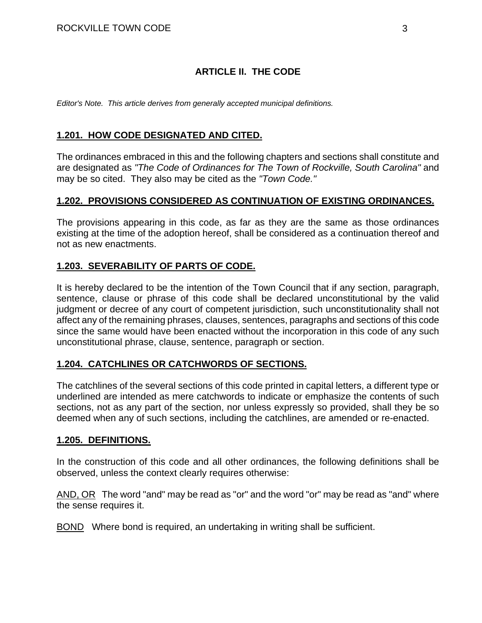## **ARTICLE II. THE CODE**

*Editor's Note. This article derives from generally accepted municipal definitions.* 

#### **1.201. HOW CODE DESIGNATED AND CITED.**

The ordinances embraced in this and the following chapters and sections shall constitute and are designated as *"The Code of Ordinances for The Town of Rockville, South Carolina"* and may be so cited. They also may be cited as the *"Town Code."*

#### **1.202. PROVISIONS CONSIDERED AS CONTINUATION OF EXISTING ORDINANCES.**

The provisions appearing in this code, as far as they are the same as those ordinances existing at the time of the adoption hereof, shall be considered as a continuation thereof and not as new enactments.

#### **1.203. SEVERABILITY OF PARTS OF CODE.**

It is hereby declared to be the intention of the Town Council that if any section, paragraph, sentence, clause or phrase of this code shall be declared unconstitutional by the valid judgment or decree of any court of competent jurisdiction, such unconstitutionality shall not affect any of the remaining phrases, clauses, sentences, paragraphs and sections of this code since the same would have been enacted without the incorporation in this code of any such unconstitutional phrase, clause, sentence, paragraph or section.

#### **1.204. CATCHLINES OR CATCHWORDS OF SECTIONS.**

The catchlines of the several sections of this code printed in capital letters, a different type or underlined are intended as mere catchwords to indicate or emphasize the contents of such sections, not as any part of the section, nor unless expressly so provided, shall they be so deemed when any of such sections, including the catchlines, are amended or re-enacted.

#### **1.205. DEFINITIONS.**

In the construction of this code and all other ordinances, the following definitions shall be observed, unless the context clearly requires otherwise:

AND, OR The word "and" may be read as "or" and the word "or" may be read as "and" where the sense requires it.

BOND Where bond is required, an undertaking in writing shall be sufficient.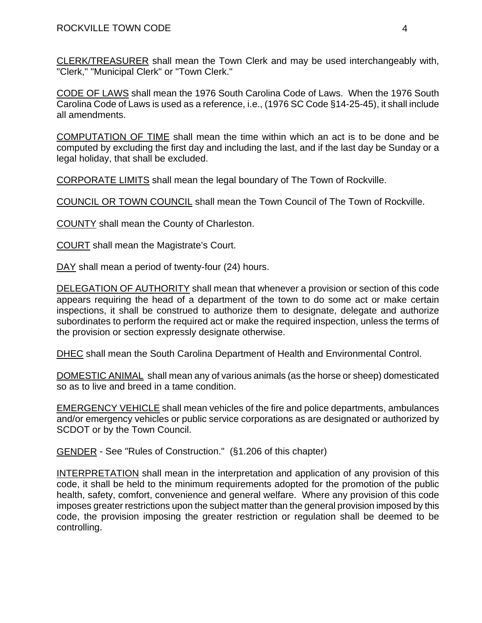CLERK/TREASURER shall mean the Town Clerk and may be used interchangeably with, "Clerk," "Municipal Clerk" or "Town Clerk."

CODE OF LAWS shall mean the 1976 South Carolina Code of Laws. When the 1976 South Carolina Code of Laws is used as a reference, i.e., (1976 SC Code §14-25-45), it shall include all amendments.

COMPUTATION OF TIME shall mean the time within which an act is to be done and be computed by excluding the first day and including the last, and if the last day be Sunday or a legal holiday, that shall be excluded.

CORPORATE LIMITS shall mean the legal boundary of The Town of Rockville.

COUNCIL OR TOWN COUNCIL shall mean the Town Council of The Town of Rockville.

COUNTY shall mean the County of Charleston.

COURT shall mean the Magistrate's Court.

DAY shall mean a period of twenty-four (24) hours.

DELEGATION OF AUTHORITY shall mean that whenever a provision or section of this code appears requiring the head of a department of the town to do some act or make certain inspections, it shall be construed to authorize them to designate, delegate and authorize subordinates to perform the required act or make the required inspection, unless the terms of the provision or section expressly designate otherwise.

DHEC shall mean the South Carolina Department of Health and Environmental Control.

DOMESTIC ANIMAL shall mean any of various animals (as the horse or sheep) domesticated so as to live and breed in a tame condition.

EMERGENCY VEHICLE shall mean vehicles of the fire and police departments, ambulances and/or emergency vehicles or public service corporations as are designated or authorized by SCDOT or by the Town Council.

GENDER - See "Rules of Construction." (§1.206 of this chapter)

INTERPRETATION shall mean in the interpretation and application of any provision of this code, it shall be held to the minimum requirements adopted for the promotion of the public health, safety, comfort, convenience and general welfare. Where any provision of this code imposes greater restrictions upon the subject matter than the general provision imposed by this code, the provision imposing the greater restriction or regulation shall be deemed to be controlling.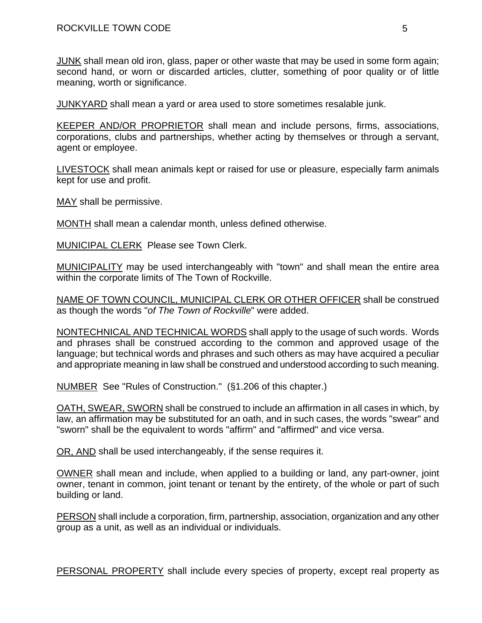JUNK shall mean old iron, glass, paper or other waste that may be used in some form again; second hand, or worn or discarded articles, clutter, something of poor quality or of little meaning, worth or significance.

JUNKYARD shall mean a yard or area used to store sometimes resalable junk.

KEEPER AND/OR PROPRIETOR shall mean and include persons, firms, associations, corporations, clubs and partnerships, whether acting by themselves or through a servant, agent or employee.

LIVESTOCK shall mean animals kept or raised for use or pleasure, especially farm animals kept for use and profit.

MAY shall be permissive.

MONTH shall mean a calendar month, unless defined otherwise.

MUNICIPAL CLERK Please see Town Clerk.

MUNICIPALITY may be used interchangeably with "town" and shall mean the entire area within the corporate limits of The Town of Rockville.

NAME OF TOWN COUNCIL, MUNICIPAL CLERK OR OTHER OFFICER shall be construed as though the words "*of The Town of Rockville*" were added.

NONTECHNICAL AND TECHNICAL WORDS shall apply to the usage of such words. Words and phrases shall be construed according to the common and approved usage of the language; but technical words and phrases and such others as may have acquired a peculiar and appropriate meaning in law shall be construed and understood according to such meaning.

NUMBER See "Rules of Construction." (§1.206 of this chapter.)

OATH, SWEAR, SWORN shall be construed to include an affirmation in all cases in which, by law, an affirmation may be substituted for an oath, and in such cases, the words "swear" and "sworn" shall be the equivalent to words "affirm" and "affirmed" and vice versa.

OR, AND shall be used interchangeably, if the sense requires it.

OWNER shall mean and include, when applied to a building or land, any part-owner, joint owner, tenant in common, joint tenant or tenant by the entirety, of the whole or part of such building or land.

PERSON shall include a corporation, firm, partnership, association, organization and any other group as a unit, as well as an individual or individuals.

PERSONAL PROPERTY shall include every species of property, except real property as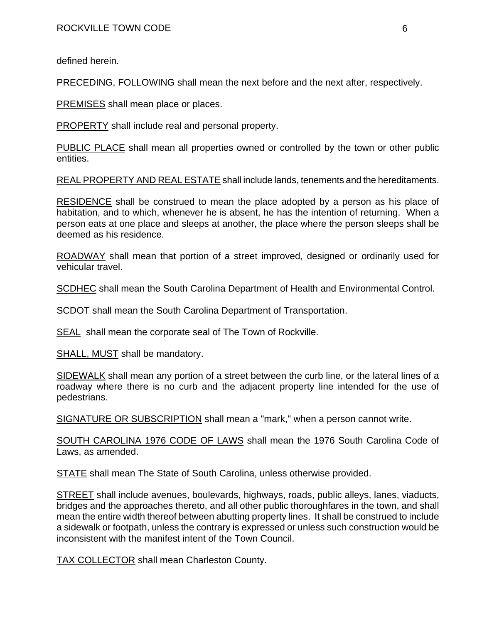defined herein.

PRECEDING, FOLLOWING shall mean the next before and the next after, respectively.

PREMISES shall mean place or places.

PROPERTY shall include real and personal property.

PUBLIC PLACE shall mean all properties owned or controlled by the town or other public entities.

REAL PROPERTY AND REAL ESTATE shall include lands, tenements and the hereditaments.

RESIDENCE shall be construed to mean the place adopted by a person as his place of habitation, and to which, whenever he is absent, he has the intention of returning. When a person eats at one place and sleeps at another, the place where the person sleeps shall be deemed as his residence.

ROADWAY shall mean that portion of a street improved, designed or ordinarily used for vehicular travel.

SCDHEC shall mean the South Carolina Department of Health and Environmental Control.

SCDOT shall mean the South Carolina Department of Transportation.

SEAL shall mean the corporate seal of The Town of Rockville.

SHALL, MUST shall be mandatory.

SIDEWALK shall mean any portion of a street between the curb line, or the lateral lines of a roadway where there is no curb and the adjacent property line intended for the use of pedestrians.

SIGNATURE OR SUBSCRIPTION shall mean a "mark," when a person cannot write.

SOUTH CAROLINA 1976 CODE OF LAWS shall mean the 1976 South Carolina Code of Laws, as amended.

STATE shall mean The State of South Carolina, unless otherwise provided.

STREET shall include avenues, boulevards, highways, roads, public alleys, lanes, viaducts, bridges and the approaches thereto, and all other public thoroughfares in the town, and shall mean the entire width thereof between abutting property lines. It shall be construed to include a sidewalk or footpath, unless the contrary is expressed or unless such construction would be inconsistent with the manifest intent of the Town Council.

TAX COLLECTOR shall mean Charleston County.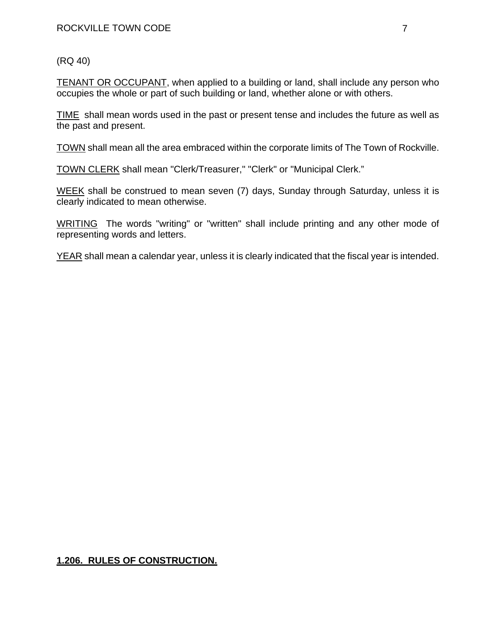(RQ 40)

TENANT OR OCCUPANT, when applied to a building or land, shall include any person who occupies the whole or part of such building or land, whether alone or with others.

TIME shall mean words used in the past or present tense and includes the future as well as the past and present.

TOWN shall mean all the area embraced within the corporate limits of The Town of Rockville.

TOWN CLERK shall mean "Clerk/Treasurer," "Clerk" or "Municipal Clerk."

WEEK shall be construed to mean seven (7) days, Sunday through Saturday, unless it is clearly indicated to mean otherwise.

WRITING The words "writing" or "written" shall include printing and any other mode of representing words and letters.

YEAR shall mean a calendar year, unless it is clearly indicated that the fiscal year is intended.

# **1.206. RULES OF CONSTRUCTION.**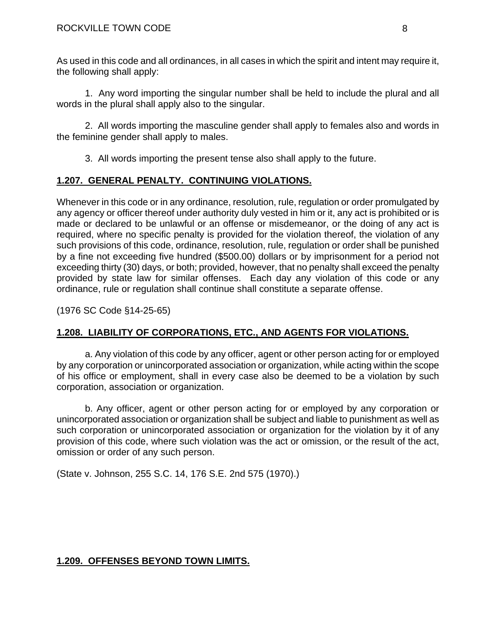As used in this code and all ordinances, in all cases in which the spirit and intent may require it, the following shall apply:

1. Any word importing the singular number shall be held to include the plural and all words in the plural shall apply also to the singular.

2. All words importing the masculine gender shall apply to females also and words in the feminine gender shall apply to males.

3. All words importing the present tense also shall apply to the future.

## **1.207. GENERAL PENALTY. CONTINUING VIOLATIONS.**

Whenever in this code or in any ordinance, resolution, rule, regulation or order promulgated by any agency or officer thereof under authority duly vested in him or it, any act is prohibited or is made or declared to be unlawful or an offense or misdemeanor, or the doing of any act is required, where no specific penalty is provided for the violation thereof, the violation of any such provisions of this code, ordinance, resolution, rule, regulation or order shall be punished by a fine not exceeding five hundred (\$500.00) dollars or by imprisonment for a period not exceeding thirty (30) days, or both; provided, however, that no penalty shall exceed the penalty provided by state law for similar offenses. Each day any violation of this code or any ordinance, rule or regulation shall continue shall constitute a separate offense.

(1976 SC Code §14-25-65)

# **1.208. LIABILITY OF CORPORATIONS, ETC., AND AGENTS FOR VIOLATIONS.**

a. Any violation of this code by any officer, agent or other person acting for or employed by any corporation or unincorporated association or organization, while acting within the scope of his office or employment, shall in every case also be deemed to be a violation by such corporation, association or organization.

b. Any officer, agent or other person acting for or employed by any corporation or unincorporated association or organization shall be subject and liable to punishment as well as such corporation or unincorporated association or organization for the violation by it of any provision of this code, where such violation was the act or omission, or the result of the act, omission or order of any such person.

(State v. Johnson, 255 S.C. 14, 176 S.E. 2nd 575 (1970).)

## **1.209. OFFENSES BEYOND TOWN LIMITS.**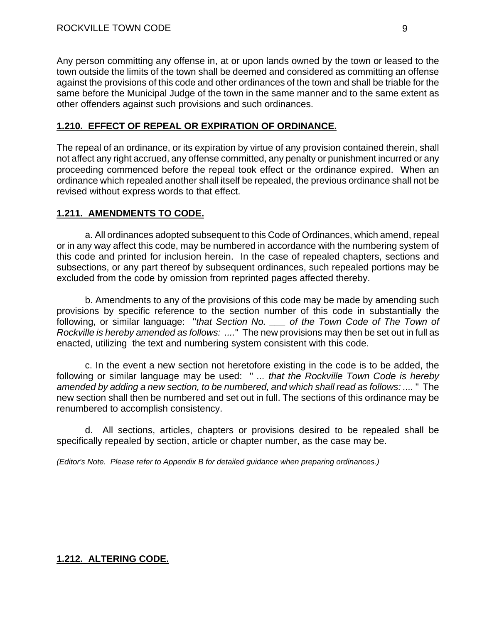Any person committing any offense in, at or upon lands owned by the town or leased to the town outside the limits of the town shall be deemed and considered as committing an offense against the provisions of this code and other ordinances of the town and shall be triable for the same before the Municipal Judge of the town in the same manner and to the same extent as other offenders against such provisions and such ordinances.

## **1.210. EFFECT OF REPEAL OR EXPIRATION OF ORDINANCE.**

The repeal of an ordinance, or its expiration by virtue of any provision contained therein, shall not affect any right accrued, any offense committed, any penalty or punishment incurred or any proceeding commenced before the repeal took effect or the ordinance expired. When an ordinance which repealed another shall itself be repealed, the previous ordinance shall not be revised without express words to that effect.

## **1.211. AMENDMENTS TO CODE.**

a. All ordinances adopted subsequent to this Code of Ordinances, which amend, repeal or in any way affect this code, may be numbered in accordance with the numbering system of this code and printed for inclusion herein. In the case of repealed chapters, sections and subsections, or any part thereof by subsequent ordinances, such repealed portions may be excluded from the code by omission from reprinted pages affected thereby.

b. Amendments to any of the provisions of this code may be made by amending such provisions by specific reference to the section number of this code in substantially the following, or similar language: "*that Section No. \_\_\_ of the Town Code of The Town of Rockville is hereby amended as follows: ....*" The new provisions may then be set out in full as enacted, utilizing the text and numbering system consistent with this code.

c. In the event a new section not heretofore existing in the code is to be added, the following or similar language may be used: " *... that the Rockville Town Code is hereby amended by adding a new section, to be numbered, and which shall read as follows: ....* " The new section shall then be numbered and set out in full. The sections of this ordinance may be renumbered to accomplish consistency.

d. All sections, articles, chapters or provisions desired to be repealed shall be specifically repealed by section, article or chapter number, as the case may be.

*(Editor's Note. Please refer to Appendix B for detailed guidance when preparing ordinances.)* 

## **1.212. ALTERING CODE.**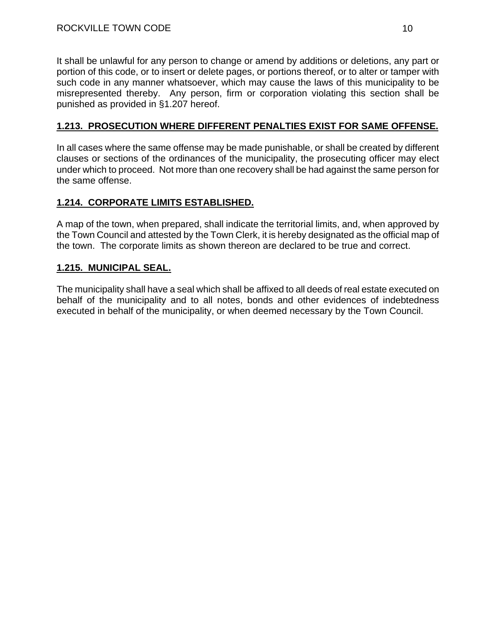It shall be unlawful for any person to change or amend by additions or deletions, any part or portion of this code, or to insert or delete pages, or portions thereof, or to alter or tamper with such code in any manner whatsoever, which may cause the laws of this municipality to be misrepresented thereby. Any person, firm or corporation violating this section shall be punished as provided in §1.207 hereof.

## **1.213. PROSECUTION WHERE DIFFERENT PENALTIES EXIST FOR SAME OFFENSE.**

In all cases where the same offense may be made punishable, or shall be created by different clauses or sections of the ordinances of the municipality, the prosecuting officer may elect under which to proceed. Not more than one recovery shall be had against the same person for the same offense.

## **1.214. CORPORATE LIMITS ESTABLISHED.**

A map of the town, when prepared, shall indicate the territorial limits, and, when approved by the Town Council and attested by the Town Clerk, it is hereby designated as the official map of the town. The corporate limits as shown thereon are declared to be true and correct.

## **1.215. MUNICIPAL SEAL.**

The municipality shall have a seal which shall be affixed to all deeds of real estate executed on behalf of the municipality and to all notes, bonds and other evidences of indebtedness executed in behalf of the municipality, or when deemed necessary by the Town Council.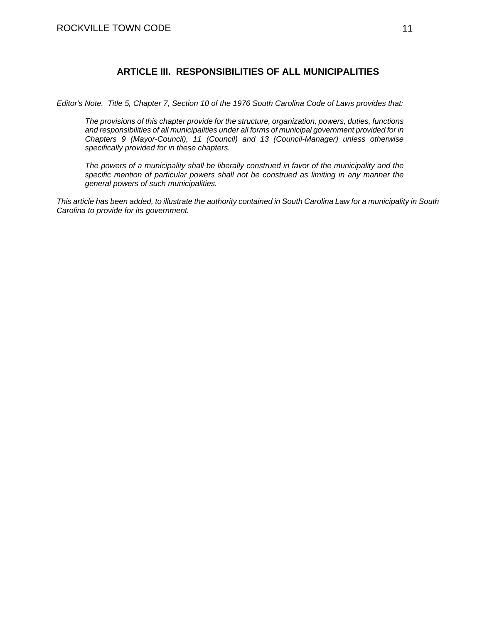#### **ARTICLE III. RESPONSIBILITIES OF ALL MUNICIPALITIES**

*Editor's Note. Title 5, Chapter 7, Section 10 of the 1976 South Carolina Code of Laws provides that:* 

*The provisions of this chapter provide for the structure, organization, powers, duties, functions and responsibilities of all municipalities under all forms of municipal government provided for in Chapters 9 (Mayor-Council), 11 (Council) and 13 (Council-Manager) unless otherwise specifically provided for in these chapters.* 

*The powers of a municipality shall be liberally construed in favor of the municipality and the specific mention of particular powers shall not be construed as limiting in any manner the general powers of such municipalities.* 

*This article has been added, to illustrate the authority contained in South Carolina Law for a municipality in South Carolina to provide for its government.*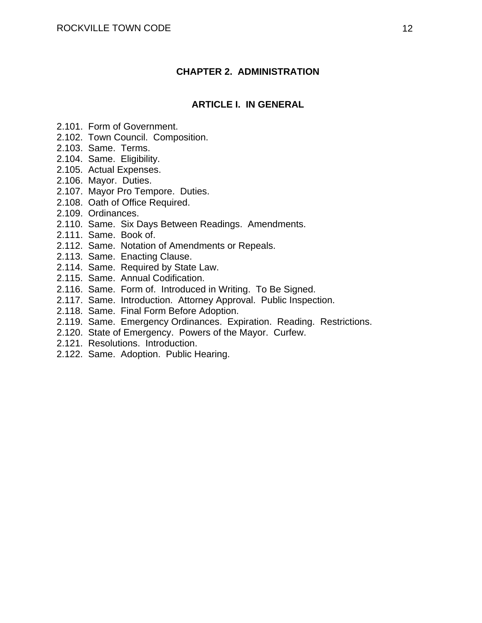#### **CHAPTER 2. ADMINISTRATION**

#### **ARTICLE I. IN GENERAL**

- 2.101. Form of Government.
- 2.102. Town Council. Composition.
- 2.103. Same. Terms.
- 2.104. Same. Eligibility.
- 2.105. Actual Expenses.
- 2.106. Mayor. Duties.
- 2.107. Mayor Pro Tempore. Duties.
- 2.108. Oath of Office Required.
- 2.109. Ordinances.
- 2.110. Same. Six Days Between Readings. Amendments.
- 2.111. Same. Book of.
- 2.112. Same. Notation of Amendments or Repeals.
- 2.113. Same. Enacting Clause.
- 2.114. Same. Required by State Law.
- 2.115. Same. Annual Codification.
- 2.116. Same. Form of. Introduced in Writing. To Be Signed.
- 2.117. Same. Introduction. Attorney Approval. Public Inspection.
- 2.118. Same. Final Form Before Adoption.
- 2.119. Same. Emergency Ordinances. Expiration. Reading. Restrictions.
- 2.120. State of Emergency. Powers of the Mayor. Curfew.
- 2.121. Resolutions. Introduction.
- 2.122. Same. Adoption. Public Hearing.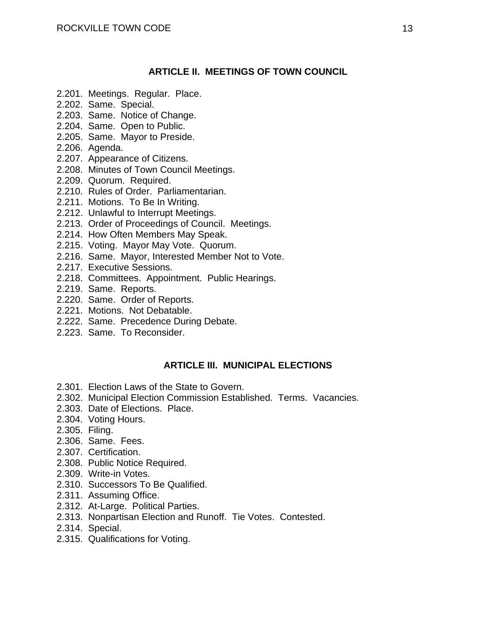## **ARTICLE II. MEETINGS OF TOWN COUNCIL**

- 2.201. Meetings. Regular. Place.
- 2.202. Same. Special.
- 2.203. Same. Notice of Change.
- 2.204. Same. Open to Public.
- 2.205. Same. Mayor to Preside.
- 2.206. Agenda.
- 2.207. Appearance of Citizens.
- 2.208. Minutes of Town Council Meetings.
- 2.209. Quorum. Required.
- 2.210. Rules of Order. Parliamentarian.
- 2.211. Motions. To Be In Writing.
- 2.212. Unlawful to Interrupt Meetings.
- 2.213. Order of Proceedings of Council. Meetings.
- 2.214. How Often Members May Speak.
- 2.215. Voting. Mayor May Vote. Quorum.
- 2.216. Same. Mayor, Interested Member Not to Vote.
- 2.217. Executive Sessions.
- 2.218. Committees. Appointment. Public Hearings.
- 2.219. Same. Reports.
- 2.220. Same. Order of Reports.
- 2.221. Motions. Not Debatable.
- 2.222. Same. Precedence During Debate.
- 2.223. Same. To Reconsider.

## **ARTICLE III. MUNICIPAL ELECTIONS**

- 2.301. Election Laws of the State to Govern.
- 2.302. Municipal Election Commission Established. Terms. Vacancies.
- 2.303. Date of Elections. Place.
- 2.304. Voting Hours.
- 2.305. Filing.
- 2.306. Same. Fees.
- 2.307. Certification.
- 2.308. Public Notice Required.
- 2.309. Write-in Votes.
- 2.310. Successors To Be Qualified.
- 2.311. Assuming Office.
- 2.312. At-Large. Political Parties.
- 2.313. Nonpartisan Election and Runoff. Tie Votes. Contested.
- 2.314. Special.
- 2.315. Qualifications for Voting.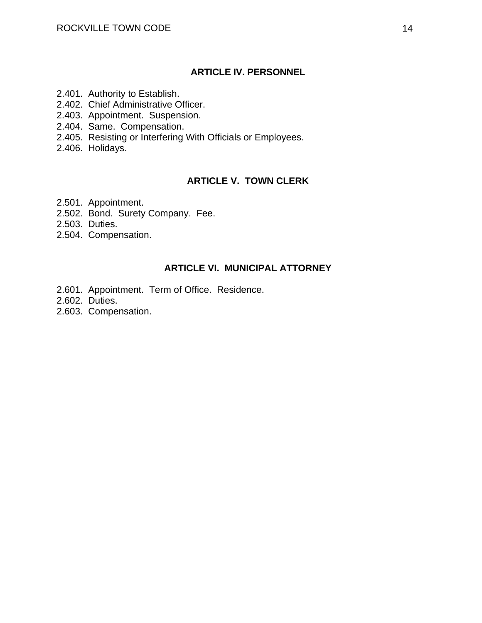#### **ARTICLE IV. PERSONNEL**

- 2.401. Authority to Establish.
- 2.402. Chief Administrative Officer.
- 2.403. Appointment. Suspension.
- 2.404. Same. Compensation.
- 2.405. Resisting or Interfering With Officials or Employees.
- 2.406. Holidays.

# **ARTICLE V. TOWN CLERK**

- 2.501. Appointment.
- 2.502. Bond. Surety Company. Fee.
- 2.503. Duties.
- 2.504. Compensation.

## **ARTICLE VI. MUNICIPAL ATTORNEY**

- 2.601. Appointment. Term of Office. Residence.
- 2.602. Duties.
- 2.603. Compensation.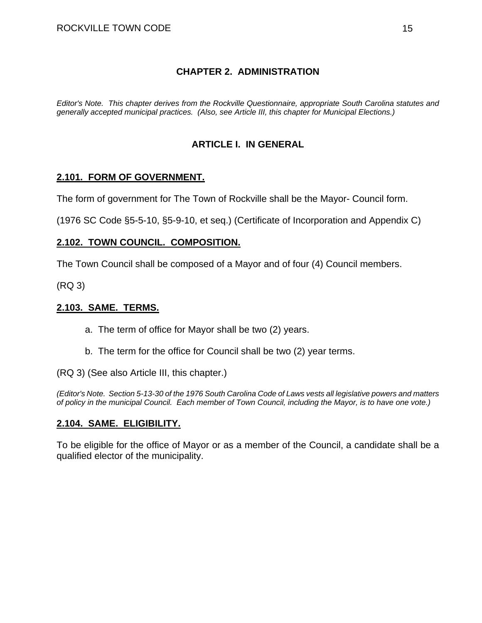## **CHAPTER 2. ADMINISTRATION**

*Editor's Note. This chapter derives from the Rockville Questionnaire, appropriate South Carolina statutes and generally accepted municipal practices. (Also, see Article III, this chapter for Municipal Elections.)* 

## **ARTICLE I. IN GENERAL**

#### **2.101. FORM OF GOVERNMENT.**

The form of government for The Town of Rockville shall be the Mayor- Council form.

(1976 SC Code §5-5-10, §5-9-10, et seq.) (Certificate of Incorporation and Appendix C)

#### **2.102. TOWN COUNCIL. COMPOSITION.**

The Town Council shall be composed of a Mayor and of four (4) Council members.

(RQ 3)

#### **2.103. SAME. TERMS.**

a. The term of office for Mayor shall be two (2) years.

b. The term for the office for Council shall be two (2) year terms.

(RQ 3) (See also Article III, this chapter.)

*(Editor's Note. Section 5-13-30 of the 1976 South Carolina Code of Laws vests all legislative powers and matters of policy in the municipal Council. Each member of Town Council, including the Mayor, is to have one vote.)* 

#### **2.104. SAME. ELIGIBILITY.**

To be eligible for the office of Mayor or as a member of the Council, a candidate shall be a qualified elector of the municipality.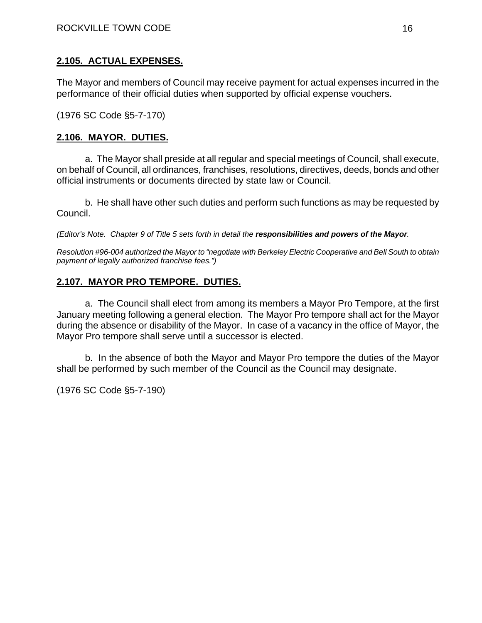## **2.105. ACTUAL EXPENSES.**

The Mayor and members of Council may receive payment for actual expenses incurred in the performance of their official duties when supported by official expense vouchers.

(1976 SC Code §5-7-170)

## **2.106. MAYOR. DUTIES.**

a. The Mayor shall preside at all regular and special meetings of Council, shall execute, on behalf of Council, all ordinances, franchises, resolutions, directives, deeds, bonds and other official instruments or documents directed by state law or Council.

b. He shall have other such duties and perform such functions as may be requested by Council.

*(Editor's Note. Chapter 9 of Title 5 sets forth in detail the responsibilities and powers of the Mayor.* 

*Resolution #96-004 authorized the Mayor to "negotiate with Berkeley Electric Cooperative and Bell South to obtain payment of legally authorized franchise fees.")* 

# **2.107. MAYOR PRO TEMPORE. DUTIES.**

a. The Council shall elect from among its members a Mayor Pro Tempore, at the first January meeting following a general election. The Mayor Pro tempore shall act for the Mayor during the absence or disability of the Mayor. In case of a vacancy in the office of Mayor, the Mayor Pro tempore shall serve until a successor is elected.

b. In the absence of both the Mayor and Mayor Pro tempore the duties of the Mayor shall be performed by such member of the Council as the Council may designate.

(1976 SC Code §5-7-190)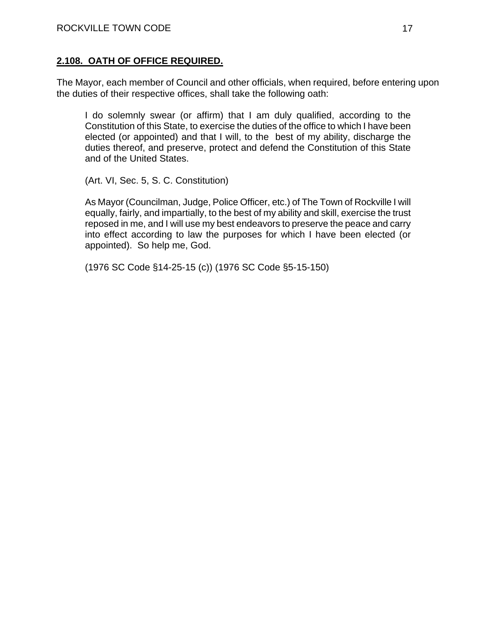## **2.108. OATH OF OFFICE REQUIRED.**

The Mayor, each member of Council and other officials, when required, before entering upon the duties of their respective offices, shall take the following oath:

I do solemnly swear (or affirm) that I am duly qualified, according to the Constitution of this State, to exercise the duties of the office to which I have been elected (or appointed) and that I will, to the best of my ability, discharge the duties thereof, and preserve, protect and defend the Constitution of this State and of the United States.

(Art. VI, Sec. 5, S. C. Constitution)

As Mayor (Councilman, Judge, Police Officer, etc.) of The Town of Rockville I will equally, fairly, and impartially, to the best of my ability and skill, exercise the trust reposed in me, and I will use my best endeavors to preserve the peace and carry into effect according to law the purposes for which I have been elected (or appointed). So help me, God.

(1976 SC Code §14-25-15 (c)) (1976 SC Code §5-15-150)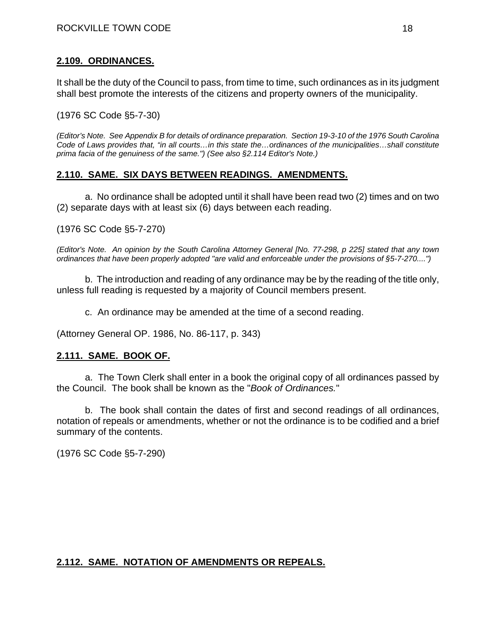#### **2.109. ORDINANCES.**

It shall be the duty of the Council to pass, from time to time, such ordinances as in its judgment shall best promote the interests of the citizens and property owners of the municipality.

(1976 SC Code §5-7-30)

*(Editor's Note. See Appendix B for details of ordinance preparation. Section 19-3-10 of the 1976 South Carolina Code of Laws provides that, "in all courts…in this state the…ordinances of the municipalities…shall constitute prima facia of the genuiness of the same.") (See also §2.114 Editor's Note.)* 

## **2.110. SAME. SIX DAYS BETWEEN READINGS. AMENDMENTS.**

a. No ordinance shall be adopted until it shall have been read two (2) times and on two (2) separate days with at least six (6) days between each reading.

(1976 SC Code §5-7-270)

*(Editor's Note. An opinion by the South Carolina Attorney General [No. 77-298, p 225] stated that any town ordinances that have been properly adopted "are valid and enforceable under the provisions of §5-7-270....")* 

b. The introduction and reading of any ordinance may be by the reading of the title only, unless full reading is requested by a majority of Council members present.

c. An ordinance may be amended at the time of a second reading.

(Attorney General OP. 1986, No. 86-117, p. 343)

#### **2.111. SAME. BOOK OF.**

a. The Town Clerk shall enter in a book the original copy of all ordinances passed by the Council. The book shall be known as the "*Book of Ordinances.*"

b. The book shall contain the dates of first and second readings of all ordinances, notation of repeals or amendments, whether or not the ordinance is to be codified and a brief summary of the contents.

(1976 SC Code §5-7-290)

#### **2.112. SAME. NOTATION OF AMENDMENTS OR REPEALS.**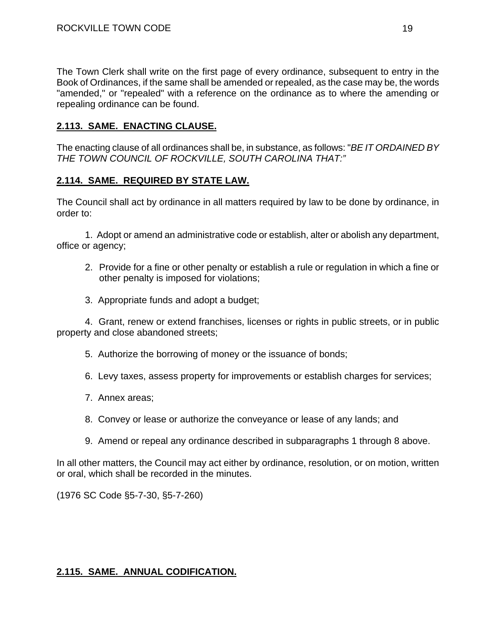The Town Clerk shall write on the first page of every ordinance, subsequent to entry in the Book of Ordinances, if the same shall be amended or repealed, as the case may be, the words "amended," or "repealed" with a reference on the ordinance as to where the amending or repealing ordinance can be found.

## **2.113. SAME. ENACTING CLAUSE.**

The enacting clause of all ordinances shall be, in substance, as follows: "*BE IT ORDAINED BY THE TOWN COUNCIL OF ROCKVILLE, SOUTH CAROLINA THAT:"*

## **2.114. SAME. REQUIRED BY STATE LAW.**

The Council shall act by ordinance in all matters required by law to be done by ordinance, in order to:

1. Adopt or amend an administrative code or establish, alter or abolish any department, office or agency;

- 2. Provide for a fine or other penalty or establish a rule or regulation in which a fine or other penalty is imposed for violations;
- 3. Appropriate funds and adopt a budget;

4. Grant, renew or extend franchises, licenses or rights in public streets, or in public property and close abandoned streets;

- 5. Authorize the borrowing of money or the issuance of bonds;
- 6. Levy taxes, assess property for improvements or establish charges for services;
- 7. Annex areas;
- 8. Convey or lease or authorize the conveyance or lease of any lands; and
- 9. Amend or repeal any ordinance described in subparagraphs 1 through 8 above.

In all other matters, the Council may act either by ordinance, resolution, or on motion, written or oral, which shall be recorded in the minutes.

(1976 SC Code §5-7-30, §5-7-260)

## **2.115. SAME. ANNUAL CODIFICATION.**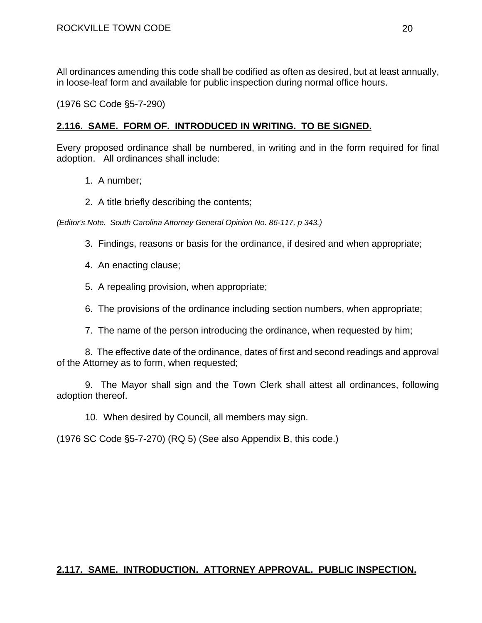All ordinances amending this code shall be codified as often as desired, but at least annually, in loose-leaf form and available for public inspection during normal office hours.

(1976 SC Code §5-7-290)

#### **2.116. SAME. FORM OF. INTRODUCED IN WRITING. TO BE SIGNED.**

Every proposed ordinance shall be numbered, in writing and in the form required for final adoption. All ordinances shall include:

- 1. A number;
- 2. A title briefly describing the contents;

*(Editor's Note. South Carolina Attorney General Opinion No. 86-117, p 343.)* 

- 3. Findings, reasons or basis for the ordinance, if desired and when appropriate;
- 4. An enacting clause;
- 5. A repealing provision, when appropriate;
- 6. The provisions of the ordinance including section numbers, when appropriate;
- 7. The name of the person introducing the ordinance, when requested by him;

8. The effective date of the ordinance, dates of first and second readings and approval of the Attorney as to form, when requested;

9. The Mayor shall sign and the Town Clerk shall attest all ordinances, following adoption thereof.

10. When desired by Council, all members may sign.

(1976 SC Code §5-7-270) (RQ 5) (See also Appendix B, this code.)

#### **2.117. SAME. INTRODUCTION. ATTORNEY APPROVAL. PUBLIC INSPECTION.**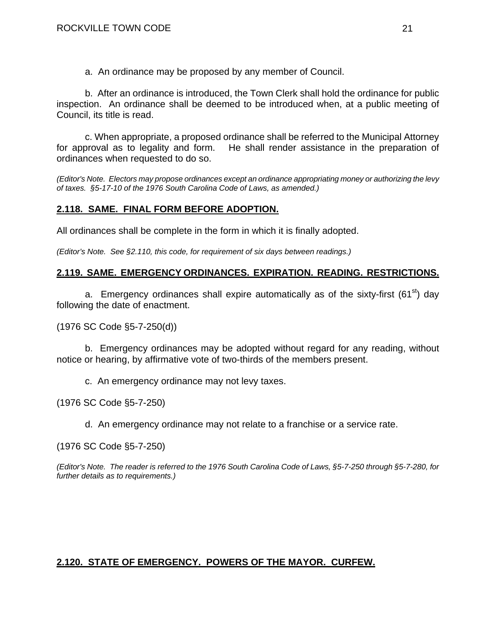a. An ordinance may be proposed by any member of Council.

b. After an ordinance is introduced, the Town Clerk shall hold the ordinance for public inspection. An ordinance shall be deemed to be introduced when, at a public meeting of Council, its title is read.

c. When appropriate, a proposed ordinance shall be referred to the Municipal Attorney for approval as to legality and form. He shall render assistance in the preparation of ordinances when requested to do so.

*(Editor's Note. Electors may propose ordinances except an ordinance appropriating money or authorizing the levy of taxes. §5-17-10 of the 1976 South Carolina Code of Laws, as amended.)* 

## **2.118. SAME. FINAL FORM BEFORE ADOPTION.**

All ordinances shall be complete in the form in which it is finally adopted.

*(Editor's Note. See §2.110, this code, for requirement of six days between readings.)* 

#### **2.119. SAME. EMERGENCY ORDINANCES. EXPIRATION. READING. RESTRICTIONS.**

a. Emergency ordinances shall expire automatically as of the sixty-first (61<sup>st</sup>) day following the date of enactment.

(1976 SC Code §5-7-250(d))

b. Emergency ordinances may be adopted without regard for any reading, without notice or hearing, by affirmative vote of two-thirds of the members present.

c. An emergency ordinance may not levy taxes.

(1976 SC Code §5-7-250)

d. An emergency ordinance may not relate to a franchise or a service rate.

(1976 SC Code §5-7-250)

*(Editor's Note. The reader is referred to the 1976 South Carolina Code of Laws, §5-7-250 through §5-7-280, for further details as to requirements.)* 

## **2.120. STATE OF EMERGENCY. POWERS OF THE MAYOR. CURFEW.**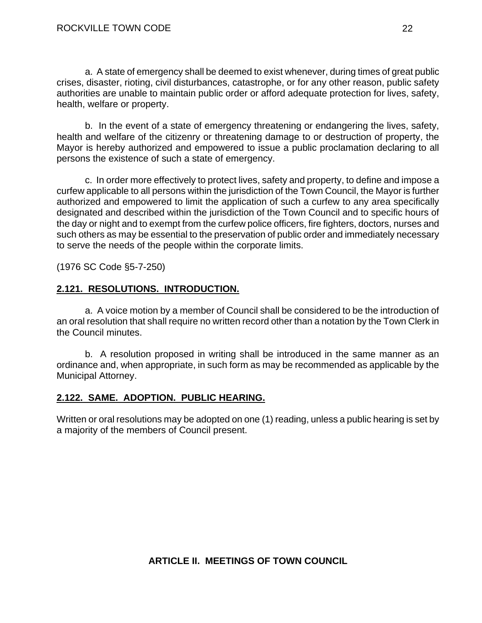a. A state of emergency shall be deemed to exist whenever, during times of great public crises, disaster, rioting, civil disturbances, catastrophe, or for any other reason, public safety authorities are unable to maintain public order or afford adequate protection for lives, safety, health, welfare or property.

b. In the event of a state of emergency threatening or endangering the lives, safety, health and welfare of the citizenry or threatening damage to or destruction of property, the Mayor is hereby authorized and empowered to issue a public proclamation declaring to all persons the existence of such a state of emergency.

c. In order more effectively to protect lives, safety and property, to define and impose a curfew applicable to all persons within the jurisdiction of the Town Council, the Mayor is further authorized and empowered to limit the application of such a curfew to any area specifically designated and described within the jurisdiction of the Town Council and to specific hours of the day or night and to exempt from the curfew police officers, fire fighters, doctors, nurses and such others as may be essential to the preservation of public order and immediately necessary to serve the needs of the people within the corporate limits.

(1976 SC Code §5-7-250)

## **2.121. RESOLUTIONS. INTRODUCTION.**

a. A voice motion by a member of Council shall be considered to be the introduction of an oral resolution that shall require no written record other than a notation by the Town Clerk in the Council minutes.

b. A resolution proposed in writing shall be introduced in the same manner as an ordinance and, when appropriate, in such form as may be recommended as applicable by the Municipal Attorney.

## **2.122. SAME. ADOPTION. PUBLIC HEARING.**

Written or oral resolutions may be adopted on one (1) reading, unless a public hearing is set by a majority of the members of Council present.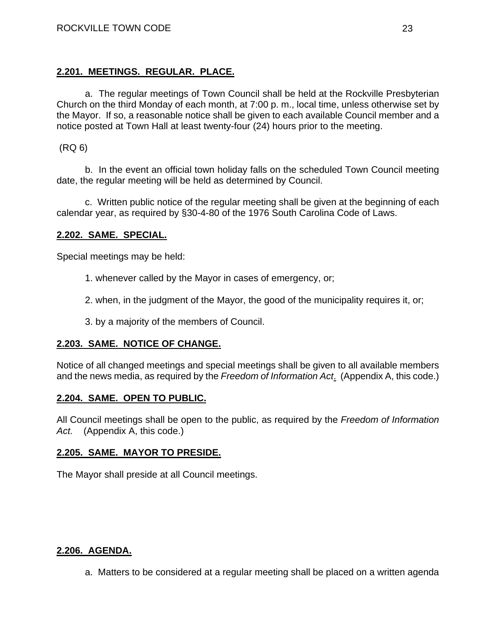## **2.201. MEETINGS. REGULAR. PLACE.**

a. The regular meetings of Town Council shall be held at the Rockville Presbyterian Church on the third Monday of each month, at 7:00 p. m., local time, unless otherwise set by the Mayor. If so, a reasonable notice shall be given to each available Council member and a notice posted at Town Hall at least twenty-four (24) hours prior to the meeting.

(RQ 6)

b. In the event an official town holiday falls on the scheduled Town Council meeting date, the regular meeting will be held as determined by Council.

c. Written public notice of the regular meeting shall be given at the beginning of each calendar year, as required by §30-4-80 of the 1976 South Carolina Code of Laws.

## **2.202. SAME. SPECIAL.**

Special meetings may be held:

1. whenever called by the Mayor in cases of emergency, or;

2. when, in the judgment of the Mayor, the good of the municipality requires it, or;

3. by a majority of the members of Council.

## **2.203. SAME. NOTICE OF CHANGE.**

Notice of all changed meetings and special meetings shall be given to all available members and the news media, as required by the *Freedom of Information Act*. (Appendix A, this code.)

## **2.204. SAME. OPEN TO PUBLIC.**

All Council meetings shall be open to the public, as required by the *Freedom of Information Act.* (Appendix A, this code.)

## **2.205. SAME. MAYOR TO PRESIDE.**

The Mayor shall preside at all Council meetings.

#### **2.206. AGENDA.**

a. Matters to be considered at a regular meeting shall be placed on a written agenda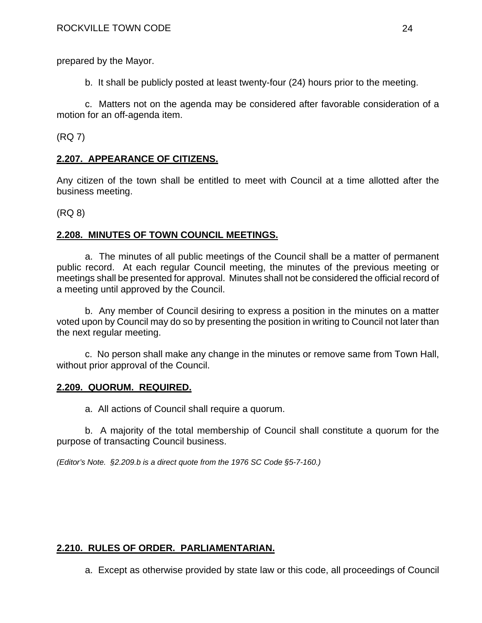prepared by the Mayor.

b. It shall be publicly posted at least twenty-four (24) hours prior to the meeting.

c. Matters not on the agenda may be considered after favorable consideration of a motion for an off-agenda item.

(RQ 7)

## **2.207. APPEARANCE OF CITIZENS.**

Any citizen of the town shall be entitled to meet with Council at a time allotted after the business meeting.

(RQ 8)

## **2.208. MINUTES OF TOWN COUNCIL MEETINGS.**

a. The minutes of all public meetings of the Council shall be a matter of permanent public record. At each regular Council meeting, the minutes of the previous meeting or meetings shall be presented for approval. Minutes shall not be considered the official record of a meeting until approved by the Council.

b. Any member of Council desiring to express a position in the minutes on a matter voted upon by Council may do so by presenting the position in writing to Council not later than the next regular meeting.

c. No person shall make any change in the minutes or remove same from Town Hall, without prior approval of the Council.

## **2.209. QUORUM. REQUIRED.**

a. All actions of Council shall require a quorum.

b. A majority of the total membership of Council shall constitute a quorum for the purpose of transacting Council business.

*(Editor's Note. §2.209.b is a direct quote from the 1976 SC Code §5-7-160.)* 

# **2.210. RULES OF ORDER. PARLIAMENTARIAN.**

a. Except as otherwise provided by state law or this code, all proceedings of Council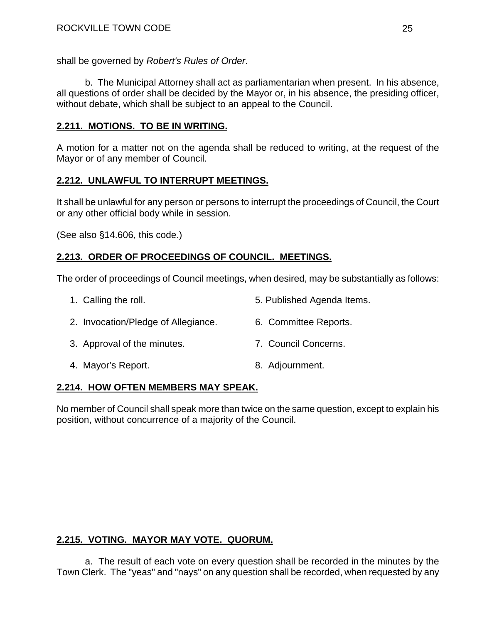shall be governed by *Robert's Rules of Order*.

b. The Municipal Attorney shall act as parliamentarian when present. In his absence, all questions of order shall be decided by the Mayor or, in his absence, the presiding officer, without debate, which shall be subject to an appeal to the Council.

# **2.211. MOTIONS. TO BE IN WRITING.**

A motion for a matter not on the agenda shall be reduced to writing, at the request of the Mayor or of any member of Council.

# **2.212. UNLAWFUL TO INTERRUPT MEETINGS.**

It shall be unlawful for any person or persons to interrupt the proceedings of Council, the Court or any other official body while in session.

(See also §14.606, this code.)

# **2.213. ORDER OF PROCEEDINGS OF COUNCIL. MEETINGS.**

The order of proceedings of Council meetings, when desired, may be substantially as follows:

- 1. Calling the roll. The role of the state of the S. Published Agenda Items.
- 2. Invocation/Pledge of Allegiance. 6. Committee Reports.
- 3. Approval of the minutes. 7. Council Concerns.
- 4. Mayor's Report. 8. Adjournment.

# **2.214. HOW OFTEN MEMBERS MAY SPEAK.**

No member of Council shall speak more than twice on the same question, except to explain his position, without concurrence of a majority of the Council.

# **2.215. VOTING. MAYOR MAY VOTE. QUORUM.**

a. The result of each vote on every question shall be recorded in the minutes by the Town Clerk. The "yeas" and "nays" on any question shall be recorded, when requested by any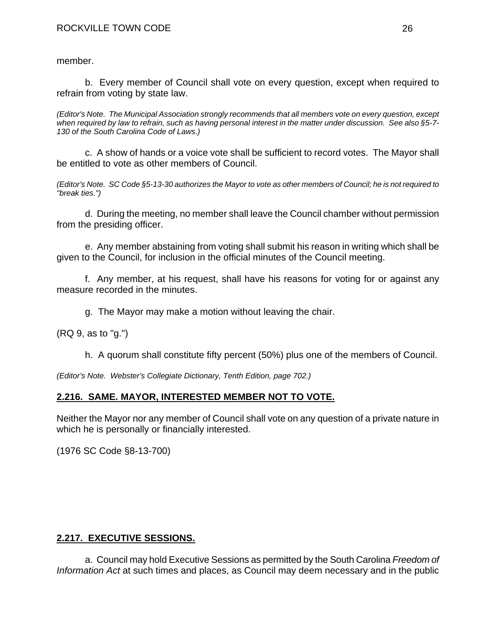member.

b. Every member of Council shall vote on every question, except when required to refrain from voting by state law.

*(Editor's Note. The Municipal Association strongly recommends that all members vote on every question, except when required by law to refrain, such as having personal interest in the matter under discussion. See also §5-7- 130 of the South Carolina Code of Laws.)* 

c. A show of hands or a voice vote shall be sufficient to record votes. The Mayor shall be entitled to vote as other members of Council.

*(Editor's Note. SC Code §5-13-30 authorizes the Mayor to vote as other members of Council; he is not required to "break ties.")* 

d. During the meeting, no member shall leave the Council chamber without permission from the presiding officer.

e. Any member abstaining from voting shall submit his reason in writing which shall be given to the Council, for inclusion in the official minutes of the Council meeting.

f. Any member, at his request, shall have his reasons for voting for or against any measure recorded in the minutes.

g. The Mayor may make a motion without leaving the chair.

(RQ 9, as to "g.")

h. A quorum shall constitute fifty percent (50%) plus one of the members of Council.

*(Editor's Note. Webster's Collegiate Dictionary, Tenth Edition, page 702.)* 

# **2.216. SAME. MAYOR, INTERESTED MEMBER NOT TO VOTE.**

Neither the Mayor nor any member of Council shall vote on any question of a private nature in which he is personally or financially interested.

(1976 SC Code §8-13-700)

# **2.217. EXECUTIVE SESSIONS.**

a. Council may hold Executive Sessions as permitted by the South Carolina *Freedom of Information Act* at such times and places, as Council may deem necessary and in the public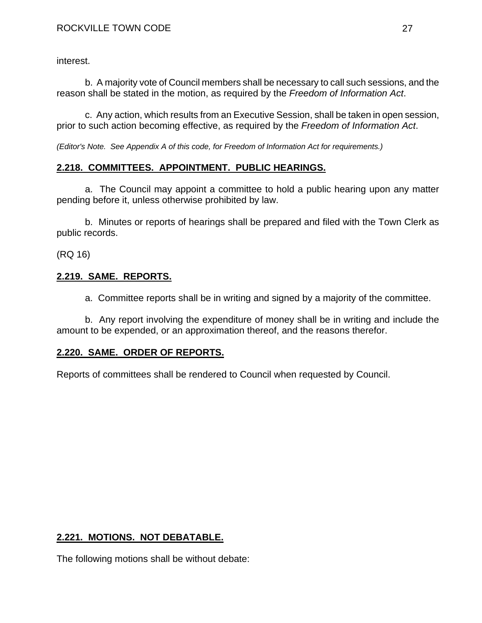interest.

b. A majority vote of Council members shall be necessary to call such sessions, and the reason shall be stated in the motion, as required by the *Freedom of Information Act*.

c. Any action, which results from an Executive Session, shall be taken in open session, prior to such action becoming effective, as required by the *Freedom of Information Act*.

*(Editor's Note. See Appendix A of this code, for Freedom of Information Act for requirements.)* 

# **2.218. COMMITTEES. APPOINTMENT. PUBLIC HEARINGS.**

a. The Council may appoint a committee to hold a public hearing upon any matter pending before it, unless otherwise prohibited by law.

b. Minutes or reports of hearings shall be prepared and filed with the Town Clerk as public records.

(RQ 16)

# **2.219. SAME. REPORTS.**

a. Committee reports shall be in writing and signed by a majority of the committee.

b. Any report involving the expenditure of money shall be in writing and include the amount to be expended, or an approximation thereof, and the reasons therefor.

# **2.220. SAME. ORDER OF REPORTS.**

Reports of committees shall be rendered to Council when requested by Council.

# **2.221. MOTIONS. NOT DEBATABLE.**

The following motions shall be without debate: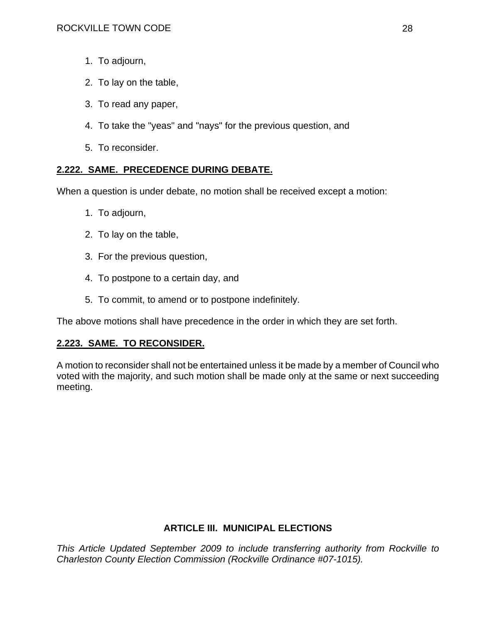- 1. To adjourn,
- 2. To lay on the table,
- 3. To read any paper,
- 4. To take the "yeas" and "nays" for the previous question, and
- 5. To reconsider.

## **2.222. SAME. PRECEDENCE DURING DEBATE.**

When a question is under debate, no motion shall be received except a motion:

- 1. To adjourn,
- 2. To lay on the table,
- 3. For the previous question,
- 4. To postpone to a certain day, and
- 5. To commit, to amend or to postpone indefinitely.

The above motions shall have precedence in the order in which they are set forth.

# **2.223. SAME. TO RECONSIDER.**

A motion to reconsider shall not be entertained unless it be made by a member of Council who voted with the majority, and such motion shall be made only at the same or next succeeding meeting.

## **ARTICLE III. MUNICIPAL ELECTIONS**

*This Article Updated September 2009 to include transferring authority from Rockville to Charleston County Election Commission (Rockville Ordinance #07-1015).*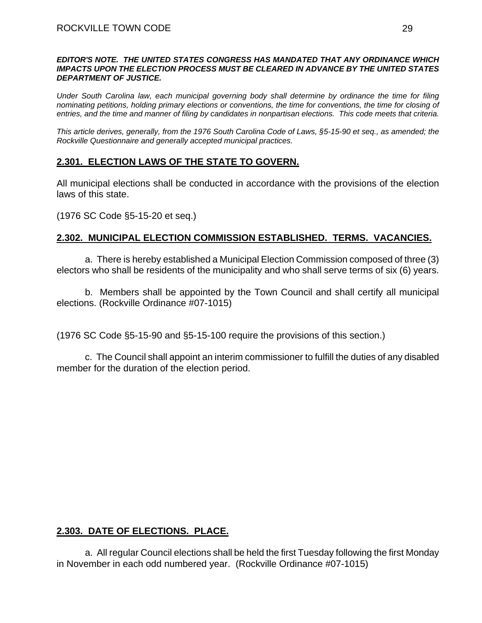#### *EDITOR'S NOTE. THE UNITED STATES CONGRESS HAS MANDATED THAT ANY ORDINANCE WHICH IMPACTS UPON THE ELECTION PROCESS MUST BE CLEARED IN ADVANCE BY THE UNITED STATES DEPARTMENT OF JUSTICE.*

*Under South Carolina law, each municipal governing body shall determine by ordinance the time for filing nominating petitions, holding primary elections or conventions, the time for conventions, the time for closing of entries, and the time and manner of filing by candidates in nonpartisan elections. This code meets that criteria.* 

*This article derives, generally, from the 1976 South Carolina Code of Laws, §5-15-90 et seq., as amended; the Rockville Questionnaire and generally accepted municipal practices.* 

# **2.301. ELECTION LAWS OF THE STATE TO GOVERN.**

All municipal elections shall be conducted in accordance with the provisions of the election laws of this state.

(1976 SC Code §5-15-20 et seq.)

# **2.302. MUNICIPAL ELECTION COMMISSION ESTABLISHED. TERMS. VACANCIES.**

a. There is hereby established a Municipal Election Commission composed of three (3) electors who shall be residents of the municipality and who shall serve terms of six (6) years.

b. Members shall be appointed by the Town Council and shall certify all municipal elections. (Rockville Ordinance #07-1015)

(1976 SC Code §5-15-90 and §5-15-100 require the provisions of this section.)

c. The Council shall appoint an interim commissioner to fulfill the duties of any disabled member for the duration of the election period.

# **2.303. DATE OF ELECTIONS. PLACE.**

a. All regular Council elections shall be held the first Tuesday following the first Monday in November in each odd numbered year. (Rockville Ordinance #07-1015)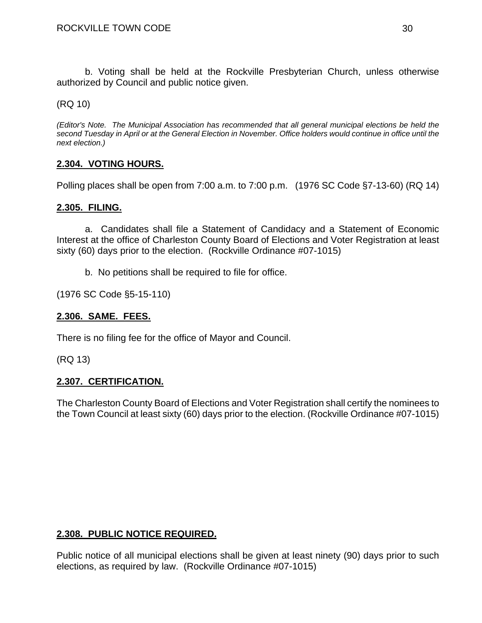b. Voting shall be held at the Rockville Presbyterian Church, unless otherwise authorized by Council and public notice given.

(RQ 10)

*(Editor's Note. The Municipal Association has recommended that all general municipal elections be held the second Tuesday in April or at the General Election in November. Office holders would continue in office until the next election.)* 

## **2.304. VOTING HOURS.**

Polling places shall be open from 7:00 a.m. to 7:00 p.m. (1976 SC Code §7-13-60) (RQ 14)

#### **2.305. FILING.**

a. Candidates shall file a Statement of Candidacy and a Statement of Economic Interest at the office of Charleston County Board of Elections and Voter Registration at least sixty (60) days prior to the election. (Rockville Ordinance #07-1015)

b. No petitions shall be required to file for office.

(1976 SC Code §5-15-110)

#### **2.306. SAME. FEES.**

There is no filing fee for the office of Mayor and Council.

(RQ 13)

#### **2.307. CERTIFICATION.**

The Charleston County Board of Elections and Voter Registration shall certify the nominees to the Town Council at least sixty (60) days prior to the election. (Rockville Ordinance #07-1015)

#### **2.308. PUBLIC NOTICE REQUIRED.**

Public notice of all municipal elections shall be given at least ninety (90) days prior to such elections, as required by law. (Rockville Ordinance #07-1015)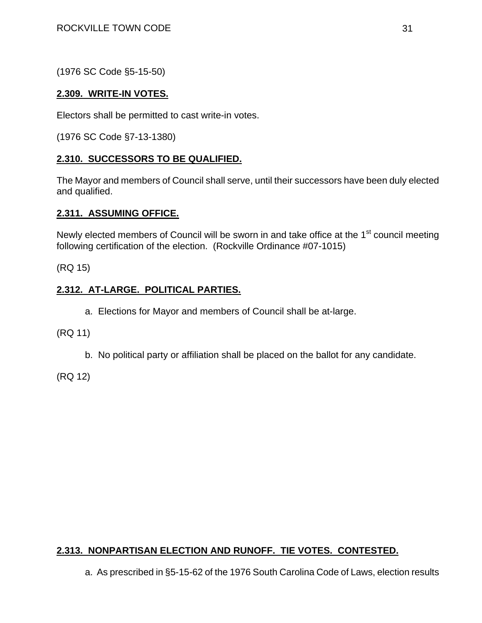(1976 SC Code §5-15-50)

## **2.309. WRITE-IN VOTES.**

Electors shall be permitted to cast write-in votes.

(1976 SC Code §7-13-1380)

## **2.310. SUCCESSORS TO BE QUALIFIED.**

The Mayor and members of Council shall serve, until their successors have been duly elected and qualified.

## **2.311. ASSUMING OFFICE.**

Newly elected members of Council will be sworn in and take office at the  $1<sup>st</sup>$  council meeting following certification of the election. (Rockville Ordinance #07-1015)

(RQ 15)

## **2.312. AT-LARGE. POLITICAL PARTIES.**

a. Elections for Mayor and members of Council shall be at-large.

(RQ 11)

b. No political party or affiliation shall be placed on the ballot for any candidate.

(RQ 12)

# **2.313. NONPARTISAN ELECTION AND RUNOFF. TIE VOTES. CONTESTED.**

a. As prescribed in §5-15-62 of the 1976 South Carolina Code of Laws, election results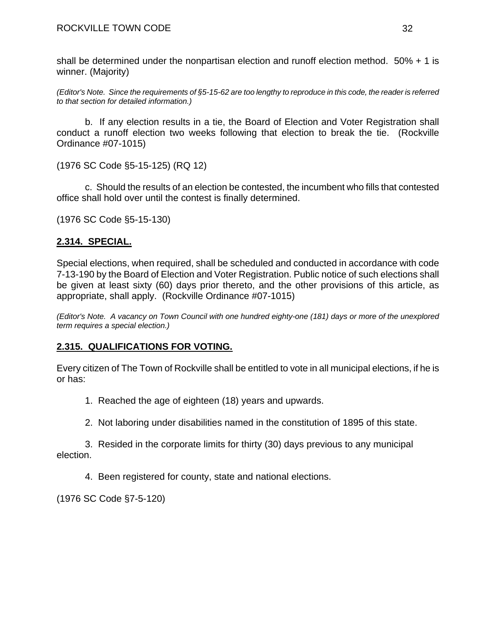shall be determined under the nonpartisan election and runoff election method. 50% + 1 is winner. (Majority)

*(Editor's Note. Since the requirements of §5-15-62 are too lengthy to reproduce in this code, the reader is referred to that section for detailed information.)* 

b. If any election results in a tie, the Board of Election and Voter Registration shall conduct a runoff election two weeks following that election to break the tie. (Rockville Ordinance #07-1015)

(1976 SC Code §5-15-125) (RQ 12)

c. Should the results of an election be contested, the incumbent who fills that contested office shall hold over until the contest is finally determined.

(1976 SC Code §5-15-130)

# **2.314. SPECIAL.**

Special elections, when required, shall be scheduled and conducted in accordance with code 7-13-190 by the Board of Election and Voter Registration. Public notice of such elections shall be given at least sixty (60) days prior thereto, and the other provisions of this article, as appropriate, shall apply. (Rockville Ordinance #07-1015)

*(Editor's Note. A vacancy on Town Council with one hundred eighty-one (181) days or more of the unexplored term requires a special election.)* 

# **2.315. QUALIFICATIONS FOR VOTING.**

Every citizen of The Town of Rockville shall be entitled to vote in all municipal elections, if he is or has:

1. Reached the age of eighteen (18) years and upwards.

2. Not laboring under disabilities named in the constitution of 1895 of this state.

3. Resided in the corporate limits for thirty (30) days previous to any municipal election.

4. Been registered for county, state and national elections.

(1976 SC Code §7-5-120)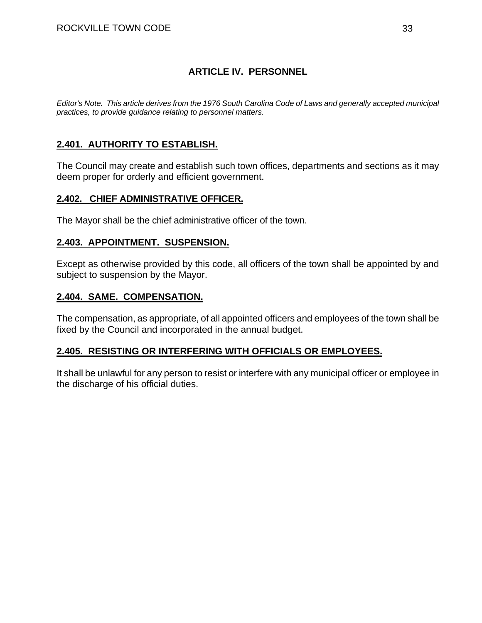## **ARTICLE IV. PERSONNEL**

*Editor's Note. This article derives from the 1976 South Carolina Code of Laws and generally accepted municipal practices, to provide guidance relating to personnel matters.* 

## **2.401. AUTHORITY TO ESTABLISH.**

The Council may create and establish such town offices, departments and sections as it may deem proper for orderly and efficient government.

#### **2.402. CHIEF ADMINISTRATIVE OFFICER.**

The Mayor shall be the chief administrative officer of the town.

#### **2.403. APPOINTMENT. SUSPENSION.**

Except as otherwise provided by this code, all officers of the town shall be appointed by and subject to suspension by the Mayor.

#### **2.404. SAME. COMPENSATION.**

The compensation, as appropriate, of all appointed officers and employees of the town shall be fixed by the Council and incorporated in the annual budget.

## **2.405. RESISTING OR INTERFERING WITH OFFICIALS OR EMPLOYEES.**

It shall be unlawful for any person to resist or interfere with any municipal officer or employee in the discharge of his official duties.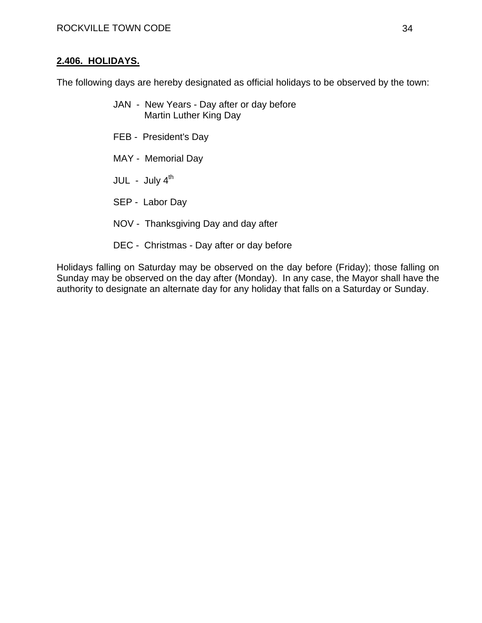#### **2.406. HOLIDAYS.**

The following days are hereby designated as official holidays to be observed by the town:

- JAN New Years Day after or day before Martin Luther King Day
- FEB President's Day
- MAY Memorial Day
- $JUL July 4<sup>th</sup>$
- SEP Labor Day
- NOV Thanksgiving Day and day after
- DEC Christmas Day after or day before

Holidays falling on Saturday may be observed on the day before (Friday); those falling on Sunday may be observed on the day after (Monday). In any case, the Mayor shall have the authority to designate an alternate day for any holiday that falls on a Saturday or Sunday.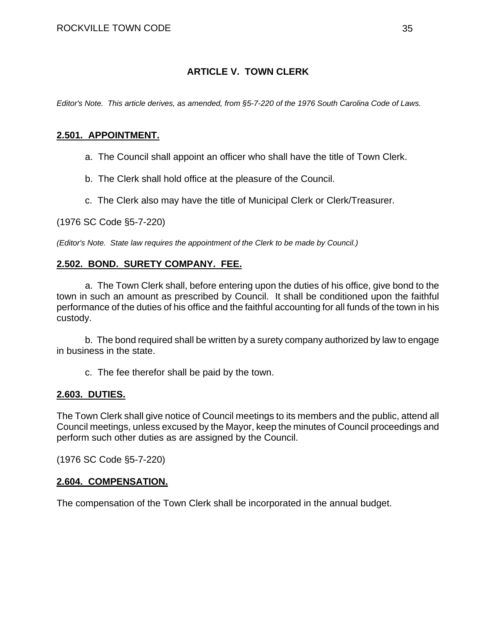## **ARTICLE V. TOWN CLERK**

*Editor's Note. This article derives, as amended, from §5-7-220 of the 1976 South Carolina Code of Laws.* 

#### **2.501. APPOINTMENT.**

- a. The Council shall appoint an officer who shall have the title of Town Clerk.
- b. The Clerk shall hold office at the pleasure of the Council.
- c. The Clerk also may have the title of Municipal Clerk or Clerk/Treasurer.

(1976 SC Code §5-7-220)

*(Editor's Note. State law requires the appointment of the Clerk to be made by Council.)* 

## **2.502. BOND. SURETY COMPANY. FEE.**

a. The Town Clerk shall, before entering upon the duties of his office, give bond to the town in such an amount as prescribed by Council. It shall be conditioned upon the faithful performance of the duties of his office and the faithful accounting for all funds of the town in his custody.

b. The bond required shall be written by a surety company authorized by law to engage in business in the state.

c. The fee therefor shall be paid by the town.

#### **2.603. DUTIES.**

The Town Clerk shall give notice of Council meetings to its members and the public, attend all Council meetings, unless excused by the Mayor, keep the minutes of Council proceedings and perform such other duties as are assigned by the Council.

(1976 SC Code §5-7-220)

#### **2.604. COMPENSATION.**

The compensation of the Town Clerk shall be incorporated in the annual budget.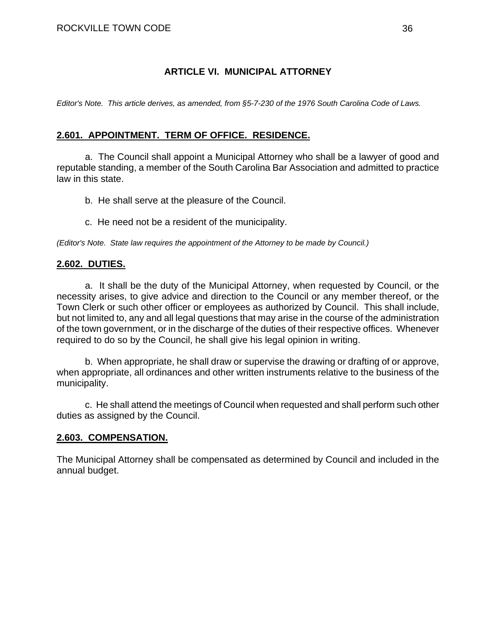## **ARTICLE VI. MUNICIPAL ATTORNEY**

*Editor's Note. This article derives, as amended, from §5-7-230 of the 1976 South Carolina Code of Laws.* 

## **2.601. APPOINTMENT. TERM OF OFFICE. RESIDENCE.**

a. The Council shall appoint a Municipal Attorney who shall be a lawyer of good and reputable standing, a member of the South Carolina Bar Association and admitted to practice law in this state.

b. He shall serve at the pleasure of the Council.

c. He need not be a resident of the municipality.

*(Editor's Note. State law requires the appointment of the Attorney to be made by Council.)* 

## **2.602. DUTIES.**

a. It shall be the duty of the Municipal Attorney, when requested by Council, or the necessity arises, to give advice and direction to the Council or any member thereof, or the Town Clerk or such other officer or employees as authorized by Council. This shall include, but not limited to, any and all legal questions that may arise in the course of the administration of the town government, or in the discharge of the duties of their respective offices. Whenever required to do so by the Council, he shall give his legal opinion in writing.

b. When appropriate, he shall draw or supervise the drawing or drafting of or approve, when appropriate, all ordinances and other written instruments relative to the business of the municipality.

c. He shall attend the meetings of Council when requested and shall perform such other duties as assigned by the Council.

## **2.603. COMPENSATION.**

The Municipal Attorney shall be compensated as determined by Council and included in the annual budget.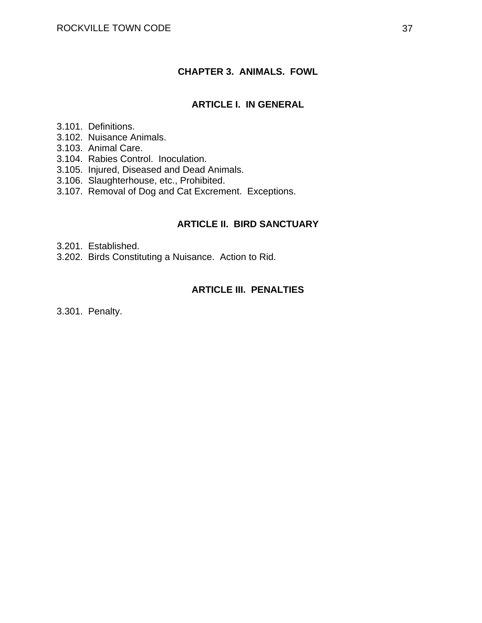## **CHAPTER 3. ANIMALS. FOWL**

## **ARTICLE I. IN GENERAL**

- 3.101. Definitions.
- 3.102. Nuisance Animals.
- 3.103. Animal Care.
- 3.104. Rabies Control. Inoculation.
- 3.105. Injured, Diseased and Dead Animals.
- 3.106. Slaughterhouse, etc., Prohibited.
- 3.107. Removal of Dog and Cat Excrement. Exceptions.

### **ARTICLE II. BIRD SANCTUARY**

- 3.201. Established.
- 3.202. Birds Constituting a Nuisance. Action to Rid.

## **ARTICLE III. PENALTIES**

3.301. Penalty.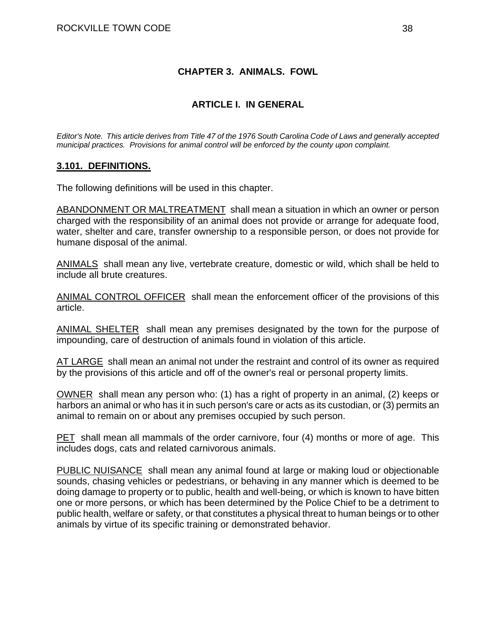## **CHAPTER 3. ANIMALS. FOWL**

## **ARTICLE I. IN GENERAL**

*Editor's Note. This article derives from Title 47 of the 1976 South Carolina Code of Laws and generally accepted municipal practices. Provisions for animal control will be enforced by the county upon complaint.* 

### **3.101. DEFINITIONS.**

The following definitions will be used in this chapter.

ABANDONMENT OR MALTREATMENT shall mean a situation in which an owner or person charged with the responsibility of an animal does not provide or arrange for adequate food, water, shelter and care, transfer ownership to a responsible person, or does not provide for humane disposal of the animal.

ANIMALS shall mean any live, vertebrate creature, domestic or wild, which shall be held to include all brute creatures.

ANIMAL CONTROL OFFICER shall mean the enforcement officer of the provisions of this article.

ANIMAL SHELTER shall mean any premises designated by the town for the purpose of impounding, care of destruction of animals found in violation of this article.

AT LARGE shall mean an animal not under the restraint and control of its owner as required by the provisions of this article and off of the owner's real or personal property limits.

OWNER shall mean any person who: (1) has a right of property in an animal, (2) keeps or harbors an animal or who has it in such person's care or acts as its custodian, or (3) permits an animal to remain on or about any premises occupied by such person.

PET shall mean all mammals of the order carnivore, four (4) months or more of age. This includes dogs, cats and related carnivorous animals.

PUBLIC NUISANCE shall mean any animal found at large or making loud or objectionable sounds, chasing vehicles or pedestrians, or behaving in any manner which is deemed to be doing damage to property or to public, health and well-being, or which is known to have bitten one or more persons, or which has been determined by the Police Chief to be a detriment to public health, welfare or safety, or that constitutes a physical threat to human beings or to other animals by virtue of its specific training or demonstrated behavior.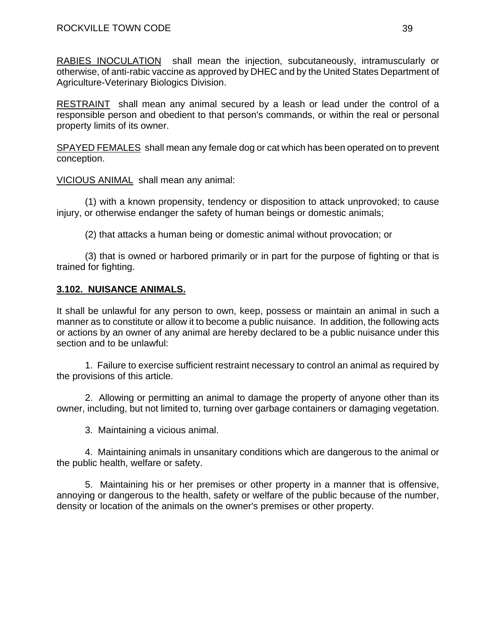RABIES INOCULATION shall mean the injection, subcutaneously, intramuscularly or otherwise, of anti-rabic vaccine as approved by DHEC and by the United States Department of Agriculture-Veterinary Biologics Division.

RESTRAINT shall mean any animal secured by a leash or lead under the control of a responsible person and obedient to that person's commands, or within the real or personal property limits of its owner.

SPAYED FEMALES shall mean any female dog or cat which has been operated on to prevent conception.

VICIOUS ANIMAL shall mean any animal:

 (1) with a known propensity, tendency or disposition to attack unprovoked; to cause injury, or otherwise endanger the safety of human beings or domestic animals;

(2) that attacks a human being or domestic animal without provocation; or

 (3) that is owned or harbored primarily or in part for the purpose of fighting or that is trained for fighting.

## **3.102. NUISANCE ANIMALS.**

It shall be unlawful for any person to own, keep, possess or maintain an animal in such a manner as to constitute or allow it to become a public nuisance. In addition, the following acts or actions by an owner of any animal are hereby declared to be a public nuisance under this section and to be unlawful:

 1. Failure to exercise sufficient restraint necessary to control an animal as required by the provisions of this article.

 2. Allowing or permitting an animal to damage the property of anyone other than its owner, including, but not limited to, turning over garbage containers or damaging vegetation.

3. Maintaining a vicious animal.

 4. Maintaining animals in unsanitary conditions which are dangerous to the animal or the public health, welfare or safety.

 5. Maintaining his or her premises or other property in a manner that is offensive, annoying or dangerous to the health, safety or welfare of the public because of the number, density or location of the animals on the owner's premises or other property.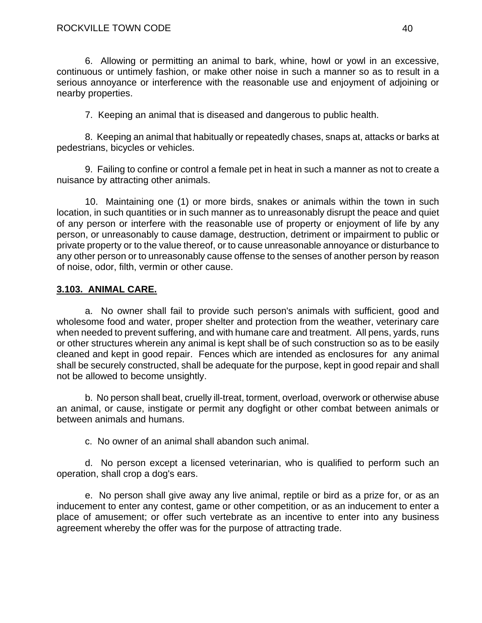#### ROCKVILLE TOWN CODE 40

 6. Allowing or permitting an animal to bark, whine, howl or yowl in an excessive, continuous or untimely fashion, or make other noise in such a manner so as to result in a serious annoyance or interference with the reasonable use and enjoyment of adjoining or nearby properties.

7. Keeping an animal that is diseased and dangerous to public health.

 8. Keeping an animal that habitually or repeatedly chases, snaps at, attacks or barks at pedestrians, bicycles or vehicles.

 9. Failing to confine or control a female pet in heat in such a manner as not to create a nuisance by attracting other animals.

 10. Maintaining one (1) or more birds, snakes or animals within the town in such location, in such quantities or in such manner as to unreasonably disrupt the peace and quiet of any person or interfere with the reasonable use of property or enjoyment of life by any person, or unreasonably to cause damage, destruction, detriment or impairment to public or private property or to the value thereof, or to cause unreasonable annoyance or disturbance to any other person or to unreasonably cause offense to the senses of another person by reason of noise, odor, filth, vermin or other cause.

## **3.103. ANIMAL CARE.**

a. No owner shall fail to provide such person's animals with sufficient, good and wholesome food and water, proper shelter and protection from the weather, veterinary care when needed to prevent suffering, and with humane care and treatment. All pens, yards, runs or other structures wherein any animal is kept shall be of such construction so as to be easily cleaned and kept in good repair. Fences which are intended as enclosures for any animal shall be securely constructed, shall be adequate for the purpose, kept in good repair and shall not be allowed to become unsightly.

b. No person shall beat, cruelly ill-treat, torment, overload, overwork or otherwise abuse an animal, or cause, instigate or permit any dogfight or other combat between animals or between animals and humans.

c. No owner of an animal shall abandon such animal.

d. No person except a licensed veterinarian, who is qualified to perform such an operation, shall crop a dog's ears.

e. No person shall give away any live animal, reptile or bird as a prize for, or as an inducement to enter any contest, game or other competition, or as an inducement to enter a place of amusement; or offer such vertebrate as an incentive to enter into any business agreement whereby the offer was for the purpose of attracting trade.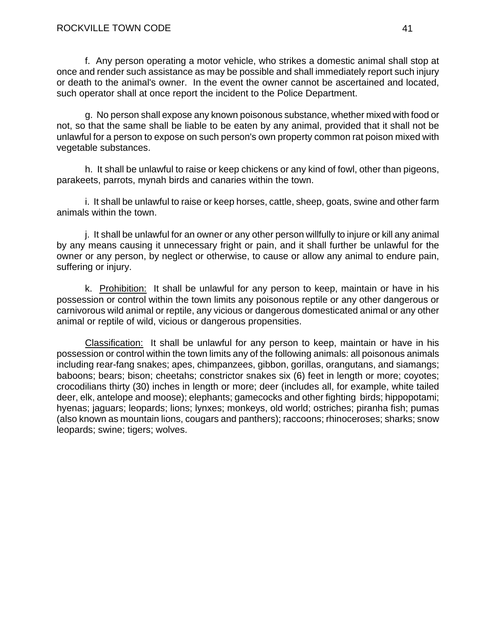f. Any person operating a motor vehicle, who strikes a domestic animal shall stop at once and render such assistance as may be possible and shall immediately report such injury or death to the animal's owner. In the event the owner cannot be ascertained and located, such operator shall at once report the incident to the Police Department.

g. No person shall expose any known poisonous substance, whether mixed with food or not, so that the same shall be liable to be eaten by any animal, provided that it shall not be unlawful for a person to expose on such person's own property common rat poison mixed with vegetable substances.

h. It shall be unlawful to raise or keep chickens or any kind of fowl, other than pigeons, parakeets, parrots, mynah birds and canaries within the town.

i. It shall be unlawful to raise or keep horses, cattle, sheep, goats, swine and other farm animals within the town.

j. It shall be unlawful for an owner or any other person willfully to injure or kill any animal by any means causing it unnecessary fright or pain, and it shall further be unlawful for the owner or any person, by neglect or otherwise, to cause or allow any animal to endure pain, suffering or injury.

k. Prohibition: It shall be unlawful for any person to keep, maintain or have in his possession or control within the town limits any poisonous reptile or any other dangerous or carnivorous wild animal or reptile, any vicious or dangerous domesticated animal or any other animal or reptile of wild, vicious or dangerous propensities.

Classification: It shall be unlawful for any person to keep, maintain or have in his possession or control within the town limits any of the following animals: all poisonous animals including rear-fang snakes; apes, chimpanzees, gibbon, gorillas, orangutans, and siamangs; baboons; bears; bison; cheetahs; constrictor snakes six (6) feet in length or more; coyotes; crocodilians thirty (30) inches in length or more; deer (includes all, for example, white tailed deer, elk, antelope and moose); elephants; gamecocks and other fighting birds; hippopotami; hyenas; jaguars; leopards; lions; lynxes; monkeys, old world; ostriches; piranha fish; pumas (also known as mountain lions, cougars and panthers); raccoons; rhinoceroses; sharks; snow leopards; swine; tigers; wolves.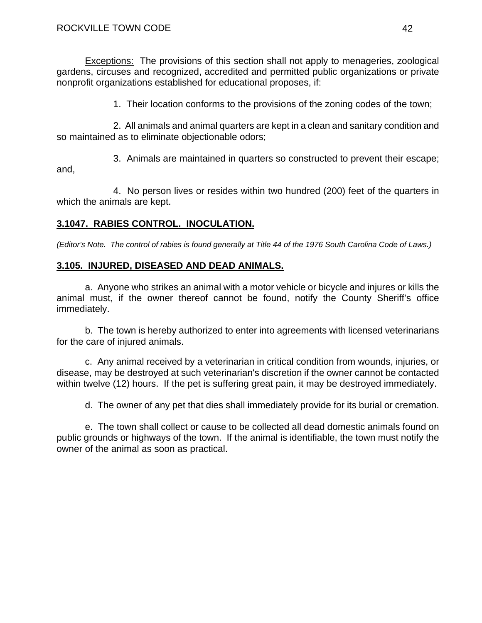Exceptions: The provisions of this section shall not apply to menageries, zoological gardens, circuses and recognized, accredited and permitted public organizations or private nonprofit organizations established for educational proposes, if:

1. Their location conforms to the provisions of the zoning codes of the town;

 2. All animals and animal quarters are kept in a clean and sanitary condition and so maintained as to eliminate objectionable odors;

 3. Animals are maintained in quarters so constructed to prevent their escape; and,

 4. No person lives or resides within two hundred (200) feet of the quarters in which the animals are kept.

# **3.1047. RABIES CONTROL. INOCULATION.**

*(Editor's Note. The control of rabies is found generally at Title 44 of the 1976 South Carolina Code of Laws.)* 

## **3.105. INJURED, DISEASED AND DEAD ANIMALS.**

a. Anyone who strikes an animal with a motor vehicle or bicycle and injures or kills the animal must, if the owner thereof cannot be found, notify the County Sheriff's office immediately.

b. The town is hereby authorized to enter into agreements with licensed veterinarians for the care of injured animals.

c. Any animal received by a veterinarian in critical condition from wounds, injuries, or disease, may be destroyed at such veterinarian's discretion if the owner cannot be contacted within twelve (12) hours. If the pet is suffering great pain, it may be destroyed immediately.

d. The owner of any pet that dies shall immediately provide for its burial or cremation.

e. The town shall collect or cause to be collected all dead domestic animals found on public grounds or highways of the town. If the animal is identifiable, the town must notify the owner of the animal as soon as practical.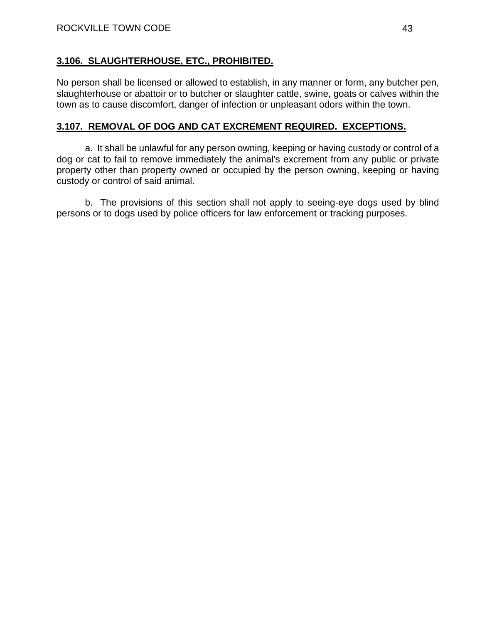## **3.106. SLAUGHTERHOUSE, ETC., PROHIBITED.**

No person shall be licensed or allowed to establish, in any manner or form, any butcher pen, slaughterhouse or abattoir or to butcher or slaughter cattle, swine, goats or calves within the town as to cause discomfort, danger of infection or unpleasant odors within the town.

## **3.107. REMOVAL OF DOG AND CAT EXCREMENT REQUIRED. EXCEPTIONS.**

a. It shall be unlawful for any person owning, keeping or having custody or control of a dog or cat to fail to remove immediately the animal's excrement from any public or private property other than property owned or occupied by the person owning, keeping or having custody or control of said animal.

b. The provisions of this section shall not apply to seeing-eye dogs used by blind persons or to dogs used by police officers for law enforcement or tracking purposes.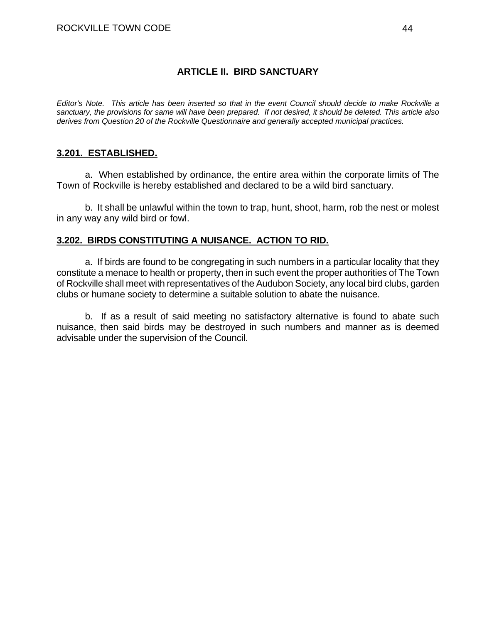## **ARTICLE II. BIRD SANCTUARY**

*Editor's Note. This article has been inserted so that in the event Council should decide to make Rockville a sanctuary, the provisions for same will have been prepared. If not desired, it should be deleted. This article also derives from Question 20 of the Rockville Questionnaire and generally accepted municipal practices.* 

## **3.201. ESTABLISHED.**

 a. When established by ordinance, the entire area within the corporate limits of The Town of Rockville is hereby established and declared to be a wild bird sanctuary.

 b. It shall be unlawful within the town to trap, hunt, shoot, harm, rob the nest or molest in any way any wild bird or fowl.

## **3.202. BIRDS CONSTITUTING A NUISANCE. ACTION TO RID.**

a. If birds are found to be congregating in such numbers in a particular locality that they constitute a menace to health or property, then in such event the proper authorities of The Town of Rockville shall meet with representatives of the Audubon Society, any local bird clubs, garden clubs or humane society to determine a suitable solution to abate the nuisance.

b. If as a result of said meeting no satisfactory alternative is found to abate such nuisance, then said birds may be destroyed in such numbers and manner as is deemed advisable under the supervision of the Council.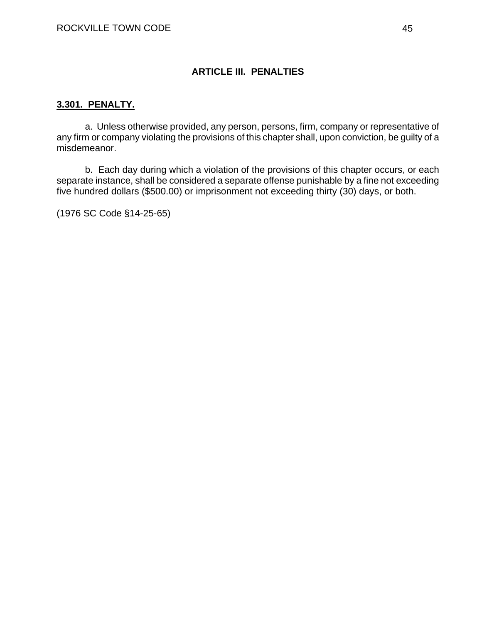## **ARTICLE III. PENALTIES**

### **3.301. PENALTY.**

a. Unless otherwise provided, any person, persons, firm, company or representative of any firm or company violating the provisions of this chapter shall, upon conviction, be guilty of a misdemeanor.

b. Each day during which a violation of the provisions of this chapter occurs, or each separate instance, shall be considered a separate offense punishable by a fine not exceeding five hundred dollars (\$500.00) or imprisonment not exceeding thirty (30) days, or both.

(1976 SC Code §14-25-65)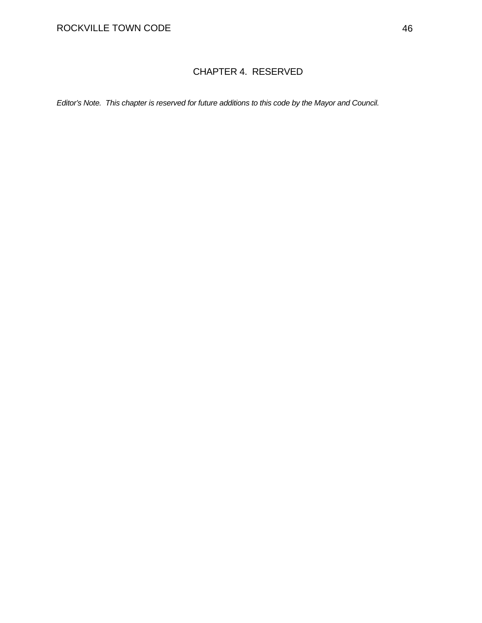# CHAPTER 4. RESERVED

*Editor's Note. This chapter is reserved for future additions to this code by the Mayor and Council.*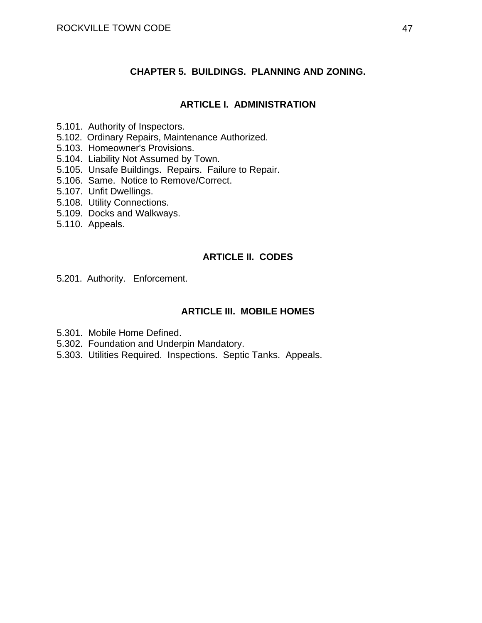### **CHAPTER 5. BUILDINGS. PLANNING AND ZONING.**

### **ARTICLE I. ADMINISTRATION**

- 5.101. Authority of Inspectors.
- 5.102. Ordinary Repairs, Maintenance Authorized.
- 5.103. Homeowner's Provisions.
- 5.104. Liability Not Assumed by Town.
- 5.105. Unsafe Buildings. Repairs. Failure to Repair.
- 5.106. Same. Notice to Remove/Correct.
- 5.107. Unfit Dwellings.
- 5.108. Utility Connections.
- 5.109. Docks and Walkways.
- 5.110. Appeals.

## **ARTICLE II. CODES**

5.201. Authority. Enforcement.

## **ARTICLE III. MOBILE HOMES**

- 5.301. Mobile Home Defined.
- 5.302. Foundation and Underpin Mandatory.
- 5.303. Utilities Required. Inspections. Septic Tanks. Appeals.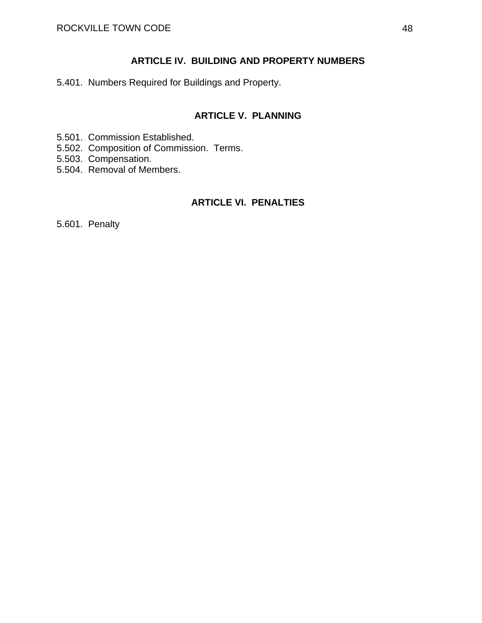## **ARTICLE IV. BUILDING AND PROPERTY NUMBERS**

5.401. Numbers Required for Buildings and Property.

# **ARTICLE V. PLANNING**

- 5.501. Commission Established.
- 5.502. Composition of Commission. Terms.
- 5.503. Compensation.
- 5.504. Removal of Members.

## **ARTICLE VI. PENALTIES**

5.601. Penalty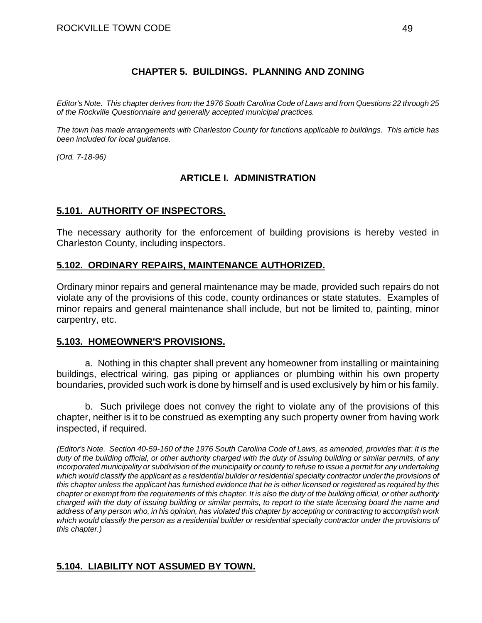## **CHAPTER 5. BUILDINGS. PLANNING AND ZONING**

*Editor's Note. This chapter derives from the 1976 South Carolina Code of Laws and from Questions 22 through 25 of the Rockville Questionnaire and generally accepted municipal practices.* 

*The town has made arrangements with Charleston County for functions applicable to buildings. This article has been included for local guidance.* 

*(Ord. 7-18-96)* 

## **ARTICLE I. ADMINISTRATION**

## **5.101. AUTHORITY OF INSPECTORS.**

The necessary authority for the enforcement of building provisions is hereby vested in Charleston County, including inspectors.

## **5.102. ORDINARY REPAIRS, MAINTENANCE AUTHORIZED.**

Ordinary minor repairs and general maintenance may be made, provided such repairs do not violate any of the provisions of this code, county ordinances or state statutes. Examples of minor repairs and general maintenance shall include, but not be limited to, painting, minor carpentry, etc.

### **5.103. HOMEOWNER'S PROVISIONS.**

a. Nothing in this chapter shall prevent any homeowner from installing or maintaining buildings, electrical wiring, gas piping or appliances or plumbing within his own property boundaries, provided such work is done by himself and is used exclusively by him or his family.

b. Such privilege does not convey the right to violate any of the provisions of this chapter, neither is it to be construed as exempting any such property owner from having work inspected, if required.

*(Editor's Note. Section 40-59-160 of the 1976 South Carolina Code of Laws, as amended, provides that: It is the duty of the building official, or other authority charged with the duty of issuing building or similar permits, of any incorporated municipality or subdivision of the municipality or county to refuse to issue a permit for any undertaking which would classify the applicant as a residential builder or residential specialty contractor under the provisions of this chapter unless the applicant has furnished evidence that he is either licensed or registered as required by this chapter or exempt from the requirements of this chapter. It is also the duty of the building official, or other authority charged with the duty of issuing building or similar permits, to report to the state licensing board the name and address of any person who, in his opinion, has violated this chapter by accepting or contracting to accomplish work which would classify the person as a residential builder or residential specialty contractor under the provisions of this chapter.)* 

## **5.104. LIABILITY NOT ASSUMED BY TOWN.**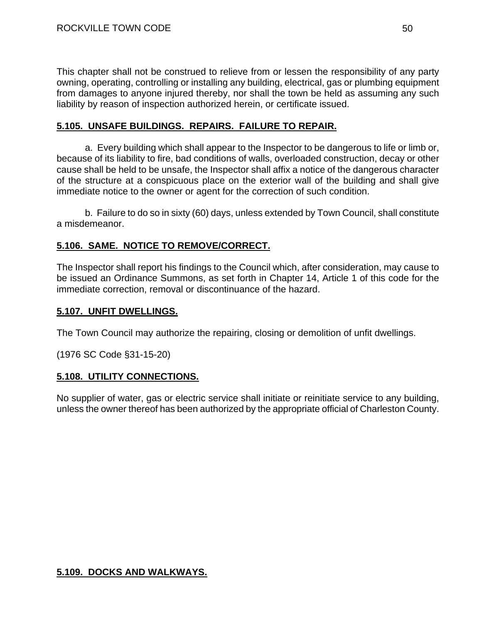This chapter shall not be construed to relieve from or lessen the responsibility of any party owning, operating, controlling or installing any building, electrical, gas or plumbing equipment from damages to anyone injured thereby, nor shall the town be held as assuming any such liability by reason of inspection authorized herein, or certificate issued.

## **5.105. UNSAFE BUILDINGS. REPAIRS. FAILURE TO REPAIR.**

a. Every building which shall appear to the Inspector to be dangerous to life or limb or, because of its liability to fire, bad conditions of walls, overloaded construction, decay or other cause shall be held to be unsafe, the Inspector shall affix a notice of the dangerous character of the structure at a conspicuous place on the exterior wall of the building and shall give immediate notice to the owner or agent for the correction of such condition.

 b. Failure to do so in sixty (60) days, unless extended by Town Council, shall constitute a misdemeanor.

## **5.106. SAME. NOTICE TO REMOVE/CORRECT.**

The Inspector shall report his findings to the Council which, after consideration, may cause to be issued an Ordinance Summons, as set forth in Chapter 14, Article 1 of this code for the immediate correction, removal or discontinuance of the hazard.

### **5.107. UNFIT DWELLINGS.**

The Town Council may authorize the repairing, closing or demolition of unfit dwellings.

(1976 SC Code §31-15-20)

### **5.108. UTILITY CONNECTIONS.**

No supplier of water, gas or electric service shall initiate or reinitiate service to any building, unless the owner thereof has been authorized by the appropriate official of Charleston County.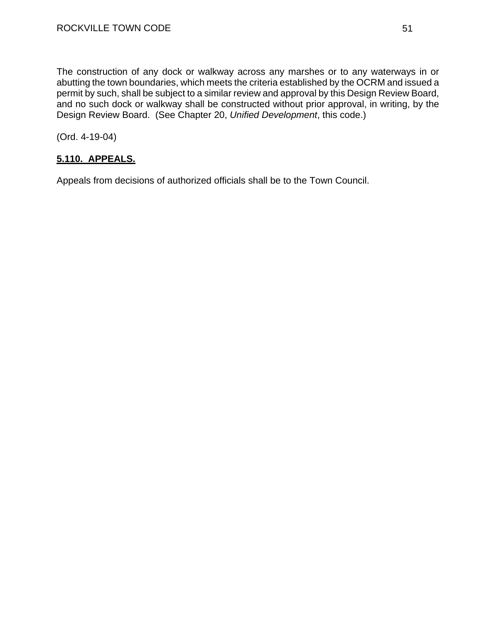The construction of any dock or walkway across any marshes or to any waterways in or abutting the town boundaries, which meets the criteria established by the OCRM and issued a permit by such, shall be subject to a similar review and approval by this Design Review Board, and no such dock or walkway shall be constructed without prior approval, in writing, by the Design Review Board. (See Chapter 20, *Unified Development*, this code.)

(Ord. 4-19-04)

# **5.110. APPEALS.**

Appeals from decisions of authorized officials shall be to the Town Council.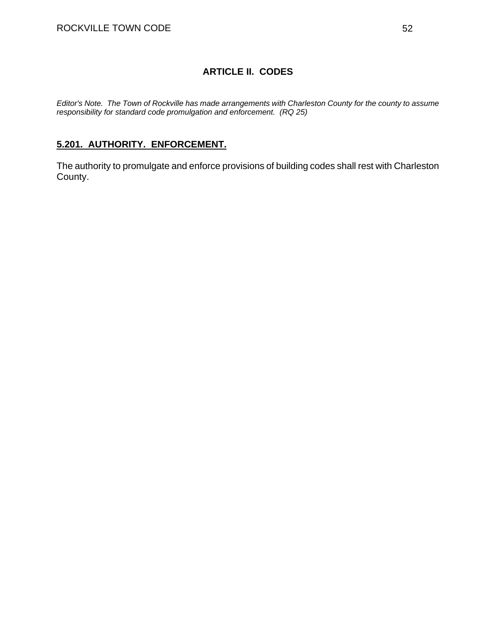# **ARTICLE II. CODES**

*Editor's Note. The Town of Rockville has made arrangements with Charleston County for the county to assume responsibility for standard code promulgation and enforcement. (RQ 25)* 

## **5.201. AUTHORITY. ENFORCEMENT.**

The authority to promulgate and enforce provisions of building codes shall rest with Charleston County.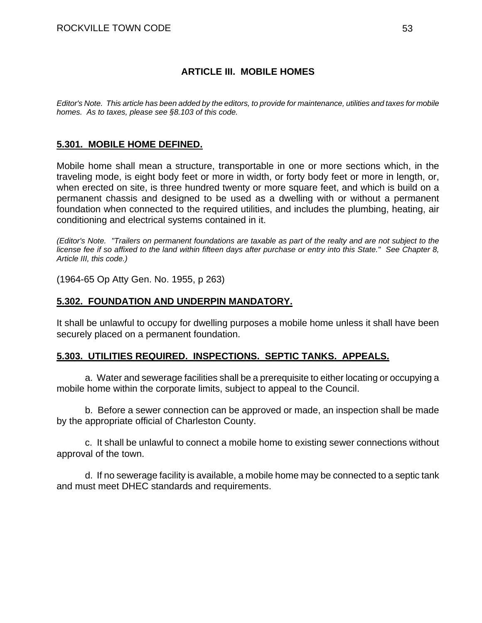## **ARTICLE III. MOBILE HOMES**

*Editor's Note. This article has been added by the editors, to provide for maintenance, utilities and taxes for mobile homes. As to taxes, please see §8.103 of this code.* 

## **5.301. MOBILE HOME DEFINED.**

Mobile home shall mean a structure, transportable in one or more sections which, in the traveling mode, is eight body feet or more in width, or forty body feet or more in length, or, when erected on site, is three hundred twenty or more square feet, and which is build on a permanent chassis and designed to be used as a dwelling with or without a permanent foundation when connected to the required utilities, and includes the plumbing, heating, air conditioning and electrical systems contained in it.

*(Editor's Note. "Trailers on permanent foundations are taxable as part of the realty and are not subject to the license fee if so affixed to the land within fifteen days after purchase or entry into this State." See Chapter 8, Article III, this code.)* 

(1964-65 Op Atty Gen. No. 1955, p 263)

## **5.302. FOUNDATION AND UNDERPIN MANDATORY.**

It shall be unlawful to occupy for dwelling purposes a mobile home unless it shall have been securely placed on a permanent foundation.

### **5.303. UTILITIES REQUIRED. INSPECTIONS. SEPTIC TANKS. APPEALS.**

a. Water and sewerage facilities shall be a prerequisite to either locating or occupying a mobile home within the corporate limits, subject to appeal to the Council.

b. Before a sewer connection can be approved or made, an inspection shall be made by the appropriate official of Charleston County.

c. It shall be unlawful to connect a mobile home to existing sewer connections without approval of the town.

d. If no sewerage facility is available, a mobile home may be connected to a septic tank and must meet DHEC standards and requirements.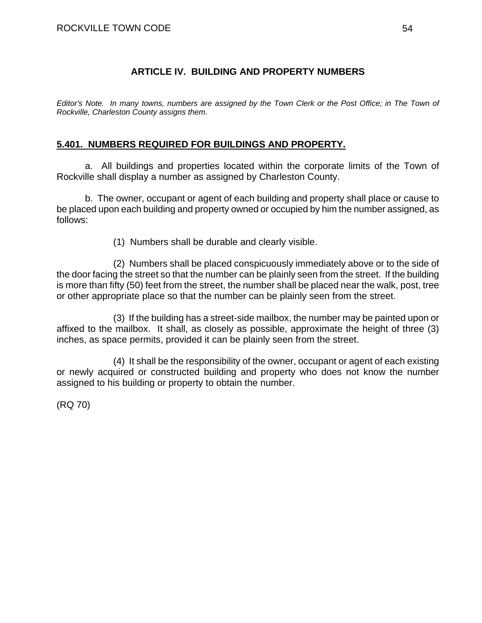## **ARTICLE IV. BUILDING AND PROPERTY NUMBERS**

*Editor's Note. In many towns, numbers are assigned by the Town Clerk or the Post Office; in The Town of Rockville, Charleston County assigns them.* 

## **5.401. NUMBERS REQUIRED FOR BUILDINGS AND PROPERTY.**

a. All buildings and properties located within the corporate limits of the Town of Rockville shall display a number as assigned by Charleston County.

b. The owner, occupant or agent of each building and property shall place or cause to be placed upon each building and property owned or occupied by him the number assigned, as follows:

(1) Numbers shall be durable and clearly visible.

(2) Numbers shall be placed conspicuously immediately above or to the side of the door facing the street so that the number can be plainly seen from the street. If the building is more than fifty (50) feet from the street, the number shall be placed near the walk, post, tree or other appropriate place so that the number can be plainly seen from the street.

(3) If the building has a street-side mailbox, the number may be painted upon or affixed to the mailbox. It shall, as closely as possible, approximate the height of three (3) inches, as space permits, provided it can be plainly seen from the street.

(4) It shall be the responsibility of the owner, occupant or agent of each existing or newly acquired or constructed building and property who does not know the number assigned to his building or property to obtain the number.

(RQ 70)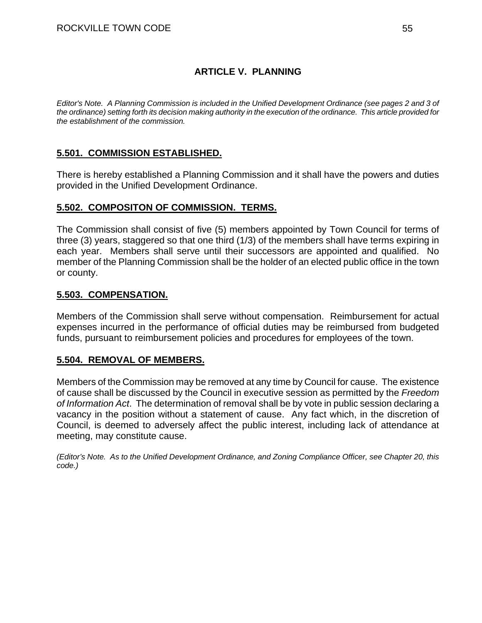# **ARTICLE V. PLANNING**

*Editor's Note. A Planning Commission is included in the Unified Development Ordinance (see pages 2 and 3 of the ordinance) setting forth its decision making authority in the execution of the ordinance. This article provided for the establishment of the commission.* 

## **5.501. COMMISSION ESTABLISHED.**

There is hereby established a Planning Commission and it shall have the powers and duties provided in the Unified Development Ordinance.

### **5.502. COMPOSITON OF COMMISSION. TERMS.**

The Commission shall consist of five (5) members appointed by Town Council for terms of three (3) years, staggered so that one third (1/3) of the members shall have terms expiring in each year. Members shall serve until their successors are appointed and qualified. No member of the Planning Commission shall be the holder of an elected public office in the town or county.

## **5.503. COMPENSATION.**

Members of the Commission shall serve without compensation. Reimbursement for actual expenses incurred in the performance of official duties may be reimbursed from budgeted funds, pursuant to reimbursement policies and procedures for employees of the town.

## **5.504. REMOVAL OF MEMBERS.**

Members of the Commission may be removed at any time by Council for cause. The existence of cause shall be discussed by the Council in executive session as permitted by the *Freedom of Information Act*. The determination of removal shall be by vote in public session declaring a vacancy in the position without a statement of cause. Any fact which, in the discretion of Council, is deemed to adversely affect the public interest, including lack of attendance at meeting, may constitute cause.

*(Editor's Note. As to the Unified Development Ordinance, and Zoning Compliance Officer, see Chapter 20, this code.)*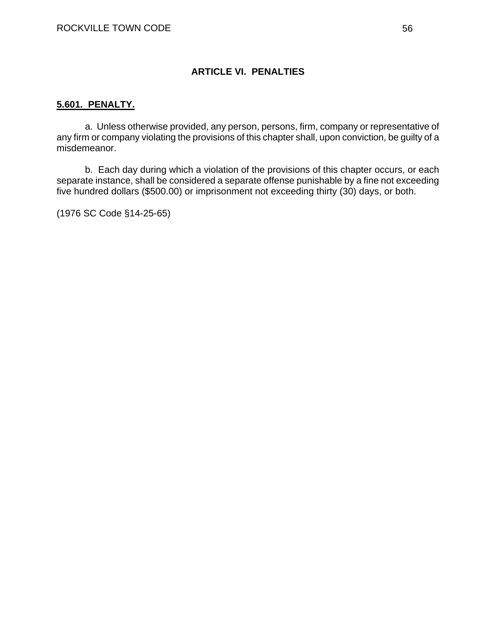## **ARTICLE VI. PENALTIES**

### **5.601. PENALTY.**

a. Unless otherwise provided, any person, persons, firm, company or representative of any firm or company violating the provisions of this chapter shall, upon conviction, be guilty of a misdemeanor.

b. Each day during which a violation of the provisions of this chapter occurs, or each separate instance, shall be considered a separate offense punishable by a fine not exceeding five hundred dollars (\$500.00) or imprisonment not exceeding thirty (30) days, or both.

(1976 SC Code §14-25-65)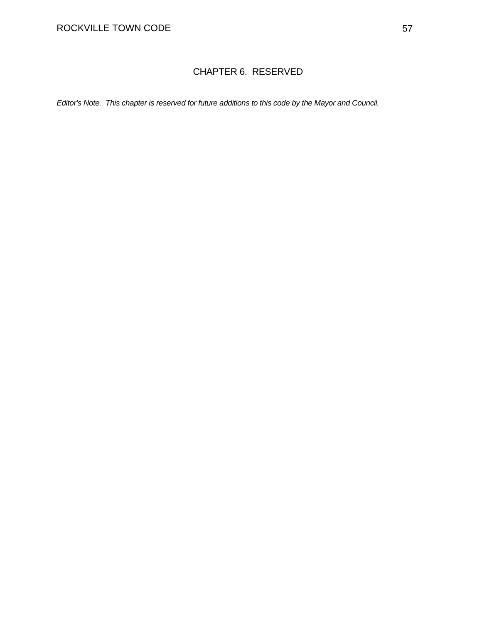# CHAPTER 6. RESERVED

*Editor's Note. This chapter is reserved for future additions to this code by the Mayor and Council.*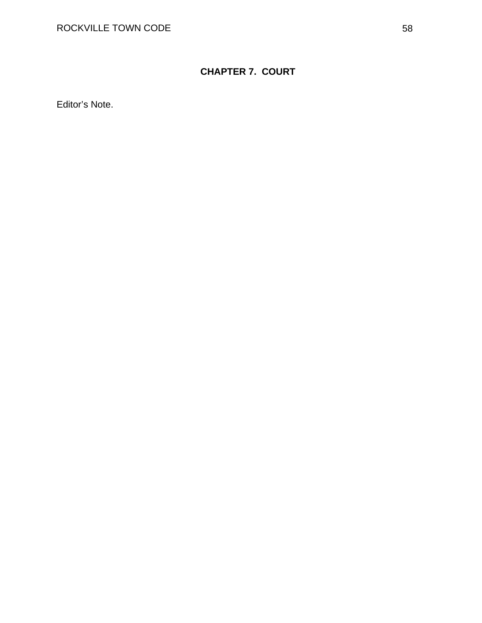# **CHAPTER 7. COURT**

Editor's Note.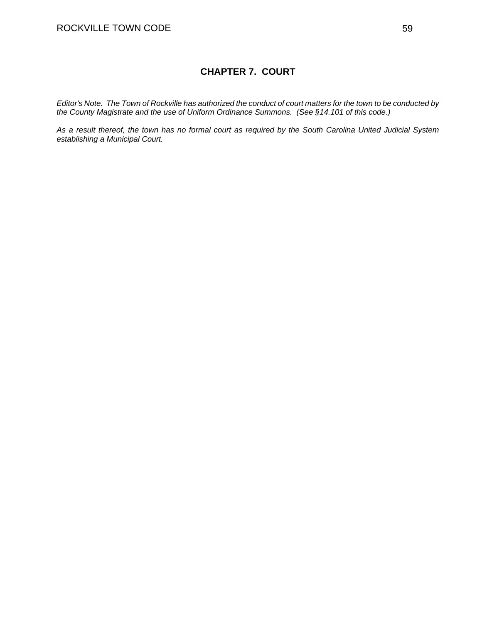### **CHAPTER 7. COURT**

*Editor's Note. The Town of Rockville has authorized the conduct of court matters for the town to be conducted by the County Magistrate and the use of Uniform Ordinance Summons. (See §14.101 of this code.)* 

*As a result thereof, the town has no formal court as required by the South Carolina United Judicial System establishing a Municipal Court.*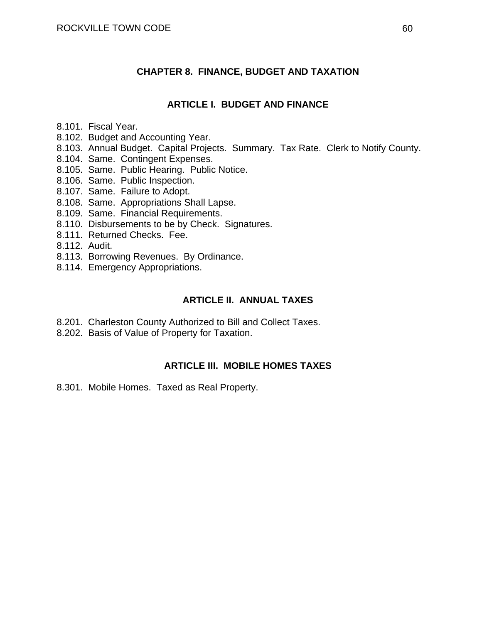## **CHAPTER 8. FINANCE, BUDGET AND TAXATION**

### **ARTICLE I. BUDGET AND FINANCE**

- 8.101. Fiscal Year.
- 8.102. Budget and Accounting Year.
- 8.103. Annual Budget. Capital Projects. Summary. Tax Rate. Clerk to Notify County.
- 8.104. Same. Contingent Expenses.
- 8.105. Same. Public Hearing. Public Notice.
- 8.106. Same. Public Inspection.
- 8.107. Same. Failure to Adopt.
- 8.108. Same. Appropriations Shall Lapse.
- 8.109. Same. Financial Requirements.
- 8.110. Disbursements to be by Check. Signatures.
- 8.111. Returned Checks. Fee.
- 8.112. Audit.
- 8.113. Borrowing Revenues. By Ordinance.
- 8.114. Emergency Appropriations.

## **ARTICLE II. ANNUAL TAXES**

- 8.201. Charleston County Authorized to Bill and Collect Taxes.
- 8.202. Basis of Value of Property for Taxation.

### **ARTICLE III. MOBILE HOMES TAXES**

8.301. Mobile Homes. Taxed as Real Property.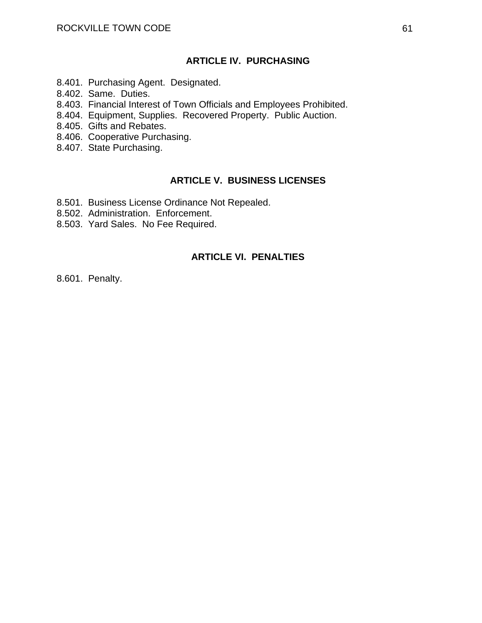### **ARTICLE IV. PURCHASING**

- 8.401. Purchasing Agent. Designated.
- 8.402. Same. Duties.
- 8.403. Financial Interest of Town Officials and Employees Prohibited.
- 8.404. Equipment, Supplies. Recovered Property. Public Auction.
- 8.405. Gifts and Rebates.
- 8.406. Cooperative Purchasing.
- 8.407. State Purchasing.

#### **ARTICLE V. BUSINESS LICENSES**

- 8.501. Business License Ordinance Not Repealed.
- 8.502. Administration. Enforcement.
- 8.503. Yard Sales. No Fee Required.

### **ARTICLE VI. PENALTIES**

8.601. Penalty.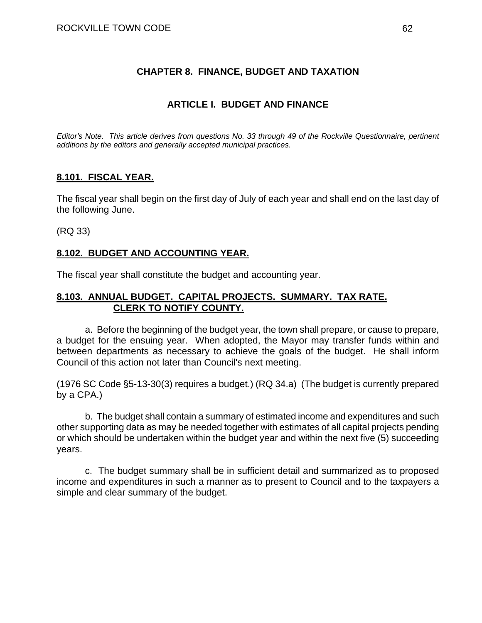## **CHAPTER 8. FINANCE, BUDGET AND TAXATION**

## **ARTICLE I. BUDGET AND FINANCE**

*Editor's Note. This article derives from questions No. 33 through 49 of the Rockville Questionnaire, pertinent additions by the editors and generally accepted municipal practices.* 

## **8.101. FISCAL YEAR.**

The fiscal year shall begin on the first day of July of each year and shall end on the last day of the following June.

(RQ 33)

## **8.102. BUDGET AND ACCOUNTING YEAR.**

The fiscal year shall constitute the budget and accounting year.

## **8.103. ANNUAL BUDGET. CAPITAL PROJECTS. SUMMARY. TAX RATE. CLERK TO NOTIFY COUNTY.**

a. Before the beginning of the budget year, the town shall prepare, or cause to prepare, a budget for the ensuing year. When adopted, the Mayor may transfer funds within and between departments as necessary to achieve the goals of the budget. He shall inform Council of this action not later than Council's next meeting.

(1976 SC Code §5-13-30(3) requires a budget.) (RQ 34.a) (The budget is currently prepared by a CPA.)

b. The budget shall contain a summary of estimated income and expenditures and such other supporting data as may be needed together with estimates of all capital projects pending or which should be undertaken within the budget year and within the next five (5) succeeding years.

c. The budget summary shall be in sufficient detail and summarized as to proposed income and expenditures in such a manner as to present to Council and to the taxpayers a simple and clear summary of the budget.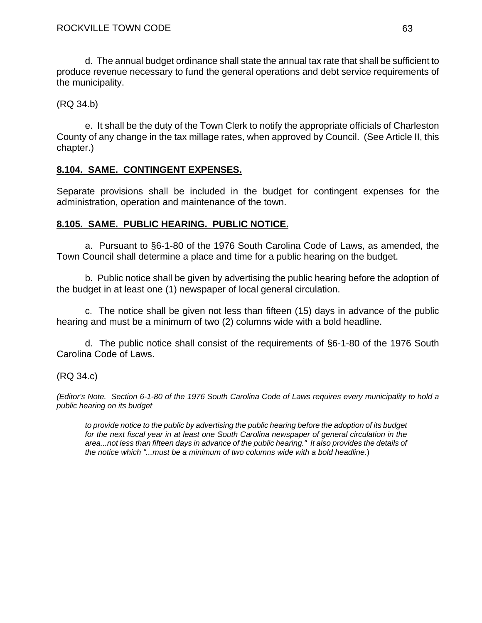d. The annual budget ordinance shall state the annual tax rate that shall be sufficient to produce revenue necessary to fund the general operations and debt service requirements of the municipality.

(RQ 34.b)

e. It shall be the duty of the Town Clerk to notify the appropriate officials of Charleston County of any change in the tax millage rates, when approved by Council. (See Article II, this chapter.)

## **8.104. SAME. CONTINGENT EXPENSES.**

Separate provisions shall be included in the budget for contingent expenses for the administration, operation and maintenance of the town.

## **8.105. SAME. PUBLIC HEARING. PUBLIC NOTICE.**

a. Pursuant to §6-1-80 of the 1976 South Carolina Code of Laws, as amended, the Town Council shall determine a place and time for a public hearing on the budget.

b. Public notice shall be given by advertising the public hearing before the adoption of the budget in at least one (1) newspaper of local general circulation.

c. The notice shall be given not less than fifteen (15) days in advance of the public hearing and must be a minimum of two (2) columns wide with a bold headline.

d. The public notice shall consist of the requirements of §6-1-80 of the 1976 South Carolina Code of Laws.

# (RQ 34.c)

*(Editor's Note. Section 6-1-80 of the 1976 South Carolina Code of Laws requires every municipality to hold a public hearing on its budget* 

*to provide notice to the public by advertising the public hearing before the adoption of its budget for the next fiscal year in at least one South Carolina newspaper of general circulation in the area...not less than fifteen days in advance of the public hearing." It also provides the details of the notice which "...must be a minimum of two columns wide with a bold headline*.)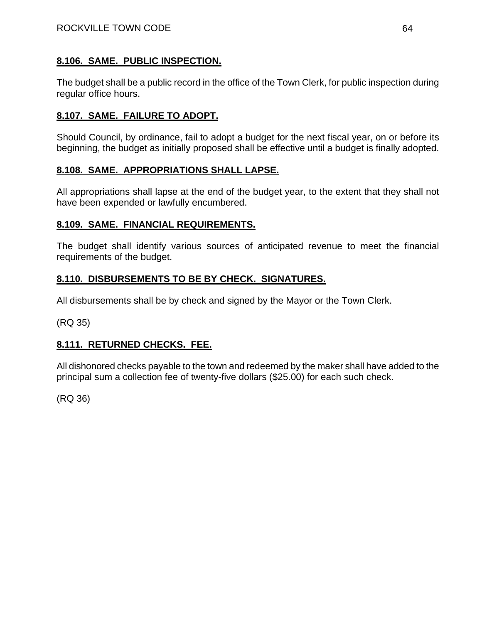# **8.106. SAME. PUBLIC INSPECTION.**

The budget shall be a public record in the office of the Town Clerk, for public inspection during regular office hours.

# **8.107. SAME. FAILURE TO ADOPT.**

Should Council, by ordinance, fail to adopt a budget for the next fiscal year, on or before its beginning, the budget as initially proposed shall be effective until a budget is finally adopted.

# **8.108. SAME. APPROPRIATIONS SHALL LAPSE.**

All appropriations shall lapse at the end of the budget year, to the extent that they shall not have been expended or lawfully encumbered.

## **8.109. SAME. FINANCIAL REQUIREMENTS.**

The budget shall identify various sources of anticipated revenue to meet the financial requirements of the budget.

# **8.110. DISBURSEMENTS TO BE BY CHECK. SIGNATURES.**

All disbursements shall be by check and signed by the Mayor or the Town Clerk.

(RQ 35)

# **8.111. RETURNED CHECKS. FEE.**

All dishonored checks payable to the town and redeemed by the maker shall have added to the principal sum a collection fee of twenty-five dollars (\$25.00) for each such check.

(RQ 36)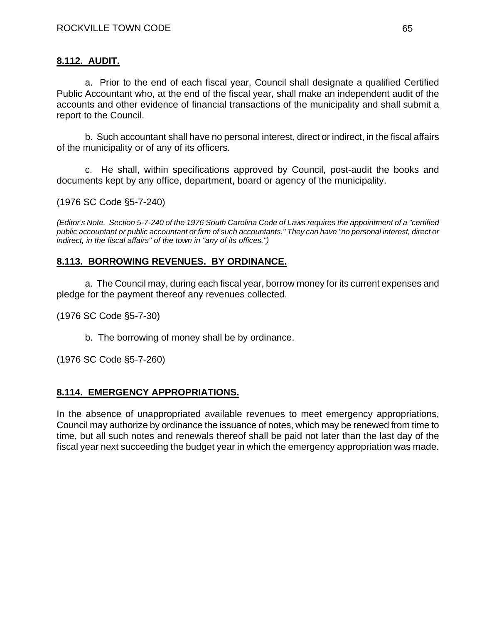# **8.112. AUDIT.**

a. Prior to the end of each fiscal year, Council shall designate a qualified Certified Public Accountant who, at the end of the fiscal year, shall make an independent audit of the accounts and other evidence of financial transactions of the municipality and shall submit a report to the Council.

b. Such accountant shall have no personal interest, direct or indirect, in the fiscal affairs of the municipality or of any of its officers.

c. He shall, within specifications approved by Council, post-audit the books and documents kept by any office, department, board or agency of the municipality.

(1976 SC Code §5-7-240)

*(Editor's Note. Section 5-7-240 of the 1976 South Carolina Code of Laws requires the appointment of a "certified public accountant or public accountant or firm of such accountants." They can have "no personal interest, direct or indirect, in the fiscal affairs" of the town in "any of its offices.")* 

## **8.113. BORROWING REVENUES. BY ORDINANCE.**

a. The Council may, during each fiscal year, borrow money for its current expenses and pledge for the payment thereof any revenues collected.

(1976 SC Code §5-7-30)

b. The borrowing of money shall be by ordinance.

(1976 SC Code §5-7-260)

## **8.114. EMERGENCY APPROPRIATIONS.**

In the absence of unappropriated available revenues to meet emergency appropriations, Council may authorize by ordinance the issuance of notes, which may be renewed from time to time, but all such notes and renewals thereof shall be paid not later than the last day of the fiscal year next succeeding the budget year in which the emergency appropriation was made.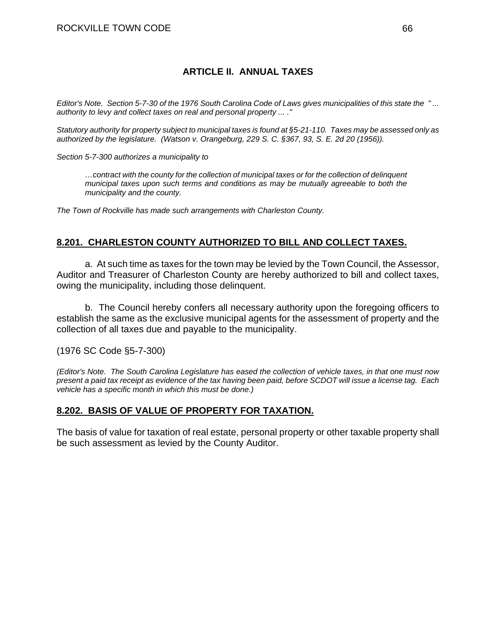## **ARTICLE II. ANNUAL TAXES**

*Editor's Note. Section 5-7-30 of the 1976 South Carolina Code of Laws gives municipalities of this state the " ... authority to levy and collect taxes on real and personal property ... ."* 

*Statutory authority for property subject to municipal taxes is found at §5-21-110. Taxes may be assessed only as authorized by the legislature. (Watson v. Orangeburg, 229 S. C. §367, 93, S. E. 2d 20 (1956)).* 

*Section 5-7-300 authorizes a municipality to* 

*…contract with the county for the collection of municipal taxes or for the collection of delinquent municipal taxes upon such terms and conditions as may be mutually agreeable to both the municipality and the county.* 

*The Town of Rockville has made such arrangements with Charleston County.* 

## **8.201. CHARLESTON COUNTY AUTHORIZED TO BILL AND COLLECT TAXES.**

a. At such time as taxes for the town may be levied by the Town Council, the Assessor, Auditor and Treasurer of Charleston County are hereby authorized to bill and collect taxes, owing the municipality, including those delinquent.

b. The Council hereby confers all necessary authority upon the foregoing officers to establish the same as the exclusive municipal agents for the assessment of property and the collection of all taxes due and payable to the municipality.

(1976 SC Code §5-7-300)

*(Editor's Note. The South Carolina Legislature has eased the collection of vehicle taxes, in that one must now present a paid tax receipt as evidence of the tax having been paid, before SCDOT will issue a license tag. Each vehicle has a specific month in which this must be done.)* 

### **8.202. BASIS OF VALUE OF PROPERTY FOR TAXATION.**

The basis of value for taxation of real estate, personal property or other taxable property shall be such assessment as levied by the County Auditor.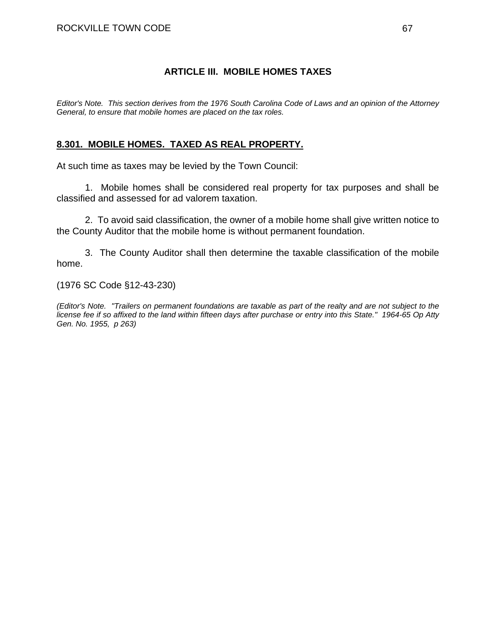## **ARTICLE III. MOBILE HOMES TAXES**

*Editor's Note. This section derives from the 1976 South Carolina Code of Laws and an opinion of the Attorney General, to ensure that mobile homes are placed on the tax roles.* 

## **8.301. MOBILE HOMES. TAXED AS REAL PROPERTY.**

At such time as taxes may be levied by the Town Council:

1. Mobile homes shall be considered real property for tax purposes and shall be classified and assessed for ad valorem taxation.

2. To avoid said classification, the owner of a mobile home shall give written notice to the County Auditor that the mobile home is without permanent foundation.

3. The County Auditor shall then determine the taxable classification of the mobile home.

(1976 SC Code §12-43-230)

*(Editor's Note. "Trailers on permanent foundations are taxable as part of the realty and are not subject to the license fee if so affixed to the land within fifteen days after purchase or entry into this State." 1964-65 Op Atty Gen. No. 1955, p 263)*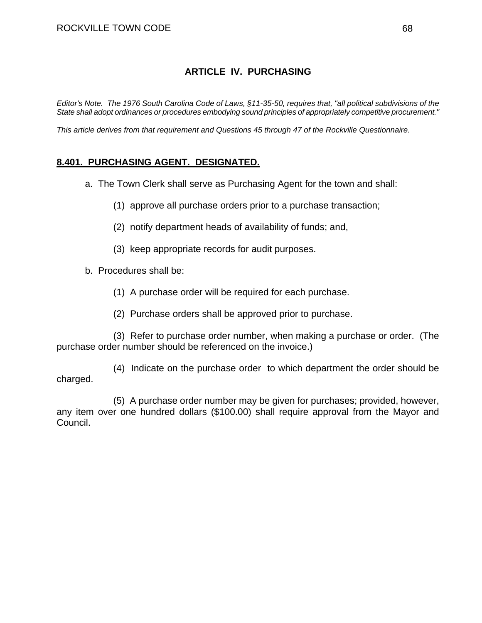## **ARTICLE IV. PURCHASING**

*Editor's Note. The 1976 South Carolina Code of Laws, §11-35-50, requires that, "all political subdivisions of the State shall adopt ordinances or procedures embodying sound principles of appropriately competitive procurement."* 

*This article derives from that requirement and Questions 45 through 47 of the Rockville Questionnaire.* 

## **8.401. PURCHASING AGENT. DESIGNATED.**

- a. The Town Clerk shall serve as Purchasing Agent for the town and shall:
	- (1) approve all purchase orders prior to a purchase transaction;
	- (2) notify department heads of availability of funds; and,
	- (3) keep appropriate records for audit purposes.
- b. Procedures shall be:
	- (1) A purchase order will be required for each purchase.
	- (2) Purchase orders shall be approved prior to purchase.

 (3) Refer to purchase order number, when making a purchase or order. (The purchase order number should be referenced on the invoice.)

 (4) Indicate on the purchase order to which department the order should be charged.

 (5) A purchase order number may be given for purchases; provided, however, any item over one hundred dollars (\$100.00) shall require approval from the Mayor and Council.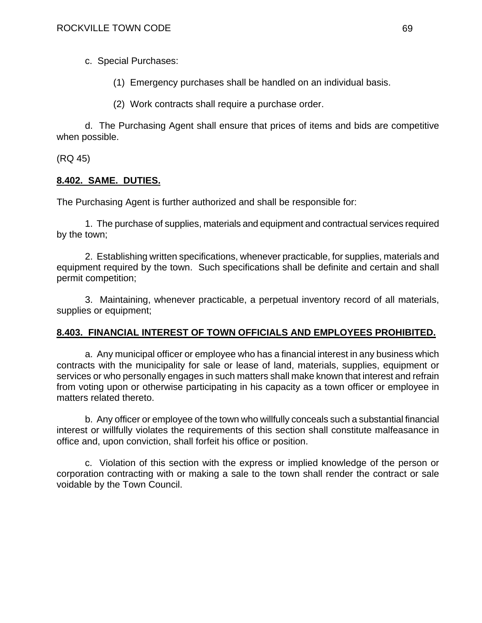c. Special Purchases:

- (1) Emergency purchases shall be handled on an individual basis.
- (2) Work contracts shall require a purchase order.

d. The Purchasing Agent shall ensure that prices of items and bids are competitive when possible.

(RQ 45)

## **8.402. SAME. DUTIES.**

The Purchasing Agent is further authorized and shall be responsible for:

1. The purchase of supplies, materials and equipment and contractual services required by the town;

2. Establishing written specifications, whenever practicable, for supplies, materials and equipment required by the town. Such specifications shall be definite and certain and shall permit competition;

3. Maintaining, whenever practicable, a perpetual inventory record of all materials, supplies or equipment;

# **8.403. FINANCIAL INTEREST OF TOWN OFFICIALS AND EMPLOYEES PROHIBITED.**

a. Any municipal officer or employee who has a financial interest in any business which contracts with the municipality for sale or lease of land, materials, supplies, equipment or services or who personally engages in such matters shall make known that interest and refrain from voting upon or otherwise participating in his capacity as a town officer or employee in matters related thereto.

b. Any officer or employee of the town who willfully conceals such a substantial financial interest or willfully violates the requirements of this section shall constitute malfeasance in office and, upon conviction, shall forfeit his office or position.

c. Violation of this section with the express or implied knowledge of the person or corporation contracting with or making a sale to the town shall render the contract or sale voidable by the Town Council.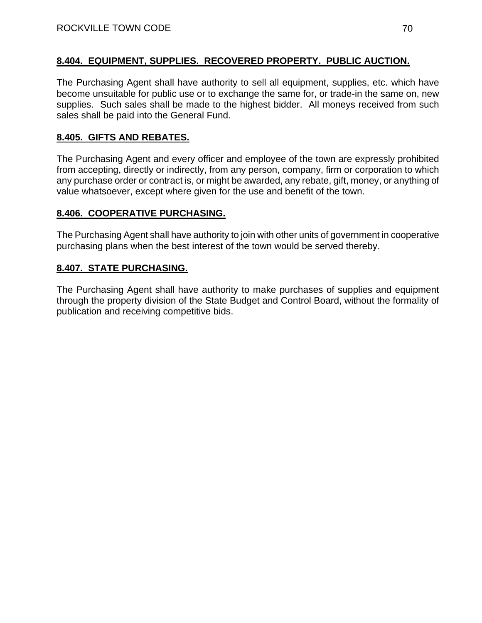## **8.404. EQUIPMENT, SUPPLIES. RECOVERED PROPERTY. PUBLIC AUCTION.**

The Purchasing Agent shall have authority to sell all equipment, supplies, etc. which have become unsuitable for public use or to exchange the same for, or trade-in the same on, new supplies. Such sales shall be made to the highest bidder. All moneys received from such sales shall be paid into the General Fund.

## **8.405. GIFTS AND REBATES.**

The Purchasing Agent and every officer and employee of the town are expressly prohibited from accepting, directly or indirectly, from any person, company, firm or corporation to which any purchase order or contract is, or might be awarded, any rebate, gift, money, or anything of value whatsoever, except where given for the use and benefit of the town.

# **8.406. COOPERATIVE PURCHASING.**

The Purchasing Agent shall have authority to join with other units of government in cooperative purchasing plans when the best interest of the town would be served thereby.

# **8.407. STATE PURCHASING.**

The Purchasing Agent shall have authority to make purchases of supplies and equipment through the property division of the State Budget and Control Board, without the formality of publication and receiving competitive bids.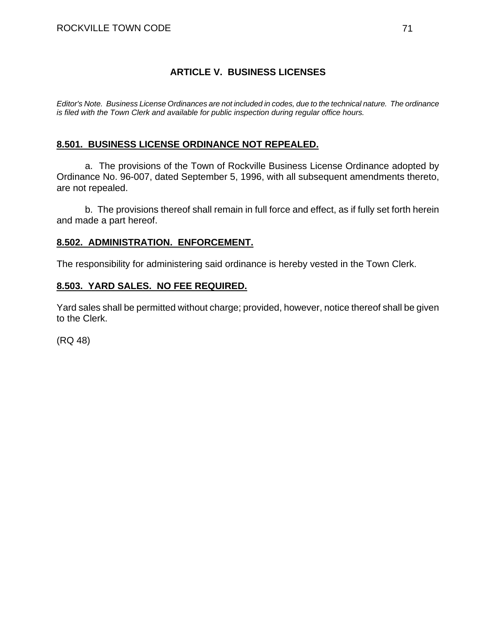## **ARTICLE V. BUSINESS LICENSES**

*Editor's Note. Business License Ordinances are not included in codes, due to the technical nature. The ordinance is filed with the Town Clerk and available for public inspection during regular office hours.* 

## **8.501. BUSINESS LICENSE ORDINANCE NOT REPEALED.**

a. The provisions of the Town of Rockville Business License Ordinance adopted by Ordinance No. 96-007, dated September 5, 1996, with all subsequent amendments thereto, are not repealed.

b. The provisions thereof shall remain in full force and effect, as if fully set forth herein and made a part hereof.

## **8.502. ADMINISTRATION. ENFORCEMENT.**

The responsibility for administering said ordinance is hereby vested in the Town Clerk.

## **8.503. YARD SALES. NO FEE REQUIRED.**

Yard sales shall be permitted without charge; provided, however, notice thereof shall be given to the Clerk.

(RQ 48)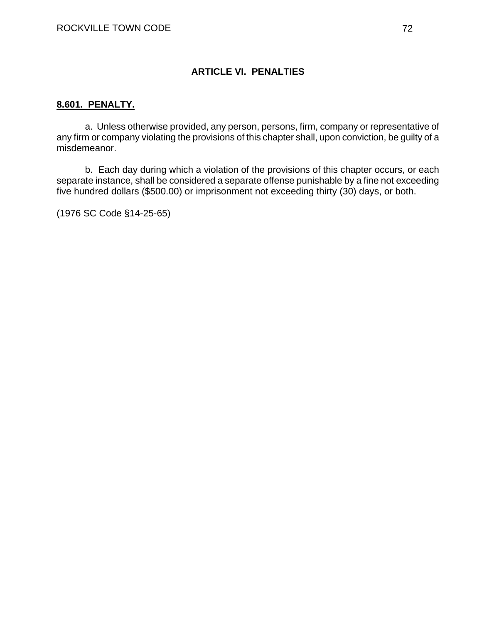## **ARTICLE VI. PENALTIES**

### **8.601. PENALTY.**

a. Unless otherwise provided, any person, persons, firm, company or representative of any firm or company violating the provisions of this chapter shall, upon conviction, be guilty of a misdemeanor.

b. Each day during which a violation of the provisions of this chapter occurs, or each separate instance, shall be considered a separate offense punishable by a fine not exceeding five hundred dollars (\$500.00) or imprisonment not exceeding thirty (30) days, or both.

(1976 SC Code §14-25-65)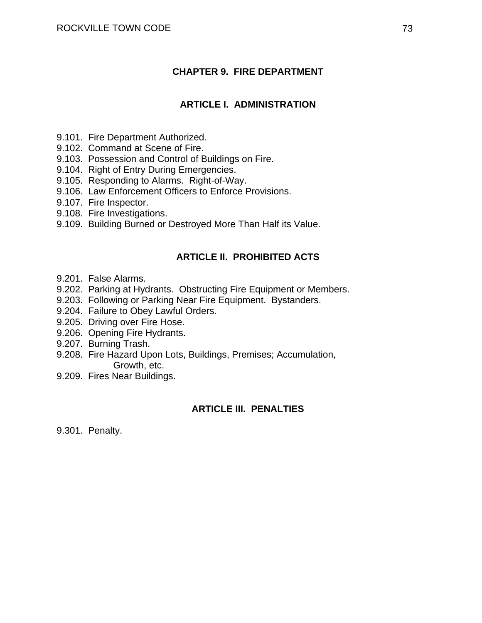## **CHAPTER 9. FIRE DEPARTMENT**

### **ARTICLE I. ADMINISTRATION**

- 9.101. Fire Department Authorized.
- 9.102. Command at Scene of Fire.
- 9.103. Possession and Control of Buildings on Fire.
- 9.104. Right of Entry During Emergencies.
- 9.105. Responding to Alarms. Right-of-Way.
- 9.106. Law Enforcement Officers to Enforce Provisions.
- 9.107. Fire Inspector.
- 9.108. Fire Investigations.
- 9.109. Building Burned or Destroyed More Than Half its Value.

### **ARTICLE II. PROHIBITED ACTS**

- 9.201. False Alarms.
- 9.202. Parking at Hydrants. Obstructing Fire Equipment or Members.
- 9.203. Following or Parking Near Fire Equipment. Bystanders.
- 9.204. Failure to Obey Lawful Orders.
- 9.205. Driving over Fire Hose.
- 9.206. Opening Fire Hydrants.
- 9.207. Burning Trash.
- 9.208. Fire Hazard Upon Lots, Buildings, Premises; Accumulation, Growth, etc.
- 9.209. Fires Near Buildings.

#### **ARTICLE III. PENALTIES**

9.301. Penalty.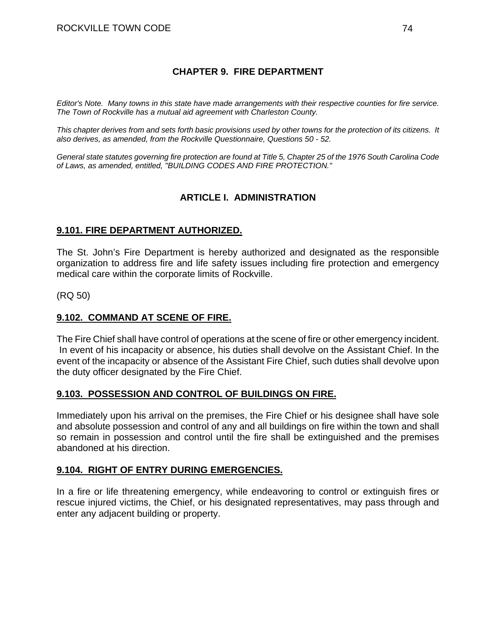## **CHAPTER 9. FIRE DEPARTMENT**

*Editor's Note. Many towns in this state have made arrangements with their respective counties for fire service. The Town of Rockville has a mutual aid agreement with Charleston County.* 

*This chapter derives from and sets forth basic provisions used by other towns for the protection of its citizens. It also derives, as amended, from the Rockville Questionnaire, Questions 50 - 52.* 

*General state statutes governing fire protection are found at Title 5, Chapter 25 of the 1976 South Carolina Code of Laws, as amended, entitled, "BUILDING CODES AND FIRE PROTECTION."* 

## **ARTICLE I. ADMINISTRATION**

### **9.101. FIRE DEPARTMENT AUTHORIZED.**

The St. John's Fire Department is hereby authorized and designated as the responsible organization to address fire and life safety issues including fire protection and emergency medical care within the corporate limits of Rockville.

(RQ 50)

### **9.102. COMMAND AT SCENE OF FIRE.**

The Fire Chief shall have control of operations at the scene of fire or other emergency incident. In event of his incapacity or absence, his duties shall devolve on the Assistant Chief. In the event of the incapacity or absence of the Assistant Fire Chief, such duties shall devolve upon the duty officer designated by the Fire Chief.

#### **9.103. POSSESSION AND CONTROL OF BUILDINGS ON FIRE.**

Immediately upon his arrival on the premises, the Fire Chief or his designee shall have sole and absolute possession and control of any and all buildings on fire within the town and shall so remain in possession and control until the fire shall be extinguished and the premises abandoned at his direction.

#### **9.104. RIGHT OF ENTRY DURING EMERGENCIES.**

In a fire or life threatening emergency, while endeavoring to control or extinguish fires or rescue injured victims, the Chief, or his designated representatives, may pass through and enter any adjacent building or property.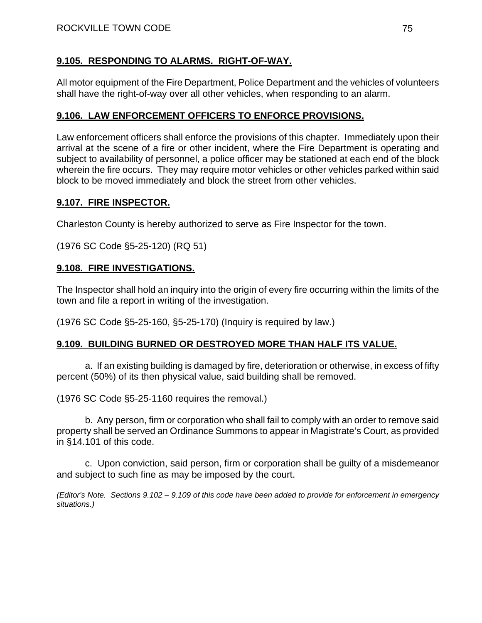## **9.105. RESPONDING TO ALARMS. RIGHT-OF-WAY.**

All motor equipment of the Fire Department, Police Department and the vehicles of volunteers shall have the right-of-way over all other vehicles, when responding to an alarm.

## **9.106. LAW ENFORCEMENT OFFICERS TO ENFORCE PROVISIONS.**

Law enforcement officers shall enforce the provisions of this chapter. Immediately upon their arrival at the scene of a fire or other incident, where the Fire Department is operating and subject to availability of personnel, a police officer may be stationed at each end of the block wherein the fire occurs. They may require motor vehicles or other vehicles parked within said block to be moved immediately and block the street from other vehicles.

## **9.107. FIRE INSPECTOR.**

Charleston County is hereby authorized to serve as Fire Inspector for the town.

(1976 SC Code §5-25-120) (RQ 51)

### **9.108. FIRE INVESTIGATIONS.**

The Inspector shall hold an inquiry into the origin of every fire occurring within the limits of the town and file a report in writing of the investigation.

(1976 SC Code §5-25-160, §5-25-170) (Inquiry is required by law.)

### **9.109. BUILDING BURNED OR DESTROYED MORE THAN HALF ITS VALUE.**

a. If an existing building is damaged by fire, deterioration or otherwise, in excess of fifty percent (50%) of its then physical value, said building shall be removed.

(1976 SC Code §5-25-1160 requires the removal.)

 b. Any person, firm or corporation who shall fail to comply with an order to remove said property shall be served an Ordinance Summons to appear in Magistrate's Court, as provided in §14.101 of this code.

 c. Upon conviction, said person, firm or corporation shall be guilty of a misdemeanor and subject to such fine as may be imposed by the court.

*(Editor's Note. Sections 9.102 – 9.109 of this code have been added to provide for enforcement in emergency situations.)*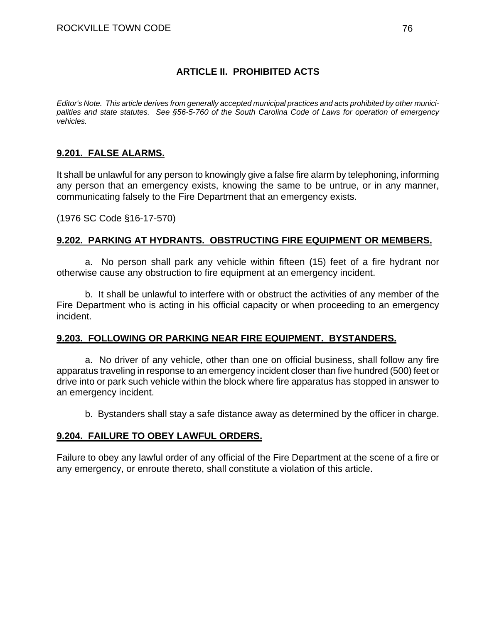## **ARTICLE II. PROHIBITED ACTS**

*Editor's Note. This article derives from generally accepted municipal practices and acts prohibited by other municipalities and state statutes. See §56-5-760 of the South Carolina Code of Laws for operation of emergency vehicles.* 

### **9.201. FALSE ALARMS.**

It shall be unlawful for any person to knowingly give a false fire alarm by telephoning, informing any person that an emergency exists, knowing the same to be untrue, or in any manner, communicating falsely to the Fire Department that an emergency exists.

(1976 SC Code §16-17-570)

### **9.202. PARKING AT HYDRANTS. OBSTRUCTING FIRE EQUIPMENT OR MEMBERS.**

a. No person shall park any vehicle within fifteen (15) feet of a fire hydrant nor otherwise cause any obstruction to fire equipment at an emergency incident.

b. It shall be unlawful to interfere with or obstruct the activities of any member of the Fire Department who is acting in his official capacity or when proceeding to an emergency incident.

#### **9.203. FOLLOWING OR PARKING NEAR FIRE EQUIPMENT. BYSTANDERS.**

a. No driver of any vehicle, other than one on official business, shall follow any fire apparatus traveling in response to an emergency incident closer than five hundred (500) feet or drive into or park such vehicle within the block where fire apparatus has stopped in answer to an emergency incident.

b. Bystanders shall stay a safe distance away as determined by the officer in charge.

### **9.204. FAILURE TO OBEY LAWFUL ORDERS.**

Failure to obey any lawful order of any official of the Fire Department at the scene of a fire or any emergency, or enroute thereto, shall constitute a violation of this article.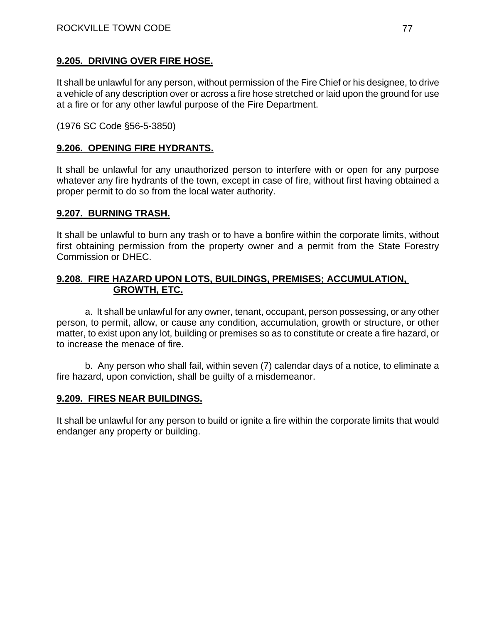### **9.205. DRIVING OVER FIRE HOSE.**

It shall be unlawful for any person, without permission of the Fire Chief or his designee, to drive a vehicle of any description over or across a fire hose stretched or laid upon the ground for use at a fire or for any other lawful purpose of the Fire Department.

(1976 SC Code §56-5-3850)

### **9.206. OPENING FIRE HYDRANTS.**

It shall be unlawful for any unauthorized person to interfere with or open for any purpose whatever any fire hydrants of the town, except in case of fire, without first having obtained a proper permit to do so from the local water authority.

### **9.207. BURNING TRASH.**

It shall be unlawful to burn any trash or to have a bonfire within the corporate limits, without first obtaining permission from the property owner and a permit from the State Forestry Commission or DHEC.

### **9.208. FIRE HAZARD UPON LOTS, BUILDINGS, PREMISES; ACCUMULATION, GROWTH, ETC.**

a. It shall be unlawful for any owner, tenant, occupant, person possessing, or any other person, to permit, allow, or cause any condition, accumulation, growth or structure, or other matter, to exist upon any lot, building or premises so as to constitute or create a fire hazard, or to increase the menace of fire.

b. Any person who shall fail, within seven (7) calendar days of a notice, to eliminate a fire hazard, upon conviction, shall be guilty of a misdemeanor.

### **9.209. FIRES NEAR BUILDINGS.**

It shall be unlawful for any person to build or ignite a fire within the corporate limits that would endanger any property or building.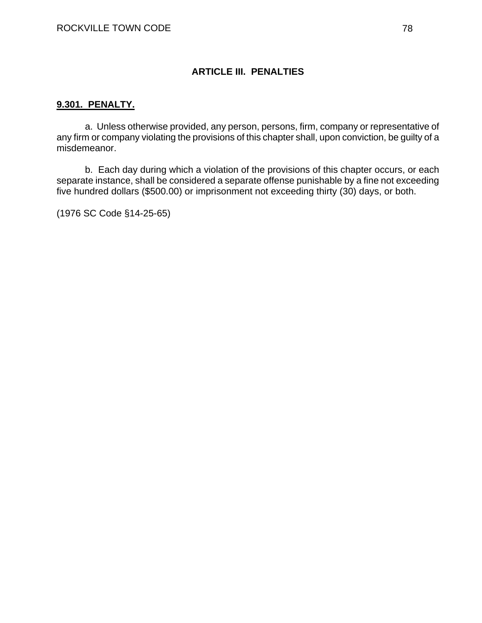### **ARTICLE III. PENALTIES**

#### **9.301. PENALTY.**

a. Unless otherwise provided, any person, persons, firm, company or representative of any firm or company violating the provisions of this chapter shall, upon conviction, be guilty of a misdemeanor.

b. Each day during which a violation of the provisions of this chapter occurs, or each separate instance, shall be considered a separate offense punishable by a fine not exceeding five hundred dollars (\$500.00) or imprisonment not exceeding thirty (30) days, or both.

(1976 SC Code §14-25-65)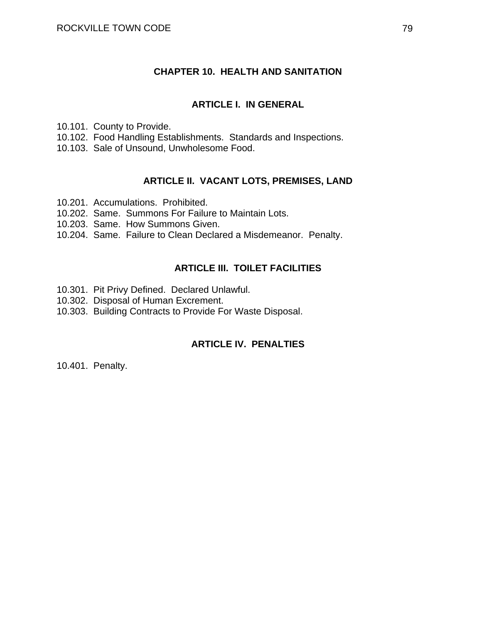### **CHAPTER 10. HEALTH AND SANITATION**

#### **ARTICLE I. IN GENERAL**

10.101. County to Provide.

- 10.102. Food Handling Establishments. Standards and Inspections.
- 10.103. Sale of Unsound, Unwholesome Food.

## **ARTICLE II. VACANT LOTS, PREMISES, LAND**

- 10.201. Accumulations. Prohibited.
- 10.202. Same. Summons For Failure to Maintain Lots.
- 10.203. Same. How Summons Given.
- 10.204. Same. Failure to Clean Declared a Misdemeanor. Penalty.

### **ARTICLE III. TOILET FACILITIES**

- 10.301. Pit Privy Defined. Declared Unlawful.
- 10.302. Disposal of Human Excrement.
- 10.303. Building Contracts to Provide For Waste Disposal.

### **ARTICLE IV. PENALTIES**

10.401. Penalty.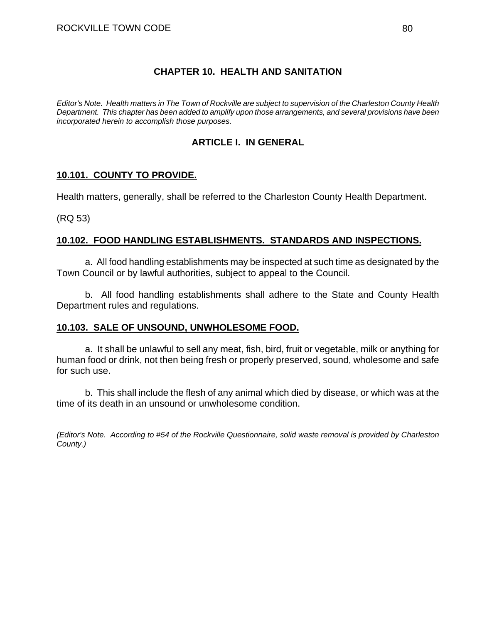### **CHAPTER 10. HEALTH AND SANITATION**

*Editor's Note. Health matters in The Town of Rockville are subject to supervision of the Charleston County Health Department. This chapter has been added to amplify upon those arrangements, and several provisions have been incorporated herein to accomplish those purposes.* 

## **ARTICLE I. IN GENERAL**

### **10.101. COUNTY TO PROVIDE.**

Health matters, generally, shall be referred to the Charleston County Health Department.

(RQ 53)

### **10.102. FOOD HANDLING ESTABLISHMENTS. STANDARDS AND INSPECTIONS.**

a. All food handling establishments may be inspected at such time as designated by the Town Council or by lawful authorities, subject to appeal to the Council.

b. All food handling establishments shall adhere to the State and County Health Department rules and regulations.

### **10.103. SALE OF UNSOUND, UNWHOLESOME FOOD.**

a. It shall be unlawful to sell any meat, fish, bird, fruit or vegetable, milk or anything for human food or drink, not then being fresh or properly preserved, sound, wholesome and safe for such use.

b. This shall include the flesh of any animal which died by disease, or which was at the time of its death in an unsound or unwholesome condition.

*(Editor's Note. According to #54 of the Rockville Questionnaire, solid waste removal is provided by Charleston County.)*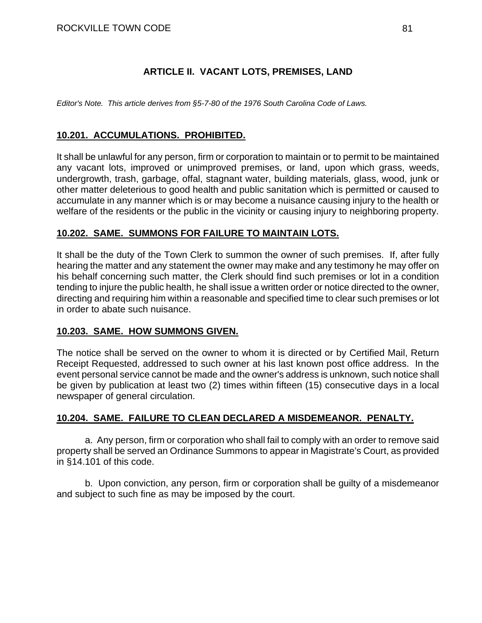## **ARTICLE II. VACANT LOTS, PREMISES, LAND**

*Editor's Note. This article derives from §5-7-80 of the 1976 South Carolina Code of Laws.* 

## **10.201. ACCUMULATIONS. PROHIBITED.**

It shall be unlawful for any person, firm or corporation to maintain or to permit to be maintained any vacant lots, improved or unimproved premises, or land, upon which grass, weeds, undergrowth, trash, garbage, offal, stagnant water, building materials, glass, wood, junk or other matter deleterious to good health and public sanitation which is permitted or caused to accumulate in any manner which is or may become a nuisance causing injury to the health or welfare of the residents or the public in the vicinity or causing injury to neighboring property.

### **10.202. SAME. SUMMONS FOR FAILURE TO MAINTAIN LOTS.**

It shall be the duty of the Town Clerk to summon the owner of such premises. If, after fully hearing the matter and any statement the owner may make and any testimony he may offer on his behalf concerning such matter, the Clerk should find such premises or lot in a condition tending to injure the public health, he shall issue a written order or notice directed to the owner, directing and requiring him within a reasonable and specified time to clear such premises or lot in order to abate such nuisance.

#### **10.203. SAME. HOW SUMMONS GIVEN.**

The notice shall be served on the owner to whom it is directed or by Certified Mail, Return Receipt Requested, addressed to such owner at his last known post office address. In the event personal service cannot be made and the owner's address is unknown, such notice shall be given by publication at least two (2) times within fifteen (15) consecutive days in a local newspaper of general circulation.

### **10.204. SAME. FAILURE TO CLEAN DECLARED A MISDEMEANOR. PENALTY.**

a. Any person, firm or corporation who shall fail to comply with an order to remove said property shall be served an Ordinance Summons to appear in Magistrate's Court, as provided in §14.101 of this code.

b. Upon conviction, any person, firm or corporation shall be guilty of a misdemeanor and subject to such fine as may be imposed by the court.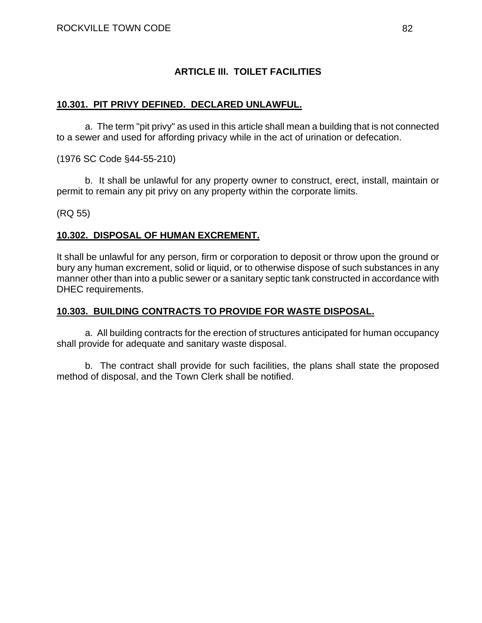## **ARTICLE III. TOILET FACILITIES**

### **10.301. PIT PRIVY DEFINED. DECLARED UNLAWFUL.**

a. The term "pit privy" as used in this article shall mean a building that is not connected to a sewer and used for affording privacy while in the act of urination or defecation.

(1976 SC Code §44-55-210)

b. It shall be unlawful for any property owner to construct, erect, install, maintain or permit to remain any pit privy on any property within the corporate limits.

(RQ 55)

### **10.302. DISPOSAL OF HUMAN EXCREMENT.**

It shall be unlawful for any person, firm or corporation to deposit or throw upon the ground or bury any human excrement, solid or liquid, or to otherwise dispose of such substances in any manner other than into a public sewer or a sanitary septic tank constructed in accordance with DHEC requirements.

### **10.303. BUILDING CONTRACTS TO PROVIDE FOR WASTE DISPOSAL.**

a. All building contracts for the erection of structures anticipated for human occupancy shall provide for adequate and sanitary waste disposal.

b. The contract shall provide for such facilities, the plans shall state the proposed method of disposal, and the Town Clerk shall be notified.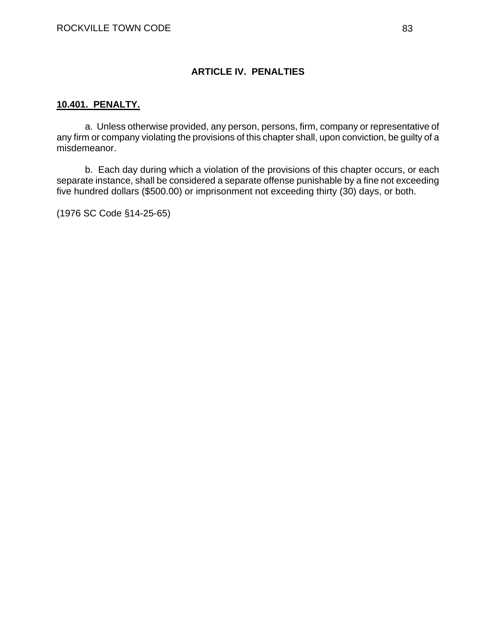### **ARTICLE IV. PENALTIES**

#### **10.401. PENALTY.**

a. Unless otherwise provided, any person, persons, firm, company or representative of any firm or company violating the provisions of this chapter shall, upon conviction, be guilty of a misdemeanor.

b. Each day during which a violation of the provisions of this chapter occurs, or each separate instance, shall be considered a separate offense punishable by a fine not exceeding five hundred dollars (\$500.00) or imprisonment not exceeding thirty (30) days, or both.

(1976 SC Code §14-25-65)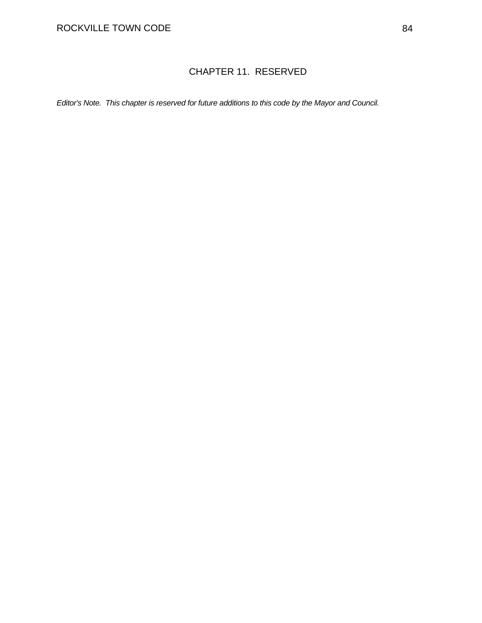# CHAPTER 11. RESERVED

*Editor's Note. This chapter is reserved for future additions to this code by the Mayor and Council.*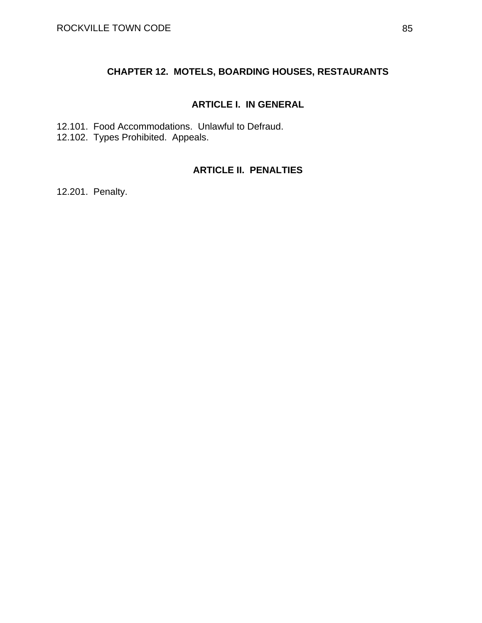## **CHAPTER 12. MOTELS, BOARDING HOUSES, RESTAURANTS**

### **ARTICLE I. IN GENERAL**

12.101. Food Accommodations. Unlawful to Defraud. 12.102. Types Prohibited. Appeals.

## **ARTICLE II. PENALTIES**

12.201. Penalty.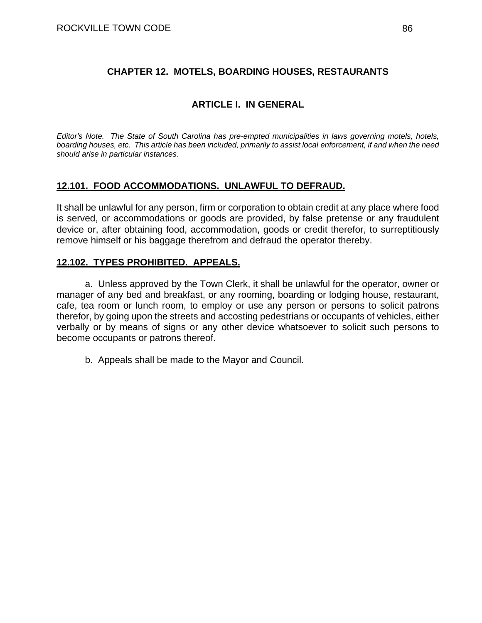## **CHAPTER 12. MOTELS, BOARDING HOUSES, RESTAURANTS**

## **ARTICLE I. IN GENERAL**

*Editor's Note. The State of South Carolina has pre-empted municipalities in laws governing motels, hotels, boarding houses, etc. This article has been included, primarily to assist local enforcement, if and when the need should arise in particular instances.* 

### **12.101. FOOD ACCOMMODATIONS. UNLAWFUL TO DEFRAUD.**

It shall be unlawful for any person, firm or corporation to obtain credit at any place where food is served, or accommodations or goods are provided, by false pretense or any fraudulent device or, after obtaining food, accommodation, goods or credit therefor, to surreptitiously remove himself or his baggage therefrom and defraud the operator thereby.

### **12.102. TYPES PROHIBITED. APPEALS.**

a. Unless approved by the Town Clerk, it shall be unlawful for the operator, owner or manager of any bed and breakfast, or any rooming, boarding or lodging house, restaurant, cafe, tea room or lunch room, to employ or use any person or persons to solicit patrons therefor, by going upon the streets and accosting pedestrians or occupants of vehicles, either verbally or by means of signs or any other device whatsoever to solicit such persons to become occupants or patrons thereof.

b. Appeals shall be made to the Mayor and Council.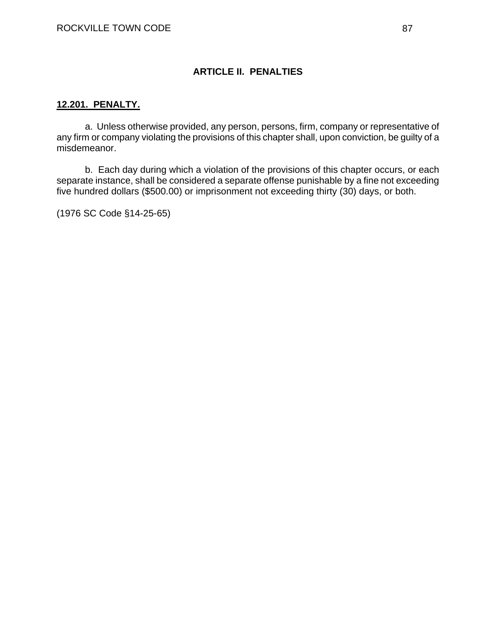### **ARTICLE II. PENALTIES**

### **12.201. PENALTY.**

a. Unless otherwise provided, any person, persons, firm, company or representative of any firm or company violating the provisions of this chapter shall, upon conviction, be guilty of a misdemeanor.

b. Each day during which a violation of the provisions of this chapter occurs, or each separate instance, shall be considered a separate offense punishable by a fine not exceeding five hundred dollars (\$500.00) or imprisonment not exceeding thirty (30) days, or both.

(1976 SC Code §14-25-65)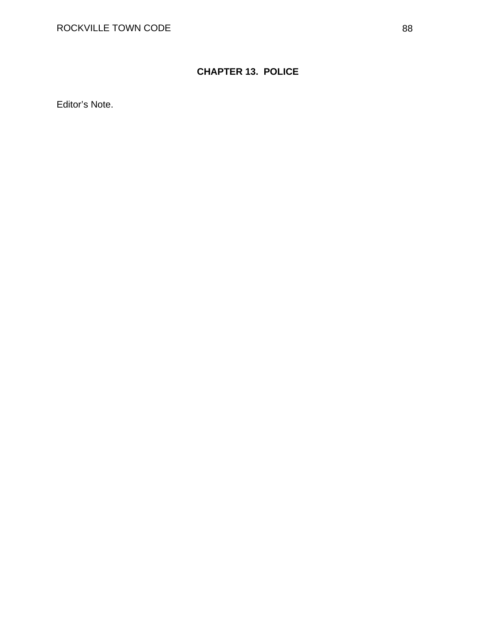# **CHAPTER 13. POLICE**

Editor's Note.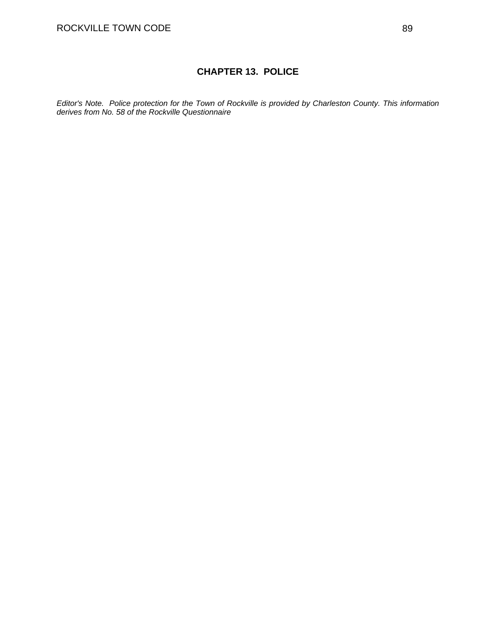## **CHAPTER 13. POLICE**

*Editor's Note. Police protection for the Town of Rockville is provided by Charleston County. This information derives from No. 58 of the Rockville Questionnaire*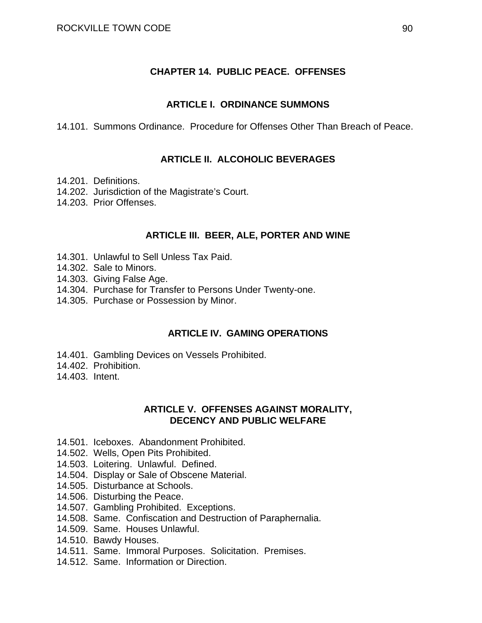### **CHAPTER 14. PUBLIC PEACE. OFFENSES**

#### **ARTICLE I. ORDINANCE SUMMONS**

14.101. Summons Ordinance. Procedure for Offenses Other Than Breach of Peace.

### **ARTICLE II. ALCOHOLIC BEVERAGES**

- 14.201. Definitions.
- 14.202. Jurisdiction of the Magistrate's Court.
- 14.203. Prior Offenses.

#### **ARTICLE III. BEER, ALE, PORTER AND WINE**

- 14.301. Unlawful to Sell Unless Tax Paid.
- 14.302. Sale to Minors.
- 14.303. Giving False Age.
- 14.304. Purchase for Transfer to Persons Under Twenty-one.
- 14.305. Purchase or Possession by Minor.

#### **ARTICLE IV. GAMING OPERATIONS**

- 14.401. Gambling Devices on Vessels Prohibited.
- 14.402. Prohibition.
- 14.403. Intent.

### **ARTICLE V. OFFENSES AGAINST MORALITY, DECENCY AND PUBLIC WELFARE**

- 14.501. Iceboxes. Abandonment Prohibited.
- 14.502. Wells, Open Pits Prohibited.
- 14.503. Loitering. Unlawful. Defined.
- 14.504. Display or Sale of Obscene Material.
- 14.505. Disturbance at Schools.
- 14.506. Disturbing the Peace.
- 14.507. Gambling Prohibited. Exceptions.
- 14.508. Same. Confiscation and Destruction of Paraphernalia.
- 14.509. Same. Houses Unlawful.
- 14.510. Bawdy Houses.
- 14.511. Same. Immoral Purposes. Solicitation. Premises.
- 14.512. Same. Information or Direction.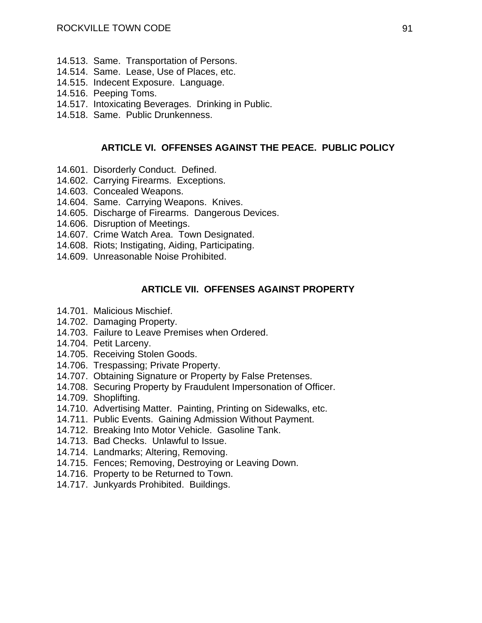- 14.513. Same. Transportation of Persons.
- 14.514. Same. Lease, Use of Places, etc.
- 14.515. Indecent Exposure. Language.
- 14.516. Peeping Toms.
- 14.517. Intoxicating Beverages. Drinking in Public.
- 14.518. Same. Public Drunkenness.

#### **ARTICLE VI. OFFENSES AGAINST THE PEACE. PUBLIC POLICY**

- 14.601. Disorderly Conduct. Defined.
- 14.602. Carrying Firearms. Exceptions.
- 14.603. Concealed Weapons.
- 14.604. Same. Carrying Weapons. Knives.
- 14.605. Discharge of Firearms. Dangerous Devices.
- 14.606. Disruption of Meetings.
- 14.607. Crime Watch Area. Town Designated.
- 14.608. Riots; Instigating, Aiding, Participating.
- 14.609. Unreasonable Noise Prohibited.

#### **ARTICLE VII. OFFENSES AGAINST PROPERTY**

- 14.701. Malicious Mischief.
- 14.702. Damaging Property.
- 14.703. Failure to Leave Premises when Ordered.
- 14.704. Petit Larceny.
- 14.705. Receiving Stolen Goods.
- 14.706. Trespassing; Private Property.
- 14.707. Obtaining Signature or Property by False Pretenses.
- 14.708. Securing Property by Fraudulent Impersonation of Officer.
- 14.709. Shoplifting.
- 14.710. Advertising Matter. Painting, Printing on Sidewalks, etc.
- 14.711. Public Events. Gaining Admission Without Payment.
- 14.712. Breaking Into Motor Vehicle. Gasoline Tank.
- 14.713. Bad Checks. Unlawful to Issue.
- 14.714. Landmarks; Altering, Removing.
- 14.715. Fences; Removing, Destroying or Leaving Down.
- 14.716. Property to be Returned to Town.
- 14.717. Junkyards Prohibited. Buildings.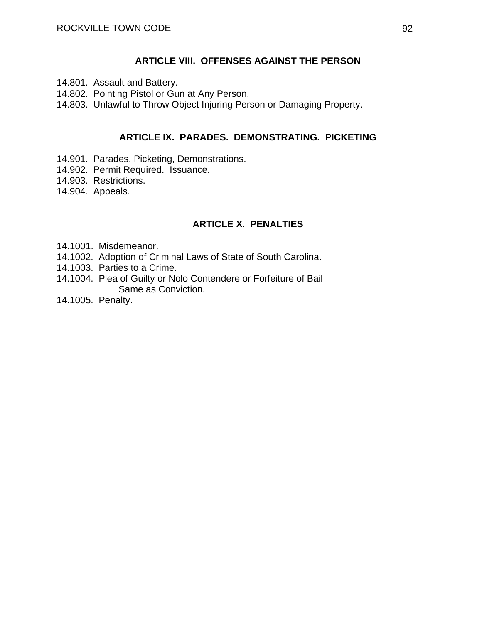#### **ARTICLE VIII. OFFENSES AGAINST THE PERSON**

- 14.801. Assault and Battery.
- 14.802. Pointing Pistol or Gun at Any Person.
- 14.803. Unlawful to Throw Object Injuring Person or Damaging Property.

### **ARTICLE IX. PARADES. DEMONSTRATING. PICKETING**

- 14.901. Parades, Picketing, Demonstrations.
- 14.902. Permit Required. Issuance.
- 14.903. Restrictions.
- 14.904. Appeals.

### **ARTICLE X. PENALTIES**

- 14.1001. Misdemeanor.
- 14.1002. Adoption of Criminal Laws of State of South Carolina.
- 14.1003. Parties to a Crime.
- 14.1004. Plea of Guilty or Nolo Contendere or Forfeiture of Bail Same as Conviction.
- 14.1005. Penalty.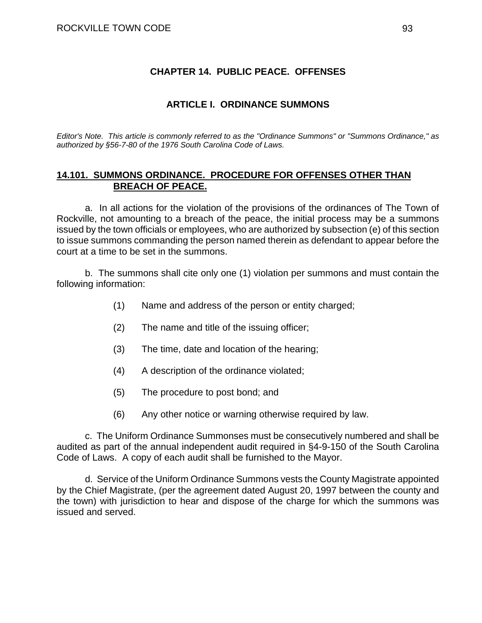### **CHAPTER 14. PUBLIC PEACE. OFFENSES**

#### **ARTICLE I. ORDINANCE SUMMONS**

*Editor's Note. This article is commonly referred to as the "Ordinance Summons" or "Summons Ordinance," as authorized by §56-7-80 of the 1976 South Carolina Code of Laws.* 

### **14.101. SUMMONS ORDINANCE. PROCEDURE FOR OFFENSES OTHER THAN BREACH OF PEACE.**

a. In all actions for the violation of the provisions of the ordinances of The Town of Rockville, not amounting to a breach of the peace, the initial process may be a summons issued by the town officials or employees, who are authorized by subsection (e) of this section to issue summons commanding the person named therein as defendant to appear before the court at a time to be set in the summons.

b. The summons shall cite only one (1) violation per summons and must contain the following information:

- (1) Name and address of the person or entity charged;
- (2) The name and title of the issuing officer;
- (3) The time, date and location of the hearing;
- (4) A description of the ordinance violated;
- (5) The procedure to post bond; and
- (6) Any other notice or warning otherwise required by law.

 c. The Uniform Ordinance Summonses must be consecutively numbered and shall be audited as part of the annual independent audit required in §4-9-150 of the South Carolina Code of Laws. A copy of each audit shall be furnished to the Mayor.

 d. Service of the Uniform Ordinance Summons vests the County Magistrate appointed by the Chief Magistrate, (per the agreement dated August 20, 1997 between the county and the town) with jurisdiction to hear and dispose of the charge for which the summons was issued and served.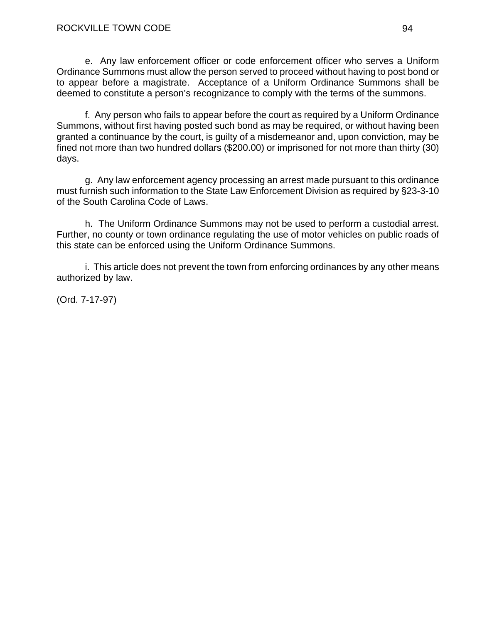e. Any law enforcement officer or code enforcement officer who serves a Uniform Ordinance Summons must allow the person served to proceed without having to post bond or to appear before a magistrate. Acceptance of a Uniform Ordinance Summons shall be deemed to constitute a person's recognizance to comply with the terms of the summons.

 f. Any person who fails to appear before the court as required by a Uniform Ordinance Summons, without first having posted such bond as may be required, or without having been granted a continuance by the court, is guilty of a misdemeanor and, upon conviction, may be fined not more than two hundred dollars (\$200.00) or imprisoned for not more than thirty (30) days.

 g. Any law enforcement agency processing an arrest made pursuant to this ordinance must furnish such information to the State Law Enforcement Division as required by §23-3-10 of the South Carolina Code of Laws.

 h. The Uniform Ordinance Summons may not be used to perform a custodial arrest. Further, no county or town ordinance regulating the use of motor vehicles on public roads of this state can be enforced using the Uniform Ordinance Summons.

 i. This article does not prevent the town from enforcing ordinances by any other means authorized by law.

(Ord. 7-17-97)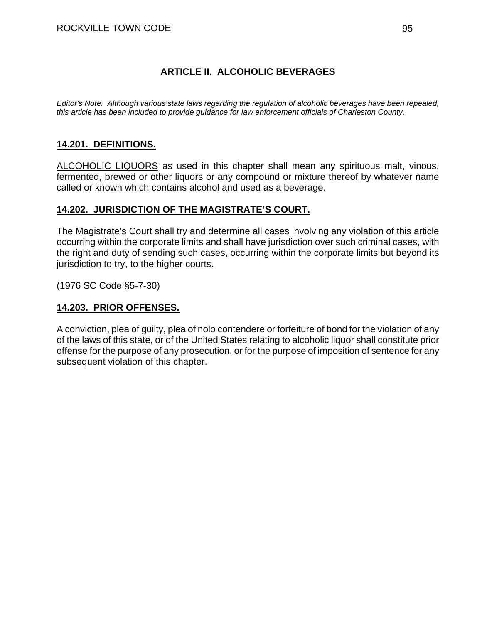## **ARTICLE II. ALCOHOLIC BEVERAGES**

*Editor's Note. Although various state laws regarding the regulation of alcoholic beverages have been repealed, this article has been included to provide guidance for law enforcement officials of Charleston County.* 

## **14.201. DEFINITIONS.**

ALCOHOLIC LIQUORS as used in this chapter shall mean any spirituous malt, vinous, fermented, brewed or other liquors or any compound or mixture thereof by whatever name called or known which contains alcohol and used as a beverage.

### **14.202. JURISDICTION OF THE MAGISTRATE'S COURT.**

The Magistrate's Court shall try and determine all cases involving any violation of this article occurring within the corporate limits and shall have jurisdiction over such criminal cases, with the right and duty of sending such cases, occurring within the corporate limits but beyond its jurisdiction to try, to the higher courts.

(1976 SC Code §5-7-30)

### **14.203. PRIOR OFFENSES.**

A conviction, plea of guilty, plea of nolo contendere or forfeiture of bond for the violation of any of the laws of this state, or of the United States relating to alcoholic liquor shall constitute prior offense for the purpose of any prosecution, or for the purpose of imposition of sentence for any subsequent violation of this chapter.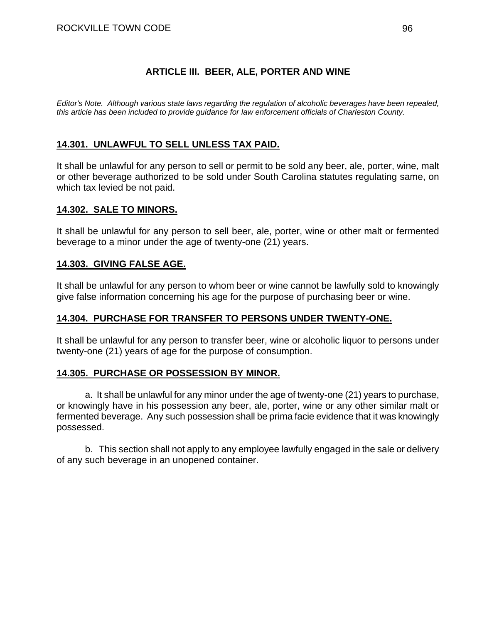## **ARTICLE III. BEER, ALE, PORTER AND WINE**

*Editor's Note. Although various state laws regarding the regulation of alcoholic beverages have been repealed, this article has been included to provide guidance for law enforcement officials of Charleston County.* 

## **14.301. UNLAWFUL TO SELL UNLESS TAX PAID.**

It shall be unlawful for any person to sell or permit to be sold any beer, ale, porter, wine, malt or other beverage authorized to be sold under South Carolina statutes regulating same, on which tax levied be not paid.

#### **14.302. SALE TO MINORS.**

It shall be unlawful for any person to sell beer, ale, porter, wine or other malt or fermented beverage to a minor under the age of twenty-one (21) years.

### **14.303. GIVING FALSE AGE.**

It shall be unlawful for any person to whom beer or wine cannot be lawfully sold to knowingly give false information concerning his age for the purpose of purchasing beer or wine.

### **14.304. PURCHASE FOR TRANSFER TO PERSONS UNDER TWENTY-ONE.**

It shall be unlawful for any person to transfer beer, wine or alcoholic liquor to persons under twenty-one (21) years of age for the purpose of consumption.

### **14.305. PURCHASE OR POSSESSION BY MINOR.**

a. It shall be unlawful for any minor under the age of twenty-one (21) years to purchase, or knowingly have in his possession any beer, ale, porter, wine or any other similar malt or fermented beverage. Any such possession shall be prima facie evidence that it was knowingly possessed.

b. This section shall not apply to any employee lawfully engaged in the sale or delivery of any such beverage in an unopened container.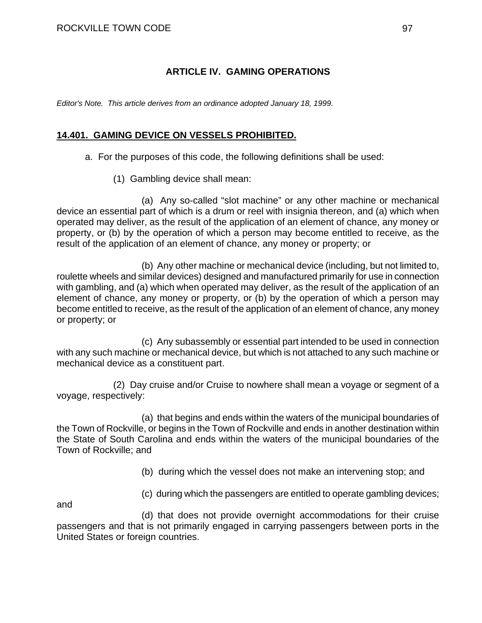## **ARTICLE IV. GAMING OPERATIONS**

*Editor's Note. This article derives from an ordinance adopted January 18, 1999.* 

### **14.401. GAMING DEVICE ON VESSELS PROHIBITED.**

- a. For the purposes of this code, the following definitions shall be used:
	- (1) Gambling device shall mean:

 (a) Any so-called "slot machine" or any other machine or mechanical device an essential part of which is a drum or reel with insignia thereon, and (a) which when operated may deliver, as the result of the application of an element of chance, any money or property, or (b) by the operation of which a person may become entitled to receive, as the result of the application of an element of chance, any money or property; or

 (b) Any other machine or mechanical device (including, but not limited to, roulette wheels and similar devices) designed and manufactured primarily for use in connection with gambling, and (a) which when operated may deliver, as the result of the application of an element of chance, any money or property, or (b) by the operation of which a person may become entitled to receive, as the result of the application of an element of chance, any money or property; or

 (c) Any subassembly or essential part intended to be used in connection with any such machine or mechanical device, but which is not attached to any such machine or mechanical device as a constituent part.

 (2) Day cruise and/or Cruise to nowhere shall mean a voyage or segment of a voyage, respectively:

 (a) that begins and ends within the waters of the municipal boundaries of the Town of Rockville, or begins in the Town of Rockville and ends in another destination within the State of South Carolina and ends within the waters of the municipal boundaries of the Town of Rockville; and

(b) during which the vessel does not make an intervening stop; and

and

(c) during which the passengers are entitled to operate gambling devices;

 (d) that does not provide overnight accommodations for their cruise passengers and that is not primarily engaged in carrying passengers between ports in the United States or foreign countries.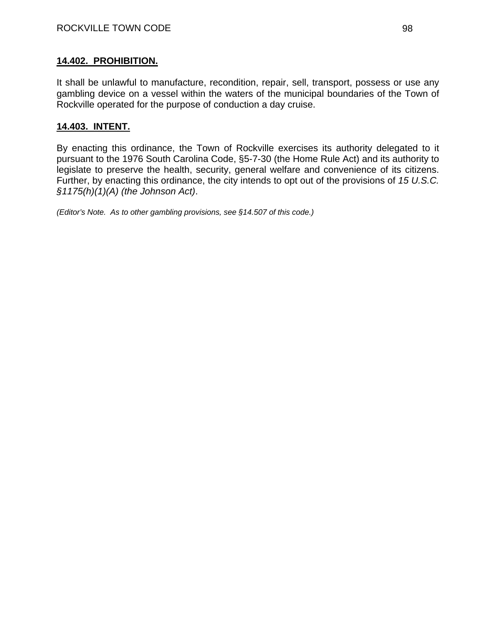It shall be unlawful to manufacture, recondition, repair, sell, transport, possess or use any gambling device on a vessel within the waters of the municipal boundaries of the Town of Rockville operated for the purpose of conduction a day cruise.

### **14.403. INTENT.**

By enacting this ordinance, the Town of Rockville exercises its authority delegated to it pursuant to the 1976 South Carolina Code, §5-7-30 (the Home Rule Act) and its authority to legislate to preserve the health, security, general welfare and convenience of its citizens. Further, by enacting this ordinance, the city intends to opt out of the provisions of *15 U.S.C. §1175(h)(1)(A) (the Johnson Act)*.

*(Editor's Note. As to other gambling provisions, see §14.507 of this code.)*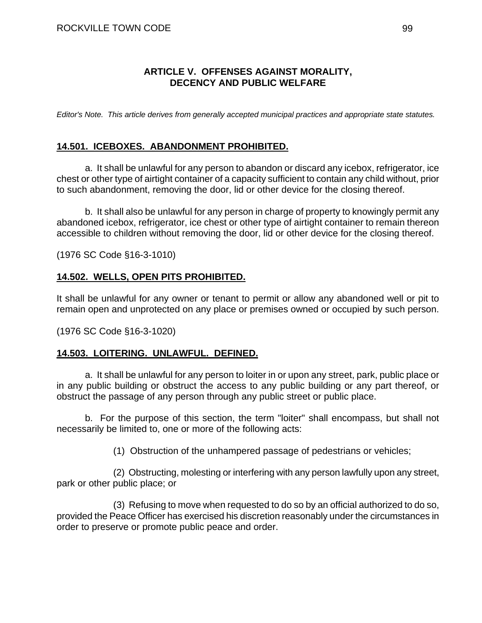### **ARTICLE V. OFFENSES AGAINST MORALITY, DECENCY AND PUBLIC WELFARE**

*Editor's Note. This article derives from generally accepted municipal practices and appropriate state statutes.* 

### **14.501. ICEBOXES. ABANDONMENT PROHIBITED.**

a. It shall be unlawful for any person to abandon or discard any icebox, refrigerator, ice chest or other type of airtight container of a capacity sufficient to contain any child without, prior to such abandonment, removing the door, lid or other device for the closing thereof.

b. It shall also be unlawful for any person in charge of property to knowingly permit any abandoned icebox, refrigerator, ice chest or other type of airtight container to remain thereon accessible to children without removing the door, lid or other device for the closing thereof.

(1976 SC Code §16-3-1010)

### **14.502. WELLS, OPEN PITS PROHIBITED.**

It shall be unlawful for any owner or tenant to permit or allow any abandoned well or pit to remain open and unprotected on any place or premises owned or occupied by such person.

(1976 SC Code §16-3-1020)

#### **14.503. LOITERING. UNLAWFUL. DEFINED.**

a. It shall be unlawful for any person to loiter in or upon any street, park, public place or in any public building or obstruct the access to any public building or any part thereof, or obstruct the passage of any person through any public street or public place.

b. For the purpose of this section, the term "loiter" shall encompass, but shall not necessarily be limited to, one or more of the following acts:

(1) Obstruction of the unhampered passage of pedestrians or vehicles;

(2) Obstructing, molesting or interfering with any person lawfully upon any street, park or other public place; or

(3) Refusing to move when requested to do so by an official authorized to do so, provided the Peace Officer has exercised his discretion reasonably under the circumstances in order to preserve or promote public peace and order.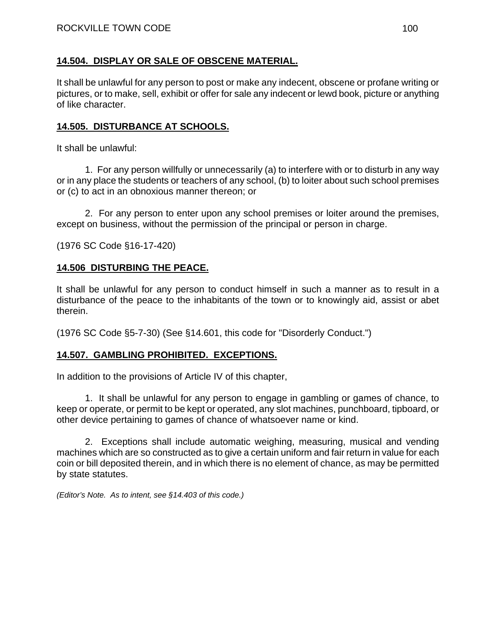## **14.504. DISPLAY OR SALE OF OBSCENE MATERIAL.**

It shall be unlawful for any person to post or make any indecent, obscene or profane writing or pictures, or to make, sell, exhibit or offer for sale any indecent or lewd book, picture or anything of like character.

## **14.505. DISTURBANCE AT SCHOOLS.**

It shall be unlawful:

1. For any person willfully or unnecessarily (a) to interfere with or to disturb in any way or in any place the students or teachers of any school, (b) to loiter about such school premises or (c) to act in an obnoxious manner thereon; or

2. For any person to enter upon any school premises or loiter around the premises, except on business, without the permission of the principal or person in charge.

(1976 SC Code §16-17-420)

## **14.506 DISTURBING THE PEACE.**

It shall be unlawful for any person to conduct himself in such a manner as to result in a disturbance of the peace to the inhabitants of the town or to knowingly aid, assist or abet therein.

(1976 SC Code §5-7-30) (See §14.601, this code for "Disorderly Conduct.")

### **14.507. GAMBLING PROHIBITED. EXCEPTIONS.**

In addition to the provisions of Article IV of this chapter,

1. It shall be unlawful for any person to engage in gambling or games of chance, to keep or operate, or permit to be kept or operated, any slot machines, punchboard, tipboard, or other device pertaining to games of chance of whatsoever name or kind.

2. Exceptions shall include automatic weighing, measuring, musical and vending machines which are so constructed as to give a certain uniform and fair return in value for each coin or bill deposited therein, and in which there is no element of chance, as may be permitted by state statutes.

*(Editor's Note. As to intent, see §14.403 of this code.)*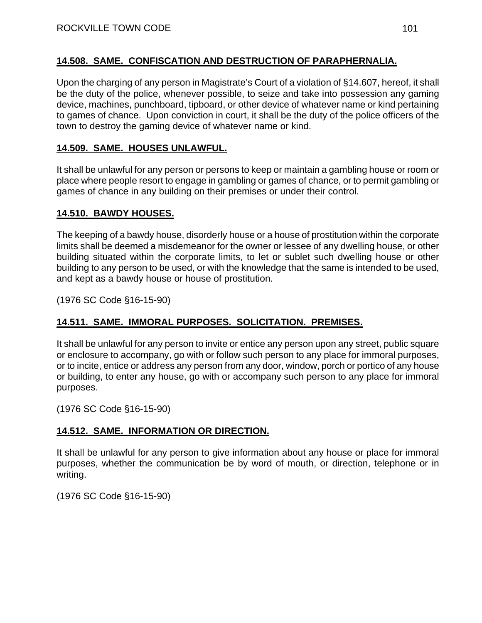## **14.508. SAME. CONFISCATION AND DESTRUCTION OF PARAPHERNALIA.**

Upon the charging of any person in Magistrate's Court of a violation of §14.607, hereof, it shall be the duty of the police, whenever possible, to seize and take into possession any gaming device, machines, punchboard, tipboard, or other device of whatever name or kind pertaining to games of chance. Upon conviction in court, it shall be the duty of the police officers of the town to destroy the gaming device of whatever name or kind.

## **14.509. SAME. HOUSES UNLAWFUL.**

It shall be unlawful for any person or persons to keep or maintain a gambling house or room or place where people resort to engage in gambling or games of chance, or to permit gambling or games of chance in any building on their premises or under their control.

## **14.510. BAWDY HOUSES.**

The keeping of a bawdy house, disorderly house or a house of prostitution within the corporate limits shall be deemed a misdemeanor for the owner or lessee of any dwelling house, or other building situated within the corporate limits, to let or sublet such dwelling house or other building to any person to be used, or with the knowledge that the same is intended to be used, and kept as a bawdy house or house of prostitution.

(1976 SC Code §16-15-90)

## **14.511. SAME. IMMORAL PURPOSES. SOLICITATION. PREMISES.**

It shall be unlawful for any person to invite or entice any person upon any street, public square or enclosure to accompany, go with or follow such person to any place for immoral purposes, or to incite, entice or address any person from any door, window, porch or portico of any house or building, to enter any house, go with or accompany such person to any place for immoral purposes.

(1976 SC Code §16-15-90)

## **14.512. SAME. INFORMATION OR DIRECTION.**

It shall be unlawful for any person to give information about any house or place for immoral purposes, whether the communication be by word of mouth, or direction, telephone or in writing.

(1976 SC Code §16-15-90)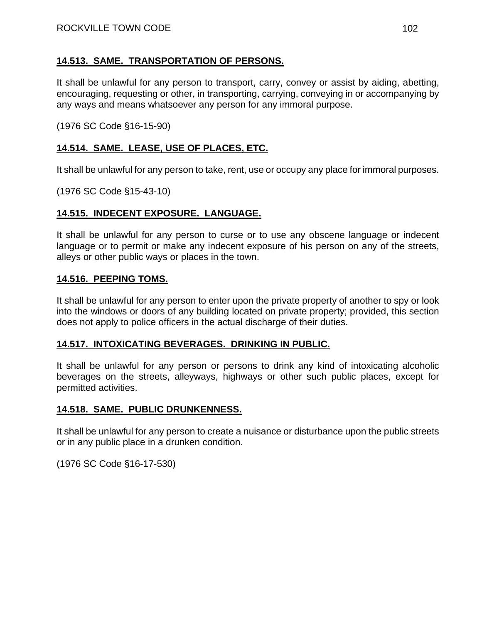### **14.513. SAME. TRANSPORTATION OF PERSONS.**

It shall be unlawful for any person to transport, carry, convey or assist by aiding, abetting, encouraging, requesting or other, in transporting, carrying, conveying in or accompanying by any ways and means whatsoever any person for any immoral purpose.

(1976 SC Code §16-15-90)

## **14.514. SAME. LEASE, USE OF PLACES, ETC.**

It shall be unlawful for any person to take, rent, use or occupy any place for immoral purposes.

(1976 SC Code §15-43-10)

### **14.515. INDECENT EXPOSURE. LANGUAGE.**

It shall be unlawful for any person to curse or to use any obscene language or indecent language or to permit or make any indecent exposure of his person on any of the streets, alleys or other public ways or places in the town.

#### **14.516. PEEPING TOMS.**

It shall be unlawful for any person to enter upon the private property of another to spy or look into the windows or doors of any building located on private property; provided, this section does not apply to police officers in the actual discharge of their duties.

#### **14.517. INTOXICATING BEVERAGES. DRINKING IN PUBLIC.**

It shall be unlawful for any person or persons to drink any kind of intoxicating alcoholic beverages on the streets, alleyways, highways or other such public places, except for permitted activities.

#### **14.518. SAME. PUBLIC DRUNKENNESS.**

It shall be unlawful for any person to create a nuisance or disturbance upon the public streets or in any public place in a drunken condition.

(1976 SC Code §16-17-530)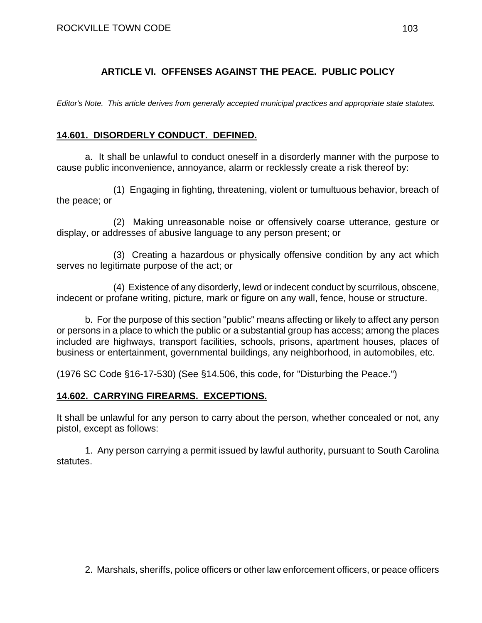## **ARTICLE VI. OFFENSES AGAINST THE PEACE. PUBLIC POLICY**

*Editor's Note. This article derives from generally accepted municipal practices and appropriate state statutes.* 

## **14.601. DISORDERLY CONDUCT. DEFINED.**

a. It shall be unlawful to conduct oneself in a disorderly manner with the purpose to cause public inconvenience, annoyance, alarm or recklessly create a risk thereof by:

(1) Engaging in fighting, threatening, violent or tumultuous behavior, breach of the peace; or

(2) Making unreasonable noise or offensively coarse utterance, gesture or display, or addresses of abusive language to any person present; or

(3) Creating a hazardous or physically offensive condition by any act which serves no legitimate purpose of the act; or

(4) Existence of any disorderly, lewd or indecent conduct by scurrilous, obscene, indecent or profane writing, picture, mark or figure on any wall, fence, house or structure.

b. For the purpose of this section "public" means affecting or likely to affect any person or persons in a place to which the public or a substantial group has access; among the places included are highways, transport facilities, schools, prisons, apartment houses, places of business or entertainment, governmental buildings, any neighborhood, in automobiles, etc.

(1976 SC Code §16-17-530) (See §14.506, this code, for "Disturbing the Peace.")

### **14.602. CARRYING FIREARMS. EXCEPTIONS.**

It shall be unlawful for any person to carry about the person, whether concealed or not, any pistol, except as follows:

1. Any person carrying a permit issued by lawful authority, pursuant to South Carolina statutes.

2. Marshals, sheriffs, police officers or other law enforcement officers, or peace officers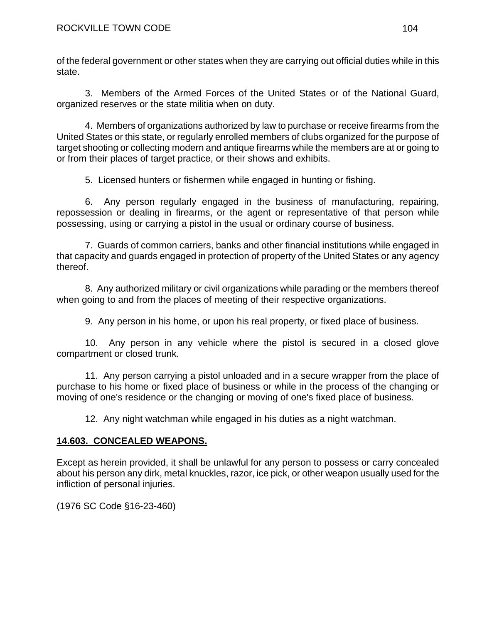of the federal government or other states when they are carrying out official duties while in this state.

3. Members of the Armed Forces of the United States or of the National Guard, organized reserves or the state militia when on duty.

4. Members of organizations authorized by law to purchase or receive firearms from the United States or this state, or regularly enrolled members of clubs organized for the purpose of target shooting or collecting modern and antique firearms while the members are at or going to or from their places of target practice, or their shows and exhibits.

5. Licensed hunters or fishermen while engaged in hunting or fishing.

6. Any person regularly engaged in the business of manufacturing, repairing, repossession or dealing in firearms, or the agent or representative of that person while possessing, using or carrying a pistol in the usual or ordinary course of business.

7. Guards of common carriers, banks and other financial institutions while engaged in that capacity and guards engaged in protection of property of the United States or any agency thereof.

8. Any authorized military or civil organizations while parading or the members thereof when going to and from the places of meeting of their respective organizations.

9. Any person in his home, or upon his real property, or fixed place of business.

10. Any person in any vehicle where the pistol is secured in a closed glove compartment or closed trunk.

11. Any person carrying a pistol unloaded and in a secure wrapper from the place of purchase to his home or fixed place of business or while in the process of the changing or moving of one's residence or the changing or moving of one's fixed place of business.

12. Any night watchman while engaged in his duties as a night watchman.

## **14.603. CONCEALED WEAPONS.**

Except as herein provided, it shall be unlawful for any person to possess or carry concealed about his person any dirk, metal knuckles, razor, ice pick, or other weapon usually used for the infliction of personal injuries.

(1976 SC Code §16-23-460)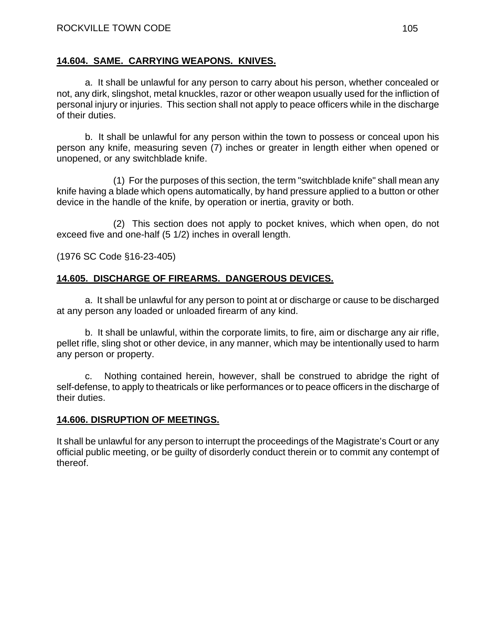### **14.604. SAME. CARRYING WEAPONS. KNIVES.**

a. It shall be unlawful for any person to carry about his person, whether concealed or not, any dirk, slingshot, metal knuckles, razor or other weapon usually used for the infliction of personal injury or injuries. This section shall not apply to peace officers while in the discharge of their duties.

b. It shall be unlawful for any person within the town to possess or conceal upon his person any knife, measuring seven (7) inches or greater in length either when opened or unopened, or any switchblade knife.

(1) For the purposes of this section, the term "switchblade knife" shall mean any knife having a blade which opens automatically, by hand pressure applied to a button or other device in the handle of the knife, by operation or inertia, gravity or both.

(2) This section does not apply to pocket knives, which when open, do not exceed five and one-half (5 1/2) inches in overall length.

(1976 SC Code §16-23-405)

## **14.605. DISCHARGE OF FIREARMS. DANGEROUS DEVICES.**

a. It shall be unlawful for any person to point at or discharge or cause to be discharged at any person any loaded or unloaded firearm of any kind.

b. It shall be unlawful, within the corporate limits, to fire, aim or discharge any air rifle, pellet rifle, sling shot or other device, in any manner, which may be intentionally used to harm any person or property.

c. Nothing contained herein, however, shall be construed to abridge the right of self-defense, to apply to theatricals or like performances or to peace officers in the discharge of their duties.

### **14.606. DISRUPTION OF MEETINGS.**

It shall be unlawful for any person to interrupt the proceedings of the Magistrate's Court or any official public meeting, or be guilty of disorderly conduct therein or to commit any contempt of thereof.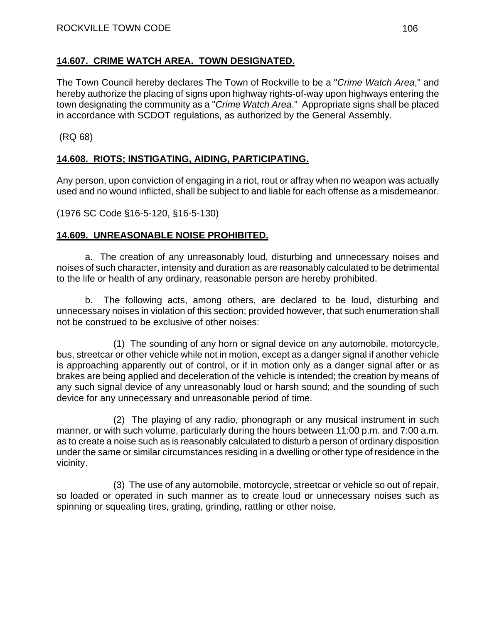## **14.607. CRIME WATCH AREA. TOWN DESIGNATED.**

The Town Council hereby declares The Town of Rockville to be a "*Crime Watch Area*," and hereby authorize the placing of signs upon highway rights-of-way upon highways entering the town designating the community as a "*Crime Watch Area*." Appropriate signs shall be placed in accordance with SCDOT regulations, as authorized by the General Assembly.

(RQ 68)

# **14.608. RIOTS; INSTIGATING, AIDING, PARTICIPATING.**

Any person, upon conviction of engaging in a riot, rout or affray when no weapon was actually used and no wound inflicted, shall be subject to and liable for each offense as a misdemeanor.

(1976 SC Code §16-5-120, §16-5-130)

## **14.609. UNREASONABLE NOISE PROHIBITED.**

a. The creation of any unreasonably loud, disturbing and unnecessary noises and noises of such character, intensity and duration as are reasonably calculated to be detrimental to the life or health of any ordinary, reasonable person are hereby prohibited.

b. The following acts, among others, are declared to be loud, disturbing and unnecessary noises in violation of this section; provided however, that such enumeration shall not be construed to be exclusive of other noises:

(1) The sounding of any horn or signal device on any automobile, motorcycle, bus, streetcar or other vehicle while not in motion, except as a danger signal if another vehicle is approaching apparently out of control, or if in motion only as a danger signal after or as brakes are being applied and deceleration of the vehicle is intended; the creation by means of any such signal device of any unreasonably loud or harsh sound; and the sounding of such device for any unnecessary and unreasonable period of time.

(2) The playing of any radio, phonograph or any musical instrument in such manner, or with such volume, particularly during the hours between 11:00 p.m. and 7:00 a.m. as to create a noise such as is reasonably calculated to disturb a person of ordinary disposition under the same or similar circumstances residing in a dwelling or other type of residence in the vicinity.

(3) The use of any automobile, motorcycle, streetcar or vehicle so out of repair, so loaded or operated in such manner as to create loud or unnecessary noises such as spinning or squealing tires, grating, grinding, rattling or other noise.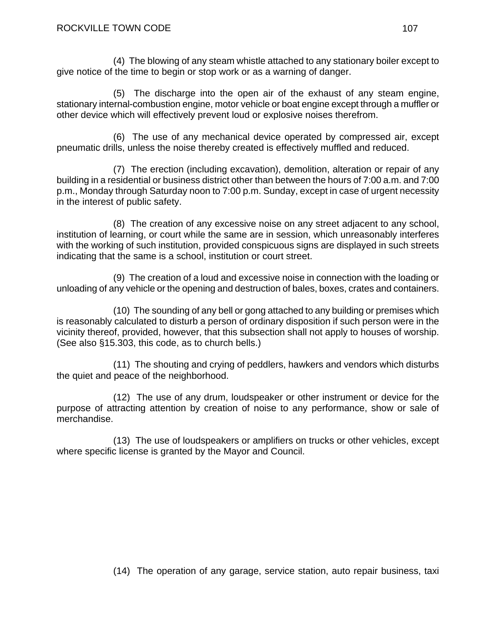(4) The blowing of any steam whistle attached to any stationary boiler except to give notice of the time to begin or stop work or as a warning of danger.

(5) The discharge into the open air of the exhaust of any steam engine, stationary internal-combustion engine, motor vehicle or boat engine except through a muffler or other device which will effectively prevent loud or explosive noises therefrom.

(6) The use of any mechanical device operated by compressed air, except pneumatic drills, unless the noise thereby created is effectively muffled and reduced.

(7) The erection (including excavation), demolition, alteration or repair of any building in a residential or business district other than between the hours of 7:00 a.m. and 7:00 p.m., Monday through Saturday noon to 7:00 p.m. Sunday, except in case of urgent necessity in the interest of public safety.

(8) The creation of any excessive noise on any street adjacent to any school, institution of learning, or court while the same are in session, which unreasonably interferes with the working of such institution, provided conspicuous signs are displayed in such streets indicating that the same is a school, institution or court street.

(9) The creation of a loud and excessive noise in connection with the loading or unloading of any vehicle or the opening and destruction of bales, boxes, crates and containers.

(10) The sounding of any bell or gong attached to any building or premises which is reasonably calculated to disturb a person of ordinary disposition if such person were in the vicinity thereof, provided, however, that this subsection shall not apply to houses of worship. (See also §15.303, this code, as to church bells.)

(11) The shouting and crying of peddlers, hawkers and vendors which disturbs the quiet and peace of the neighborhood.

(12) The use of any drum, loudspeaker or other instrument or device for the purpose of attracting attention by creation of noise to any performance, show or sale of merchandise.

(13) The use of loudspeakers or amplifiers on trucks or other vehicles, except where specific license is granted by the Mayor and Council.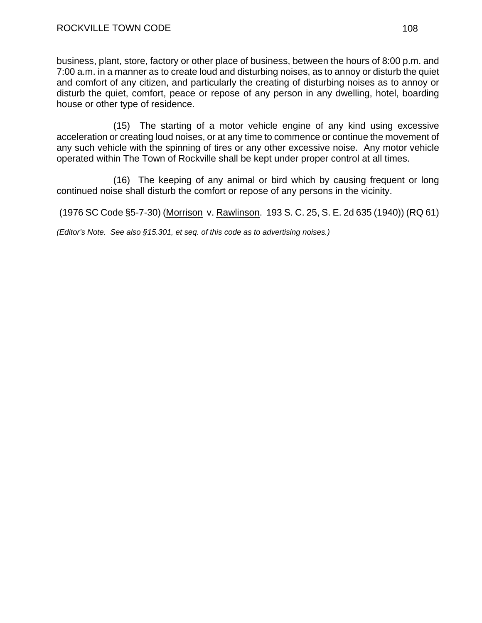business, plant, store, factory or other place of business, between the hours of 8:00 p.m. and 7:00 a.m. in a manner as to create loud and disturbing noises, as to annoy or disturb the quiet and comfort of any citizen, and particularly the creating of disturbing noises as to annoy or disturb the quiet, comfort, peace or repose of any person in any dwelling, hotel, boarding house or other type of residence.

(15) The starting of a motor vehicle engine of any kind using excessive acceleration or creating loud noises, or at any time to commence or continue the movement of any such vehicle with the spinning of tires or any other excessive noise. Any motor vehicle operated within The Town of Rockville shall be kept under proper control at all times.

(16) The keeping of any animal or bird which by causing frequent or long continued noise shall disturb the comfort or repose of any persons in the vicinity.

(1976 SC Code §5-7-30) (Morrison v. Rawlinson. 193 S. C. 25, S. E. 2d 635 (1940)) (RQ 61)

*(Editor's Note. See also §15.301, et seq. of this code as to advertising noises.)*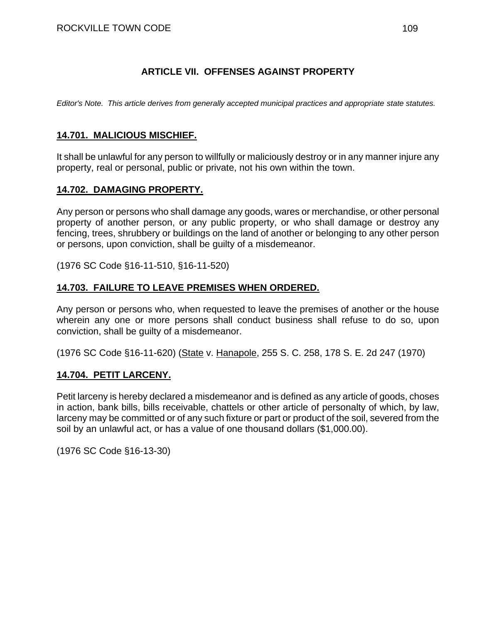## **ARTICLE VII. OFFENSES AGAINST PROPERTY**

*Editor's Note. This article derives from generally accepted municipal practices and appropriate state statutes.*

### **14.701. MALICIOUS MISCHIEF.**

It shall be unlawful for any person to willfully or maliciously destroy or in any manner injure any property, real or personal, public or private, not his own within the town.

### **14.702. DAMAGING PROPERTY.**

Any person or persons who shall damage any goods, wares or merchandise, or other personal property of another person, or any public property, or who shall damage or destroy any fencing, trees, shrubbery or buildings on the land of another or belonging to any other person or persons, upon conviction, shall be guilty of a misdemeanor.

(1976 SC Code §16-11-510, §16-11-520)

## **14.703. FAILURE TO LEAVE PREMISES WHEN ORDERED.**

Any person or persons who, when requested to leave the premises of another or the house wherein any one or more persons shall conduct business shall refuse to do so, upon conviction, shall be guilty of a misdemeanor.

(1976 SC Code §16-11-620) (State v. Hanapole, 255 S. C. 258, 178 S. E. 2d 247 (1970)

#### **14.704. PETIT LARCENY.**

Petit larceny is hereby declared a misdemeanor and is defined as any article of goods, choses in action, bank bills, bills receivable, chattels or other article of personalty of which, by law, larceny may be committed or of any such fixture or part or product of the soil, severed from the soil by an unlawful act, or has a value of one thousand dollars (\$1,000.00).

(1976 SC Code §16-13-30)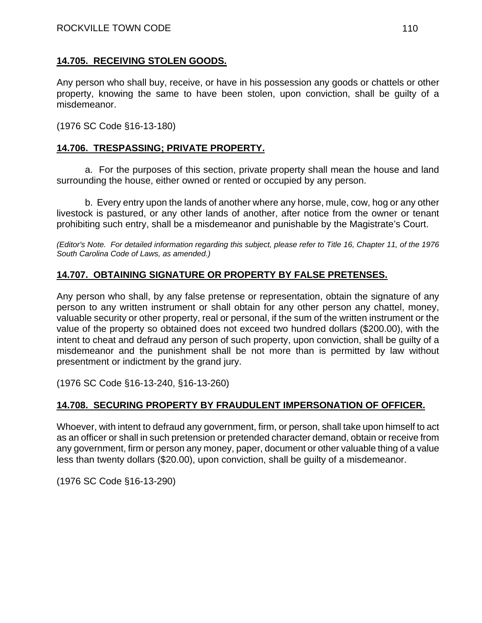## **14.705. RECEIVING STOLEN GOODS.**

Any person who shall buy, receive, or have in his possession any goods or chattels or other property, knowing the same to have been stolen, upon conviction, shall be guilty of a misdemeanor.

(1976 SC Code §16-13-180)

## **14.706. TRESPASSING; PRIVATE PROPERTY.**

a. For the purposes of this section, private property shall mean the house and land surrounding the house, either owned or rented or occupied by any person.

b. Every entry upon the lands of another where any horse, mule, cow, hog or any other livestock is pastured, or any other lands of another, after notice from the owner or tenant prohibiting such entry, shall be a misdemeanor and punishable by the Magistrate's Court.

*(Editor's Note. For detailed information regarding this subject, please refer to Title 16, Chapter 11, of the 1976 South Carolina Code of Laws, as amended.)* 

# **14.707. OBTAINING SIGNATURE OR PROPERTY BY FALSE PRETENSES.**

Any person who shall, by any false pretense or representation, obtain the signature of any person to any written instrument or shall obtain for any other person any chattel, money, valuable security or other property, real or personal, if the sum of the written instrument or the value of the property so obtained does not exceed two hundred dollars (\$200.00), with the intent to cheat and defraud any person of such property, upon conviction, shall be guilty of a misdemeanor and the punishment shall be not more than is permitted by law without presentment or indictment by the grand jury.

(1976 SC Code §16-13-240, §16-13-260)

# **14.708. SECURING PROPERTY BY FRAUDULENT IMPERSONATION OF OFFICER.**

Whoever, with intent to defraud any government, firm, or person, shall take upon himself to act as an officer or shall in such pretension or pretended character demand, obtain or receive from any government, firm or person any money, paper, document or other valuable thing of a value less than twenty dollars (\$20.00), upon conviction, shall be guilty of a misdemeanor.

(1976 SC Code §16-13-290)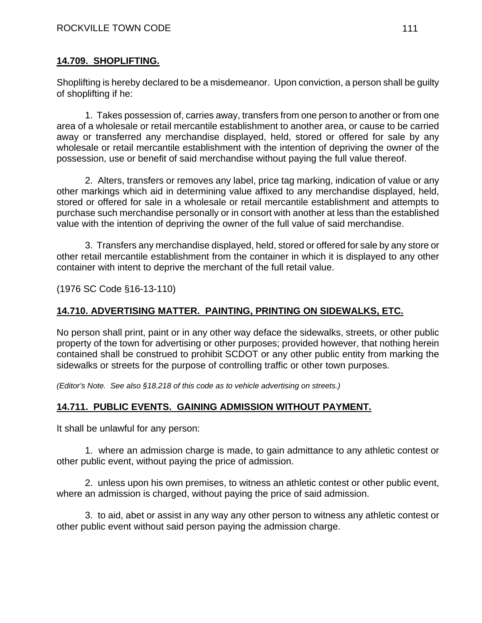## **14.709. SHOPLIFTING.**

Shoplifting is hereby declared to be a misdemeanor. Upon conviction, a person shall be guilty of shoplifting if he:

1. Takes possession of, carries away, transfers from one person to another or from one area of a wholesale or retail mercantile establishment to another area, or cause to be carried away or transferred any merchandise displayed, held, stored or offered for sale by any wholesale or retail mercantile establishment with the intention of depriving the owner of the possession, use or benefit of said merchandise without paying the full value thereof.

2. Alters, transfers or removes any label, price tag marking, indication of value or any other markings which aid in determining value affixed to any merchandise displayed, held, stored or offered for sale in a wholesale or retail mercantile establishment and attempts to purchase such merchandise personally or in consort with another at less than the established value with the intention of depriving the owner of the full value of said merchandise.

3. Transfers any merchandise displayed, held, stored or offered for sale by any store or other retail mercantile establishment from the container in which it is displayed to any other container with intent to deprive the merchant of the full retail value.

(1976 SC Code §16-13-110)

## **14.710. ADVERTISING MATTER. PAINTING, PRINTING ON SIDEWALKS, ETC.**

No person shall print, paint or in any other way deface the sidewalks, streets, or other public property of the town for advertising or other purposes; provided however, that nothing herein contained shall be construed to prohibit SCDOT or any other public entity from marking the sidewalks or streets for the purpose of controlling traffic or other town purposes.

*(Editor's Note. See also §18.218 of this code as to vehicle advertising on streets.)* 

## **14.711. PUBLIC EVENTS. GAINING ADMISSION WITHOUT PAYMENT.**

It shall be unlawful for any person:

1. where an admission charge is made, to gain admittance to any athletic contest or other public event, without paying the price of admission.

2. unless upon his own premises, to witness an athletic contest or other public event, where an admission is charged, without paying the price of said admission.

3. to aid, abet or assist in any way any other person to witness any athletic contest or other public event without said person paying the admission charge.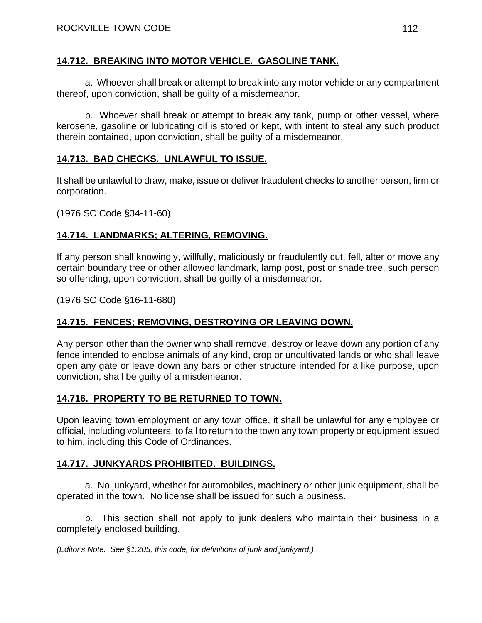### **14.712. BREAKING INTO MOTOR VEHICLE. GASOLINE TANK.**

a. Whoever shall break or attempt to break into any motor vehicle or any compartment thereof, upon conviction, shall be guilty of a misdemeanor.

b. Whoever shall break or attempt to break any tank, pump or other vessel, where kerosene, gasoline or lubricating oil is stored or kept, with intent to steal any such product therein contained, upon conviction, shall be guilty of a misdemeanor.

## **14.713. BAD CHECKS. UNLAWFUL TO ISSUE.**

It shall be unlawful to draw, make, issue or deliver fraudulent checks to another person, firm or corporation.

(1976 SC Code §34-11-60)

## **14.714. LANDMARKS; ALTERING, REMOVING.**

If any person shall knowingly, willfully, maliciously or fraudulently cut, fell, alter or move any certain boundary tree or other allowed landmark, lamp post, post or shade tree, such person so offending, upon conviction, shall be guilty of a misdemeanor.

(1976 SC Code §16-11-680)

## **14.715. FENCES; REMOVING, DESTROYING OR LEAVING DOWN.**

Any person other than the owner who shall remove, destroy or leave down any portion of any fence intended to enclose animals of any kind, crop or uncultivated lands or who shall leave open any gate or leave down any bars or other structure intended for a like purpose, upon conviction, shall be guilty of a misdemeanor.

## **14.716. PROPERTY TO BE RETURNED TO TOWN.**

Upon leaving town employment or any town office, it shall be unlawful for any employee or official, including volunteers, to fail to return to the town any town property or equipment issued to him, including this Code of Ordinances.

## **14.717. JUNKYARDS PROHIBITED. BUILDINGS.**

a. No junkyard, whether for automobiles, machinery or other junk equipment, shall be operated in the town. No license shall be issued for such a business.

b. This section shall not apply to junk dealers who maintain their business in a completely enclosed building.

*(Editor's Note. See §1.205, this code, for definitions of junk and junkyard.)*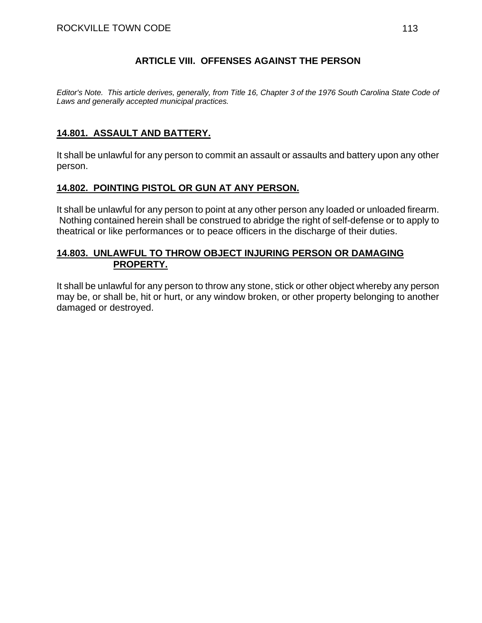### **ARTICLE VIII. OFFENSES AGAINST THE PERSON**

*Editor's Note. This article derives, generally, from Title 16, Chapter 3 of the 1976 South Carolina State Code of Laws and generally accepted municipal practices.* 

## **14.801. ASSAULT AND BATTERY.**

It shall be unlawful for any person to commit an assault or assaults and battery upon any other person.

## **14.802. POINTING PISTOL OR GUN AT ANY PERSON.**

It shall be unlawful for any person to point at any other person any loaded or unloaded firearm. Nothing contained herein shall be construed to abridge the right of self-defense or to apply to theatrical or like performances or to peace officers in the discharge of their duties.

#### **14.803. UNLAWFUL TO THROW OBJECT INJURING PERSON OR DAMAGING PROPERTY.**

It shall be unlawful for any person to throw any stone, stick or other object whereby any person may be, or shall be, hit or hurt, or any window broken, or other property belonging to another damaged or destroyed.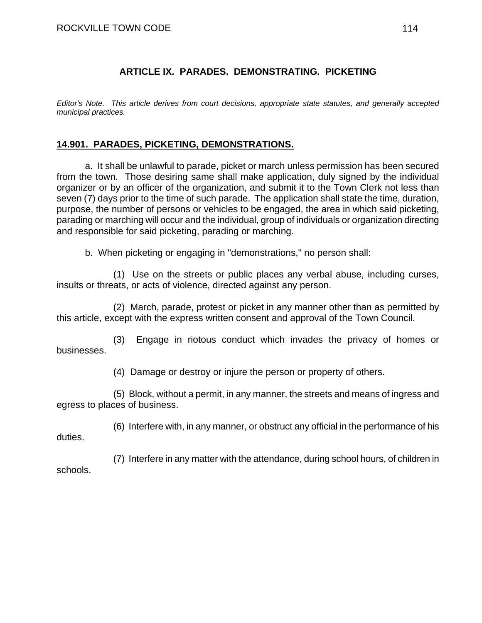## **ARTICLE IX. PARADES. DEMONSTRATING. PICKETING**

*Editor's Note. This article derives from court decisions, appropriate state statutes, and generally accepted municipal practices.* 

## **14.901. PARADES, PICKETING, DEMONSTRATIONS.**

a. It shall be unlawful to parade, picket or march unless permission has been secured from the town. Those desiring same shall make application, duly signed by the individual organizer or by an officer of the organization, and submit it to the Town Clerk not less than seven (7) days prior to the time of such parade. The application shall state the time, duration, purpose, the number of persons or vehicles to be engaged, the area in which said picketing, parading or marching will occur and the individual, group of individuals or organization directing and responsible for said picketing, parading or marching.

b. When picketing or engaging in "demonstrations," no person shall:

(1) Use on the streets or public places any verbal abuse, including curses, insults or threats, or acts of violence, directed against any person.

(2) March, parade, protest or picket in any manner other than as permitted by this article, except with the express written consent and approval of the Town Council.

(3) Engage in riotous conduct which invades the privacy of homes or businesses.

(4) Damage or destroy or injure the person or property of others.

(5) Block, without a permit, in any manner, the streets and means of ingress and egress to places of business.

(6) Interfere with, in any manner, or obstruct any official in the performance of his duties.

(7) Interfere in any matter with the attendance, during school hours, of children in schools.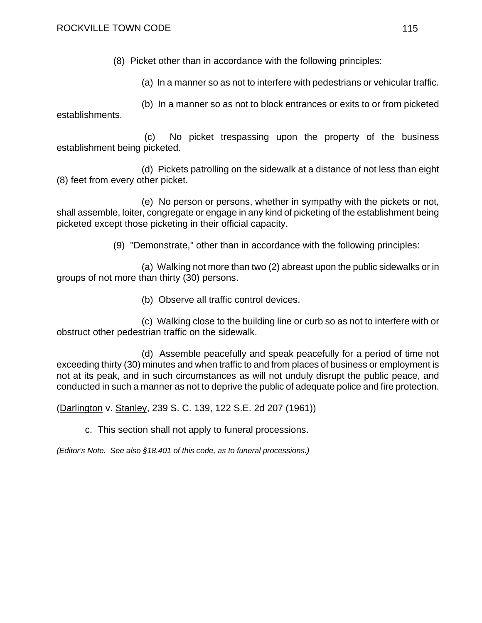(8) Picket other than in accordance with the following principles:

(a) In a manner so as not to interfere with pedestrians or vehicular traffic.

(b) In a manner so as not to block entrances or exits to or from picketed establishments.

 (c) No picket trespassing upon the property of the business establishment being picketed.

(d) Pickets patrolling on the sidewalk at a distance of not less than eight (8) feet from every other picket.

(e) No person or persons, whether in sympathy with the pickets or not, shall assemble, loiter, congregate or engage in any kind of picketing of the establishment being picketed except those picketing in their official capacity.

(9) "Demonstrate," other than in accordance with the following principles:

(a) Walking not more than two (2) abreast upon the public sidewalks or in groups of not more than thirty (30) persons.

(b) Observe all traffic control devices.

(c) Walking close to the building line or curb so as not to interfere with or obstruct other pedestrian traffic on the sidewalk.

(d) Assemble peacefully and speak peacefully for a period of time not exceeding thirty (30) minutes and when traffic to and from places of business or employment is not at its peak, and in such circumstances as will not unduly disrupt the public peace, and conducted in such a manner as not to deprive the public of adequate police and fire protection.

(Darlington v. Stanley, 239 S. C. 139, 122 S.E. 2d 207 (1961))

c. This section shall not apply to funeral processions.

*(Editor's Note. See also §18.401 of this code, as to funeral processions.)*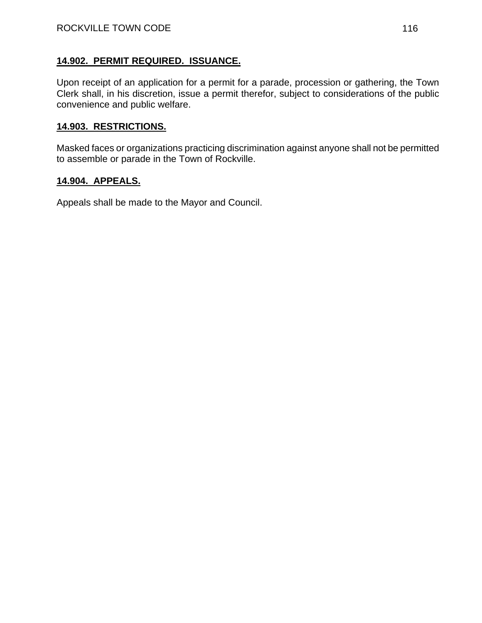### **14.902. PERMIT REQUIRED. ISSUANCE.**

Upon receipt of an application for a permit for a parade, procession or gathering, the Town Clerk shall, in his discretion, issue a permit therefor, subject to considerations of the public convenience and public welfare.

# **14.903. RESTRICTIONS.**

Masked faces or organizations practicing discrimination against anyone shall not be permitted to assemble or parade in the Town of Rockville.

#### **14.904. APPEALS.**

Appeals shall be made to the Mayor and Council.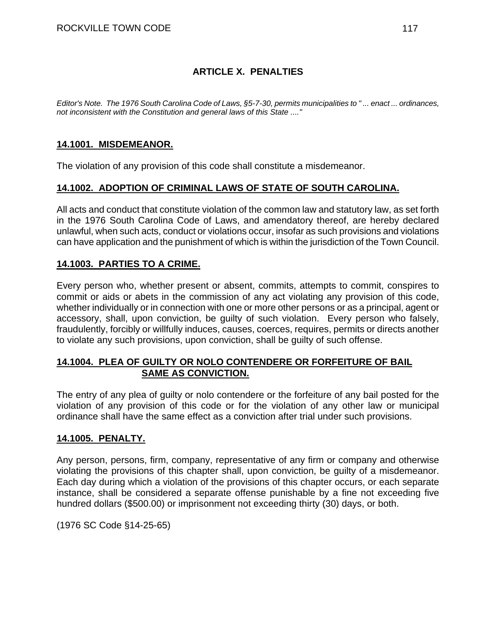## **ARTICLE X. PENALTIES**

*Editor's Note. The 1976 South Carolina Code of Laws, §5-7-30, permits municipalities to " ... enact ... ordinances, not inconsistent with the Constitution and general laws of this State ...."* 

### **14.1001. MISDEMEANOR.**

The violation of any provision of this code shall constitute a misdemeanor.

### **14.1002. ADOPTION OF CRIMINAL LAWS OF STATE OF SOUTH CAROLINA.**

All acts and conduct that constitute violation of the common law and statutory law, as set forth in the 1976 South Carolina Code of Laws, and amendatory thereof, are hereby declared unlawful, when such acts, conduct or violations occur, insofar as such provisions and violations can have application and the punishment of which is within the jurisdiction of the Town Council.

### **14.1003. PARTIES TO A CRIME.**

Every person who, whether present or absent, commits, attempts to commit, conspires to commit or aids or abets in the commission of any act violating any provision of this code, whether individually or in connection with one or more other persons or as a principal, agent or accessory, shall, upon conviction, be guilty of such violation. Every person who falsely, fraudulently, forcibly or willfully induces, causes, coerces, requires, permits or directs another to violate any such provisions, upon conviction, shall be guilty of such offense.

#### **14.1004. PLEA OF GUILTY OR NOLO CONTENDERE OR FORFEITURE OF BAIL SAME AS CONVICTION.**

The entry of any plea of guilty or nolo contendere or the forfeiture of any bail posted for the violation of any provision of this code or for the violation of any other law or municipal ordinance shall have the same effect as a conviction after trial under such provisions.

### **14.1005. PENALTY.**

Any person, persons, firm, company, representative of any firm or company and otherwise violating the provisions of this chapter shall, upon conviction, be guilty of a misdemeanor. Each day during which a violation of the provisions of this chapter occurs, or each separate instance, shall be considered a separate offense punishable by a fine not exceeding five hundred dollars (\$500.00) or imprisonment not exceeding thirty (30) days, or both.

(1976 SC Code §14-25-65)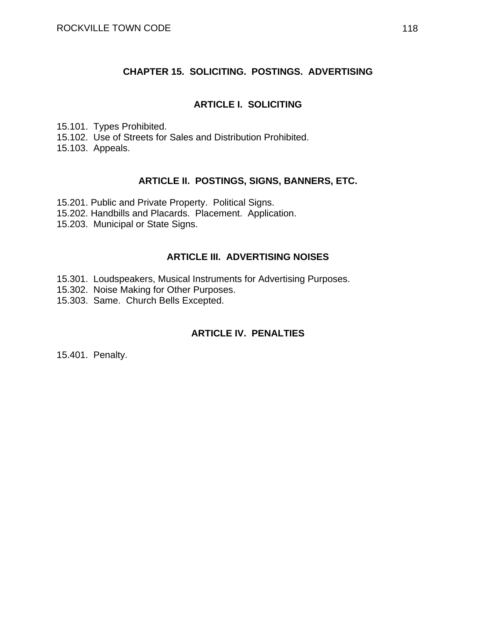#### **CHAPTER 15. SOLICITING. POSTINGS. ADVERTISING**

#### **ARTICLE I. SOLICITING**

15.101. Types Prohibited. 15.102. Use of Streets for Sales and Distribution Prohibited.

15.103. Appeals.

#### **ARTICLE II. POSTINGS, SIGNS, BANNERS, ETC.**

15.201. Public and Private Property. Political Signs.

- 15.202. Handbills and Placards. Placement. Application.
- 15.203. Municipal or State Signs.

#### **ARTICLE III. ADVERTISING NOISES**

- 15.301. Loudspeakers, Musical Instruments for Advertising Purposes.
- 15.302. Noise Making for Other Purposes.
- 15.303. Same. Church Bells Excepted.

### **ARTICLE IV. PENALTIES**

15.401. Penalty.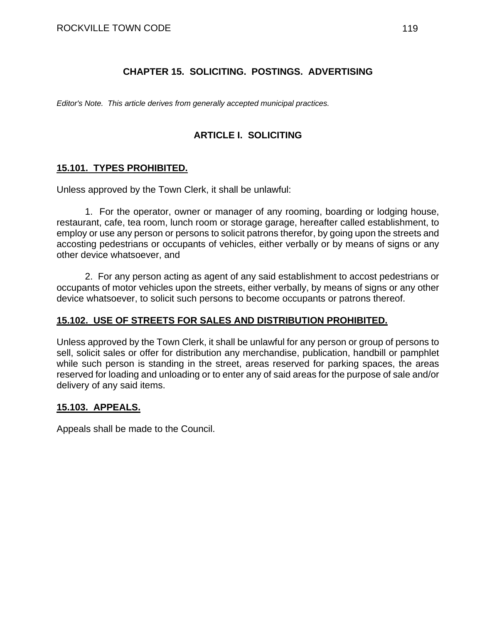## **CHAPTER 15. SOLICITING. POSTINGS. ADVERTISING**

*Editor's Note. This article derives from generally accepted municipal practices.* 

## **ARTICLE I. SOLICITING**

## **15.101. TYPES PROHIBITED.**

Unless approved by the Town Clerk, it shall be unlawful:

1. For the operator, owner or manager of any rooming, boarding or lodging house, restaurant, cafe, tea room, lunch room or storage garage, hereafter called establishment, to employ or use any person or persons to solicit patrons therefor, by going upon the streets and accosting pedestrians or occupants of vehicles, either verbally or by means of signs or any other device whatsoever, and

2. For any person acting as agent of any said establishment to accost pedestrians or occupants of motor vehicles upon the streets, either verbally, by means of signs or any other device whatsoever, to solicit such persons to become occupants or patrons thereof.

## **15.102. USE OF STREETS FOR SALES AND DISTRIBUTION PROHIBITED.**

Unless approved by the Town Clerk, it shall be unlawful for any person or group of persons to sell, solicit sales or offer for distribution any merchandise, publication, handbill or pamphlet while such person is standing in the street, areas reserved for parking spaces, the areas reserved for loading and unloading or to enter any of said areas for the purpose of sale and/or delivery of any said items.

### **15.103. APPEALS.**

Appeals shall be made to the Council.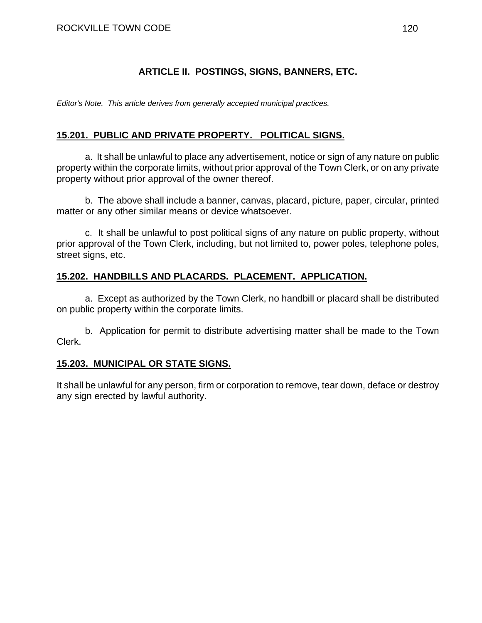## **ARTICLE II. POSTINGS, SIGNS, BANNERS, ETC.**

*Editor's Note. This article derives from generally accepted municipal practices.* 

## **15.201. PUBLIC AND PRIVATE PROPERTY. POLITICAL SIGNS.**

a. It shall be unlawful to place any advertisement, notice or sign of any nature on public property within the corporate limits, without prior approval of the Town Clerk, or on any private property without prior approval of the owner thereof.

b. The above shall include a banner, canvas, placard, picture, paper, circular, printed matter or any other similar means or device whatsoever.

c. It shall be unlawful to post political signs of any nature on public property, without prior approval of the Town Clerk, including, but not limited to, power poles, telephone poles, street signs, etc.

## **15.202. HANDBILLS AND PLACARDS. PLACEMENT. APPLICATION.**

a. Except as authorized by the Town Clerk, no handbill or placard shall be distributed on public property within the corporate limits.

b. Application for permit to distribute advertising matter shall be made to the Town Clerk.

### **15.203. MUNICIPAL OR STATE SIGNS.**

It shall be unlawful for any person, firm or corporation to remove, tear down, deface or destroy any sign erected by lawful authority.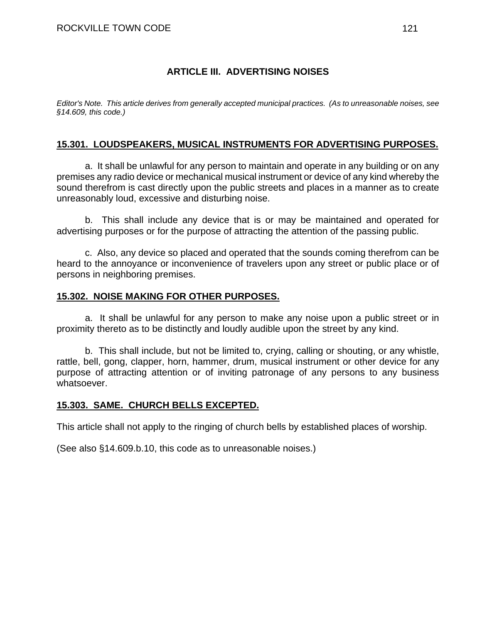## **ARTICLE III. ADVERTISING NOISES**

*Editor's Note. This article derives from generally accepted municipal practices. (As to unreasonable noises, see §14.609, this code.)* 

### **15.301. LOUDSPEAKERS, MUSICAL INSTRUMENTS FOR ADVERTISING PURPOSES.**

a. It shall be unlawful for any person to maintain and operate in any building or on any premises any radio device or mechanical musical instrument or device of any kind whereby the sound therefrom is cast directly upon the public streets and places in a manner as to create unreasonably loud, excessive and disturbing noise.

b. This shall include any device that is or may be maintained and operated for advertising purposes or for the purpose of attracting the attention of the passing public.

c. Also, any device so placed and operated that the sounds coming therefrom can be heard to the annoyance or inconvenience of travelers upon any street or public place or of persons in neighboring premises.

#### **15.302. NOISE MAKING FOR OTHER PURPOSES.**

a. It shall be unlawful for any person to make any noise upon a public street or in proximity thereto as to be distinctly and loudly audible upon the street by any kind.

b. This shall include, but not be limited to, crying, calling or shouting, or any whistle, rattle, bell, gong, clapper, horn, hammer, drum, musical instrument or other device for any purpose of attracting attention or of inviting patronage of any persons to any business whatsoever.

### **15.303. SAME. CHURCH BELLS EXCEPTED.**

This article shall not apply to the ringing of church bells by established places of worship.

(See also §14.609.b.10, this code as to unreasonable noises.)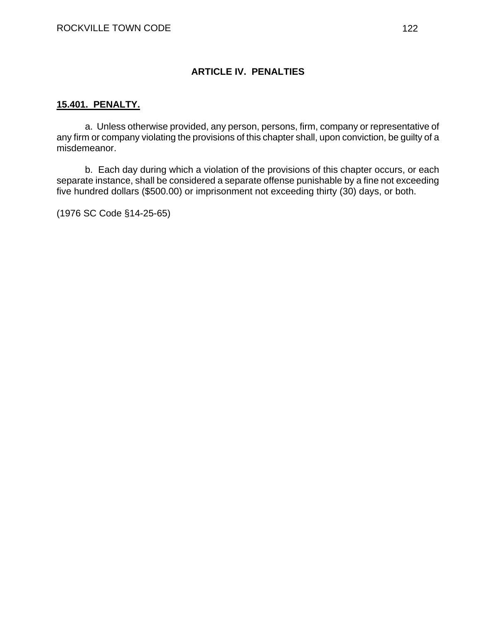## **ARTICLE IV. PENALTIES**

#### **15.401. PENALTY.**

a. Unless otherwise provided, any person, persons, firm, company or representative of any firm or company violating the provisions of this chapter shall, upon conviction, be guilty of a misdemeanor.

b. Each day during which a violation of the provisions of this chapter occurs, or each separate instance, shall be considered a separate offense punishable by a fine not exceeding five hundred dollars (\$500.00) or imprisonment not exceeding thirty (30) days, or both.

(1976 SC Code §14-25-65)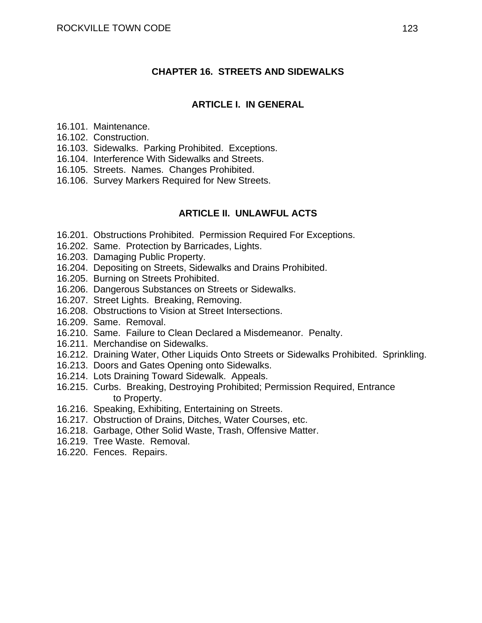#### **CHAPTER 16. STREETS AND SIDEWALKS**

#### **ARTICLE I. IN GENERAL**

- 16.101. Maintenance.
- 16.102. Construction.
- 16.103. Sidewalks. Parking Prohibited. Exceptions.
- 16.104. Interference With Sidewalks and Streets.
- 16.105. Streets. Names. Changes Prohibited.
- 16.106. Survey Markers Required for New Streets.

#### **ARTICLE II. UNLAWFUL ACTS**

- 16.201. Obstructions Prohibited. Permission Required For Exceptions.
- 16.202. Same. Protection by Barricades, Lights.
- 16.203. Damaging Public Property.
- 16.204. Depositing on Streets, Sidewalks and Drains Prohibited.
- 16.205. Burning on Streets Prohibited.
- 16.206. Dangerous Substances on Streets or Sidewalks.
- 16.207. Street Lights. Breaking, Removing.
- 16.208. Obstructions to Vision at Street Intersections.
- 16.209. Same. Removal.
- 16.210. Same. Failure to Clean Declared a Misdemeanor. Penalty.
- 16.211. Merchandise on Sidewalks.
- 16.212. Draining Water, Other Liquids Onto Streets or Sidewalks Prohibited. Sprinkling.
- 16.213. Doors and Gates Opening onto Sidewalks.
- 16.214. Lots Draining Toward Sidewalk. Appeals.
- 16.215. Curbs. Breaking, Destroying Prohibited; Permission Required, Entrance to Property.
- 16.216. Speaking, Exhibiting, Entertaining on Streets.
- 16.217. Obstruction of Drains, Ditches, Water Courses, etc.
- 16.218. Garbage, Other Solid Waste, Trash, Offensive Matter.
- 16.219. Tree Waste. Removal.
- 16.220. Fences. Repairs.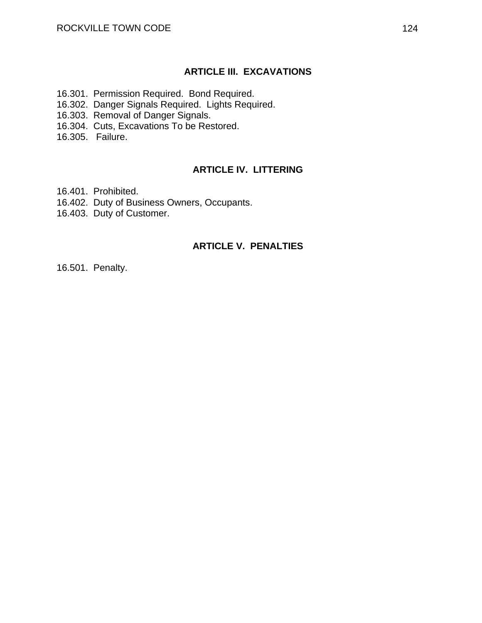#### **ARTICLE III. EXCAVATIONS**

- 16.301. Permission Required. Bond Required.
- 16.302. Danger Signals Required. Lights Required.
- 16.303. Removal of Danger Signals.
- 16.304. Cuts, Excavations To be Restored.
- 16.305. Failure.

#### **ARTICLE IV. LITTERING**

- 16.401. Prohibited.
- 16.402. Duty of Business Owners, Occupants.
- 16.403. Duty of Customer.

#### **ARTICLE V. PENALTIES**

16.501. Penalty.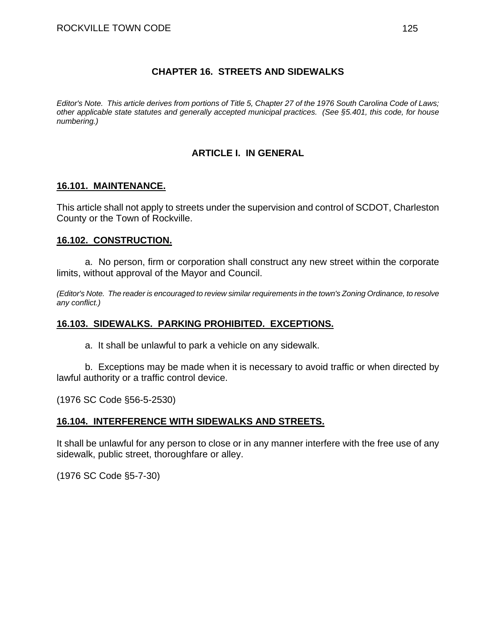### **CHAPTER 16. STREETS AND SIDEWALKS**

*Editor's Note. This article derives from portions of Title 5, Chapter 27 of the 1976 South Carolina Code of Laws; other applicable state statutes and generally accepted municipal practices. (See §5.401, this code, for house numbering.)* 

## **ARTICLE I. IN GENERAL**

#### **16.101. MAINTENANCE.**

This article shall not apply to streets under the supervision and control of SCDOT, Charleston County or the Town of Rockville.

#### **16.102. CONSTRUCTION.**

a. No person, firm or corporation shall construct any new street within the corporate limits, without approval of the Mayor and Council.

*(Editor's Note. The reader is encouraged to review similar requirements in the town's Zoning Ordinance, to resolve any conflict.)* 

### **16.103. SIDEWALKS. PARKING PROHIBITED. EXCEPTIONS.**

a. It shall be unlawful to park a vehicle on any sidewalk.

b. Exceptions may be made when it is necessary to avoid traffic or when directed by lawful authority or a traffic control device.

(1976 SC Code §56-5-2530)

### **16.104. INTERFERENCE WITH SIDEWALKS AND STREETS.**

It shall be unlawful for any person to close or in any manner interfere with the free use of any sidewalk, public street, thoroughfare or alley.

(1976 SC Code §5-7-30)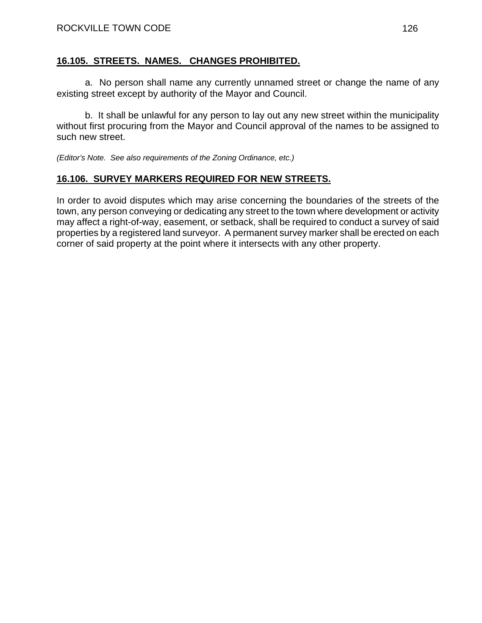### **16.105. STREETS. NAMES. CHANGES PROHIBITED.**

a. No person shall name any currently unnamed street or change the name of any existing street except by authority of the Mayor and Council.

b. It shall be unlawful for any person to lay out any new street within the municipality without first procuring from the Mayor and Council approval of the names to be assigned to such new street.

*(Editor's Note. See also requirements of the Zoning Ordinance, etc.)* 

## **16.106. SURVEY MARKERS REQUIRED FOR NEW STREETS.**

In order to avoid disputes which may arise concerning the boundaries of the streets of the town, any person conveying or dedicating any street to the town where development or activity may affect a right-of-way, easement, or setback, shall be required to conduct a survey of said properties by a registered land surveyor. A permanent survey marker shall be erected on each corner of said property at the point where it intersects with any other property.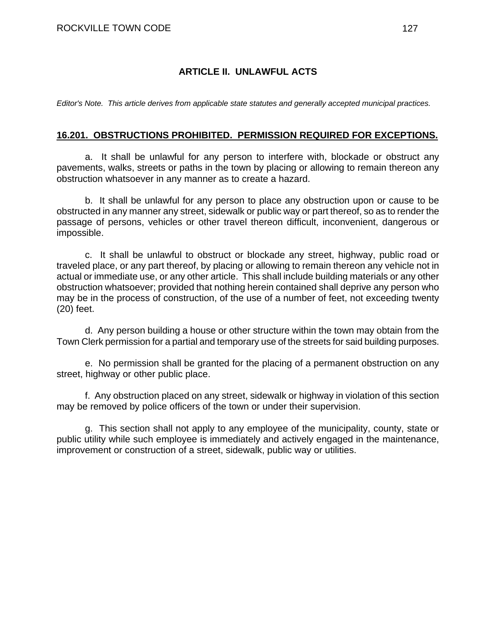## **ARTICLE II. UNLAWFUL ACTS**

*Editor's Note. This article derives from applicable state statutes and generally accepted municipal practices.* 

#### **16.201. OBSTRUCTIONS PROHIBITED. PERMISSION REQUIRED FOR EXCEPTIONS.**

a. It shall be unlawful for any person to interfere with, blockade or obstruct any pavements, walks, streets or paths in the town by placing or allowing to remain thereon any obstruction whatsoever in any manner as to create a hazard.

b. It shall be unlawful for any person to place any obstruction upon or cause to be obstructed in any manner any street, sidewalk or public way or part thereof, so as to render the passage of persons, vehicles or other travel thereon difficult, inconvenient, dangerous or impossible.

c. It shall be unlawful to obstruct or blockade any street, highway, public road or traveled place, or any part thereof, by placing or allowing to remain thereon any vehicle not in actual or immediate use, or any other article. This shall include building materials or any other obstruction whatsoever; provided that nothing herein contained shall deprive any person who may be in the process of construction, of the use of a number of feet, not exceeding twenty (20) feet.

d. Any person building a house or other structure within the town may obtain from the Town Clerk permission for a partial and temporary use of the streets for said building purposes.

e. No permission shall be granted for the placing of a permanent obstruction on any street, highway or other public place.

f. Any obstruction placed on any street, sidewalk or highway in violation of this section may be removed by police officers of the town or under their supervision.

g. This section shall not apply to any employee of the municipality, county, state or public utility while such employee is immediately and actively engaged in the maintenance, improvement or construction of a street, sidewalk, public way or utilities.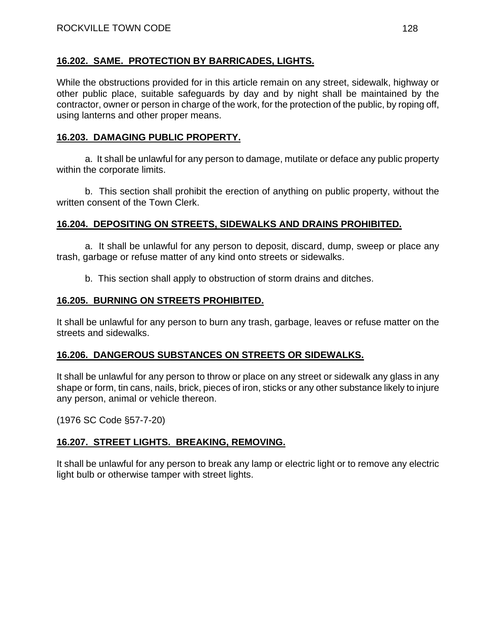## **16.202. SAME. PROTECTION BY BARRICADES, LIGHTS.**

While the obstructions provided for in this article remain on any street, sidewalk, highway or other public place, suitable safeguards by day and by night shall be maintained by the contractor, owner or person in charge of the work, for the protection of the public, by roping off, using lanterns and other proper means.

## **16.203. DAMAGING PUBLIC PROPERTY.**

a. It shall be unlawful for any person to damage, mutilate or deface any public property within the corporate limits.

b. This section shall prohibit the erection of anything on public property, without the written consent of the Town Clerk.

## **16.204. DEPOSITING ON STREETS, SIDEWALKS AND DRAINS PROHIBITED.**

a. It shall be unlawful for any person to deposit, discard, dump, sweep or place any trash, garbage or refuse matter of any kind onto streets or sidewalks.

b. This section shall apply to obstruction of storm drains and ditches.

### **16.205. BURNING ON STREETS PROHIBITED.**

It shall be unlawful for any person to burn any trash, garbage, leaves or refuse matter on the streets and sidewalks.

## **16.206. DANGEROUS SUBSTANCES ON STREETS OR SIDEWALKS.**

It shall be unlawful for any person to throw or place on any street or sidewalk any glass in any shape or form, tin cans, nails, brick, pieces of iron, sticks or any other substance likely to injure any person, animal or vehicle thereon.

(1976 SC Code §57-7-20)

### **16.207. STREET LIGHTS. BREAKING, REMOVING.**

It shall be unlawful for any person to break any lamp or electric light or to remove any electric light bulb or otherwise tamper with street lights.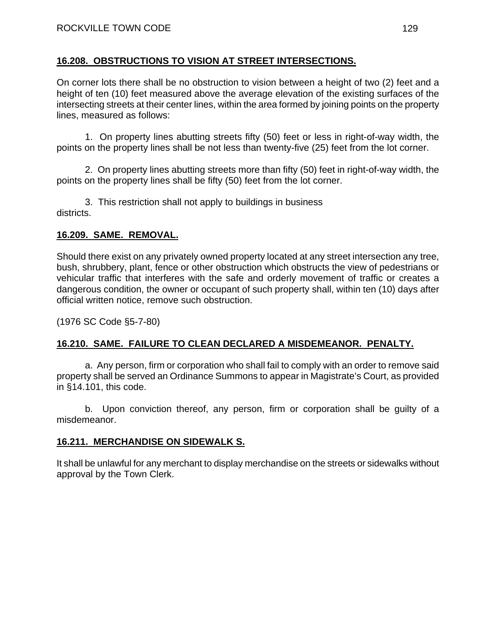### **16.208. OBSTRUCTIONS TO VISION AT STREET INTERSECTIONS.**

On corner lots there shall be no obstruction to vision between a height of two (2) feet and a height of ten (10) feet measured above the average elevation of the existing surfaces of the intersecting streets at their center lines, within the area formed by joining points on the property lines, measured as follows:

1. On property lines abutting streets fifty (50) feet or less in right-of-way width, the points on the property lines shall be not less than twenty-five (25) feet from the lot corner.

2. On property lines abutting streets more than fifty (50) feet in right-of-way width, the points on the property lines shall be fifty (50) feet from the lot corner.

3. This restriction shall not apply to buildings in business districts.

## **16.209. SAME. REMOVAL.**

Should there exist on any privately owned property located at any street intersection any tree, bush, shrubbery, plant, fence or other obstruction which obstructs the view of pedestrians or vehicular traffic that interferes with the safe and orderly movement of traffic or creates a dangerous condition, the owner or occupant of such property shall, within ten (10) days after official written notice, remove such obstruction.

(1976 SC Code §5-7-80)

## **16.210. SAME. FAILURE TO CLEAN DECLARED A MISDEMEANOR. PENALTY.**

a. Any person, firm or corporation who shall fail to comply with an order to remove said property shall be served an Ordinance Summons to appear in Magistrate's Court, as provided in §14.101, this code.

b. Upon conviction thereof, any person, firm or corporation shall be guilty of a misdemeanor.

### **16.211. MERCHANDISE ON SIDEWALK S.**

It shall be unlawful for any merchant to display merchandise on the streets or sidewalks without approval by the Town Clerk.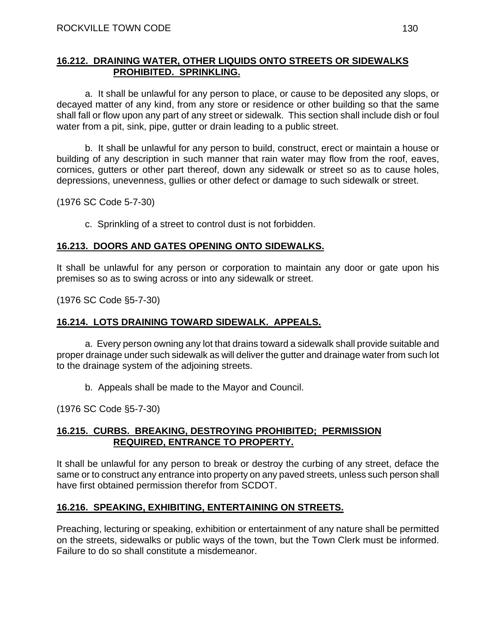### **16.212. DRAINING WATER, OTHER LIQUIDS ONTO STREETS OR SIDEWALKS PROHIBITED. SPRINKLING.**

a. It shall be unlawful for any person to place, or cause to be deposited any slops, or decayed matter of any kind, from any store or residence or other building so that the same shall fall or flow upon any part of any street or sidewalk. This section shall include dish or foul water from a pit, sink, pipe, gutter or drain leading to a public street.

b. It shall be unlawful for any person to build, construct, erect or maintain a house or building of any description in such manner that rain water may flow from the roof, eaves, cornices, gutters or other part thereof, down any sidewalk or street so as to cause holes, depressions, unevenness, gullies or other defect or damage to such sidewalk or street.

(1976 SC Code 5-7-30)

c. Sprinkling of a street to control dust is not forbidden.

## **16.213. DOORS AND GATES OPENING ONTO SIDEWALKS.**

It shall be unlawful for any person or corporation to maintain any door or gate upon his premises so as to swing across or into any sidewalk or street.

(1976 SC Code §5-7-30)

### **16.214. LOTS DRAINING TOWARD SIDEWALK. APPEALS.**

a. Every person owning any lot that drains toward a sidewalk shall provide suitable and proper drainage under such sidewalk as will deliver the gutter and drainage water from such lot to the drainage system of the adjoining streets.

b. Appeals shall be made to the Mayor and Council.

(1976 SC Code §5-7-30)

#### **16.215. CURBS. BREAKING, DESTROYING PROHIBITED; PERMISSION REQUIRED, ENTRANCE TO PROPERTY.**

It shall be unlawful for any person to break or destroy the curbing of any street, deface the same or to construct any entrance into property on any paved streets, unless such person shall have first obtained permission therefor from SCDOT.

## **16.216. SPEAKING, EXHIBITING, ENTERTAINING ON STREETS.**

Preaching, lecturing or speaking, exhibition or entertainment of any nature shall be permitted on the streets, sidewalks or public ways of the town, but the Town Clerk must be informed. Failure to do so shall constitute a misdemeanor.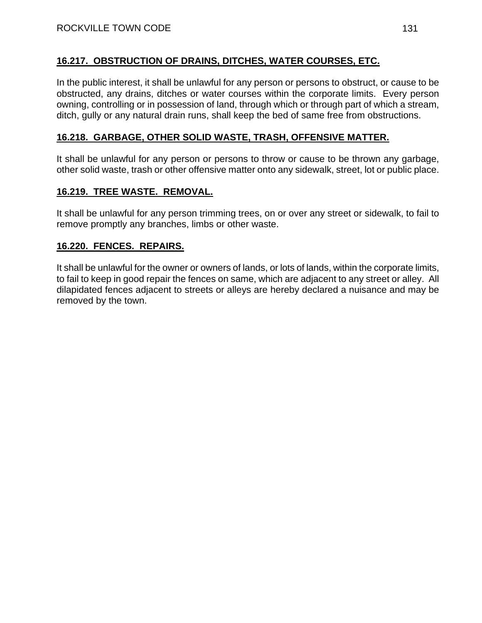## **16.217. OBSTRUCTION OF DRAINS, DITCHES, WATER COURSES, ETC.**

In the public interest, it shall be unlawful for any person or persons to obstruct, or cause to be obstructed, any drains, ditches or water courses within the corporate limits. Every person owning, controlling or in possession of land, through which or through part of which a stream, ditch, gully or any natural drain runs, shall keep the bed of same free from obstructions.

### **16.218. GARBAGE, OTHER SOLID WASTE, TRASH, OFFENSIVE MATTER.**

It shall be unlawful for any person or persons to throw or cause to be thrown any garbage, other solid waste, trash or other offensive matter onto any sidewalk, street, lot or public place.

### **16.219. TREE WASTE. REMOVAL.**

It shall be unlawful for any person trimming trees, on or over any street or sidewalk, to fail to remove promptly any branches, limbs or other waste.

### **16.220. FENCES. REPAIRS.**

It shall be unlawful for the owner or owners of lands, or lots of lands, within the corporate limits, to fail to keep in good repair the fences on same, which are adjacent to any street or alley. All dilapidated fences adjacent to streets or alleys are hereby declared a nuisance and may be removed by the town.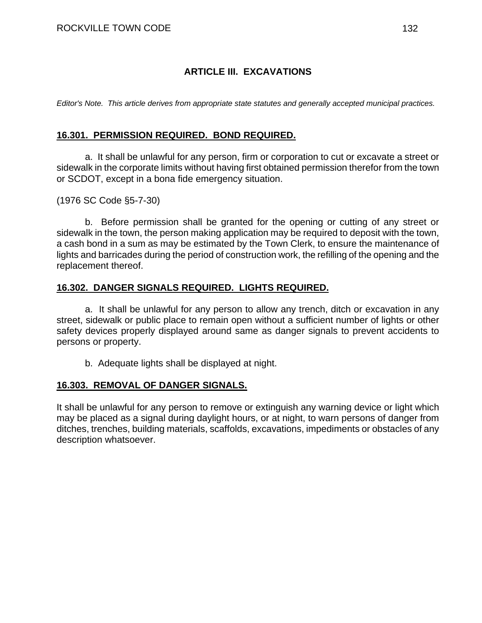## **ARTICLE III. EXCAVATIONS**

*Editor's Note. This article derives from appropriate state statutes and generally accepted municipal practices.* 

#### **16.301. PERMISSION REQUIRED. BOND REQUIRED.**

a. It shall be unlawful for any person, firm or corporation to cut or excavate a street or sidewalk in the corporate limits without having first obtained permission therefor from the town or SCDOT, except in a bona fide emergency situation.

(1976 SC Code §5-7-30)

b. Before permission shall be granted for the opening or cutting of any street or sidewalk in the town, the person making application may be required to deposit with the town, a cash bond in a sum as may be estimated by the Town Clerk, to ensure the maintenance of lights and barricades during the period of construction work, the refilling of the opening and the replacement thereof.

#### **16.302. DANGER SIGNALS REQUIRED. LIGHTS REQUIRED.**

a. It shall be unlawful for any person to allow any trench, ditch or excavation in any street, sidewalk or public place to remain open without a sufficient number of lights or other safety devices properly displayed around same as danger signals to prevent accidents to persons or property.

b. Adequate lights shall be displayed at night.

#### **16.303. REMOVAL OF DANGER SIGNALS.**

It shall be unlawful for any person to remove or extinguish any warning device or light which may be placed as a signal during daylight hours, or at night, to warn persons of danger from ditches, trenches, building materials, scaffolds, excavations, impediments or obstacles of any description whatsoever.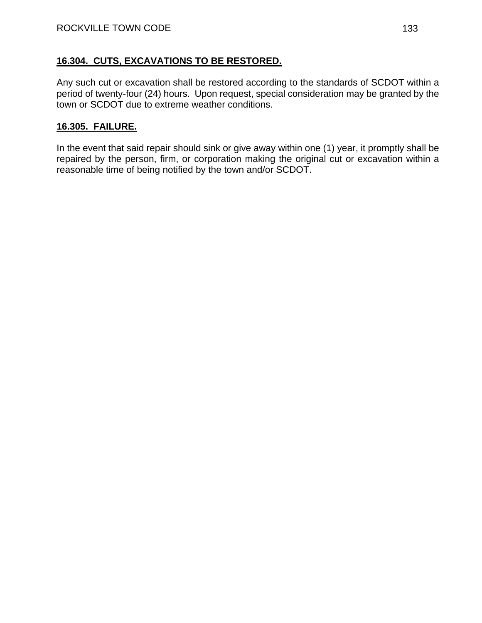## **16.304. CUTS, EXCAVATIONS TO BE RESTORED.**

Any such cut or excavation shall be restored according to the standards of SCDOT within a period of twenty-four (24) hours. Upon request, special consideration may be granted by the town or SCDOT due to extreme weather conditions.

## **16.305. FAILURE.**

In the event that said repair should sink or give away within one (1) year, it promptly shall be repaired by the person, firm, or corporation making the original cut or excavation within a reasonable time of being notified by the town and/or SCDOT.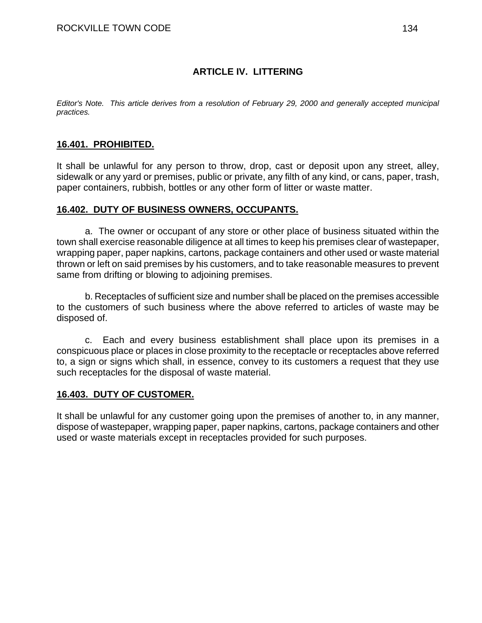## **ARTICLE IV. LITTERING**

*Editor's Note. This article derives from a resolution of February 29, 2000 and generally accepted municipal practices.* 

## **16.401. PROHIBITED.**

It shall be unlawful for any person to throw, drop, cast or deposit upon any street, alley, sidewalk or any yard or premises, public or private, any filth of any kind, or cans, paper, trash, paper containers, rubbish, bottles or any other form of litter or waste matter.

#### **16.402. DUTY OF BUSINESS OWNERS, OCCUPANTS.**

a. The owner or occupant of any store or other place of business situated within the town shall exercise reasonable diligence at all times to keep his premises clear of wastepaper, wrapping paper, paper napkins, cartons, package containers and other used or waste material thrown or left on said premises by his customers, and to take reasonable measures to prevent same from drifting or blowing to adjoining premises.

b. Receptacles of sufficient size and number shall be placed on the premises accessible to the customers of such business where the above referred to articles of waste may be disposed of.

c. Each and every business establishment shall place upon its premises in a conspicuous place or places in close proximity to the receptacle or receptacles above referred to, a sign or signs which shall, in essence, convey to its customers a request that they use such receptacles for the disposal of waste material.

#### **16.403. DUTY OF CUSTOMER.**

It shall be unlawful for any customer going upon the premises of another to, in any manner, dispose of wastepaper, wrapping paper, paper napkins, cartons, package containers and other used or waste materials except in receptacles provided for such purposes.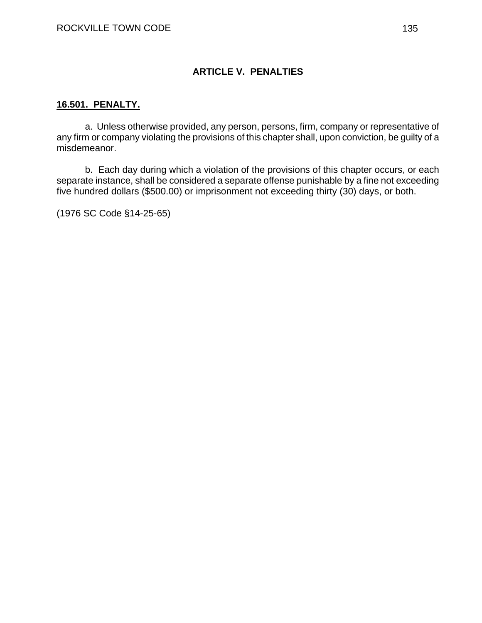## **ARTICLE V. PENALTIES**

#### **16.501. PENALTY.**

a. Unless otherwise provided, any person, persons, firm, company or representative of any firm or company violating the provisions of this chapter shall, upon conviction, be guilty of a misdemeanor.

b. Each day during which a violation of the provisions of this chapter occurs, or each separate instance, shall be considered a separate offense punishable by a fine not exceeding five hundred dollars (\$500.00) or imprisonment not exceeding thirty (30) days, or both.

(1976 SC Code §14-25-65)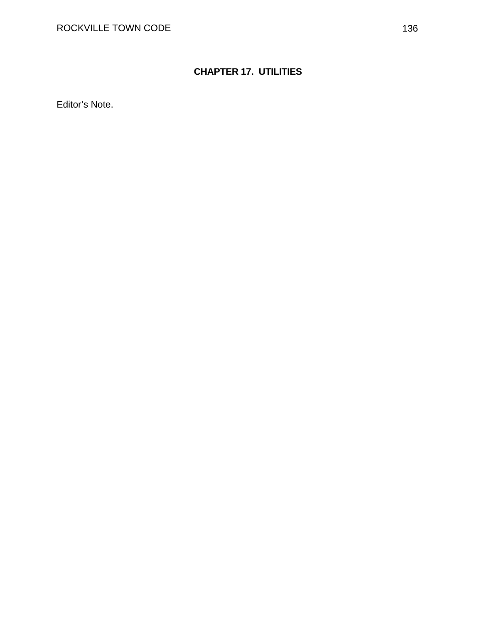# **CHAPTER 17. UTILITIES**

Editor's Note.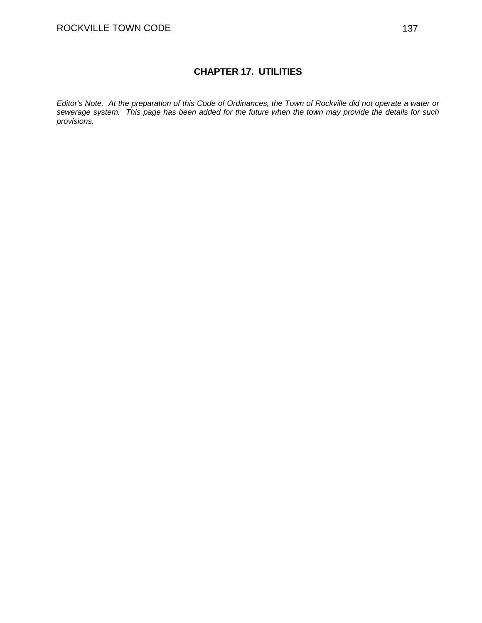## **CHAPTER 17. UTILITIES**

*Editor's Note. At the preparation of this Code of Ordinances, the Town of Rockville did not operate a water or sewerage system. This page has been added for the future when the town may provide the details for such provisions.*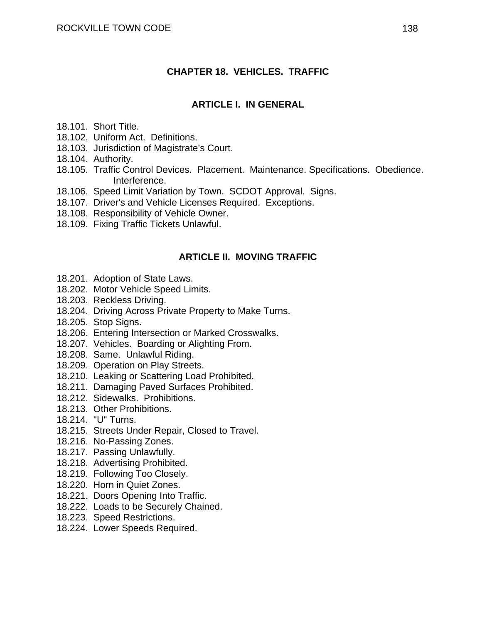#### **CHAPTER 18. VEHICLES. TRAFFIC**

#### **ARTICLE I. IN GENERAL**

- 18.101. Short Title.
- 18.102. Uniform Act. Definitions.
- 18.103. Jurisdiction of Magistrate's Court.
- 18.104. Authority.
- 18.105. Traffic Control Devices. Placement. Maintenance. Specifications. Obedience. Interference.
- 18.106. Speed Limit Variation by Town. SCDOT Approval. Signs.
- 18.107. Driver's and Vehicle Licenses Required. Exceptions.
- 18.108. Responsibility of Vehicle Owner.
- 18.109. Fixing Traffic Tickets Unlawful.

#### **ARTICLE II. MOVING TRAFFIC**

- 18.201. Adoption of State Laws.
- 18.202. Motor Vehicle Speed Limits.
- 18.203. Reckless Driving.
- 18.204. Driving Across Private Property to Make Turns.
- 18.205. Stop Signs.
- 18.206. Entering Intersection or Marked Crosswalks.
- 18.207. Vehicles. Boarding or Alighting From.
- 18.208. Same. Unlawful Riding.
- 18.209. Operation on Play Streets.
- 18.210. Leaking or Scattering Load Prohibited.
- 18.211. Damaging Paved Surfaces Prohibited.
- 18.212. Sidewalks. Prohibitions.
- 18.213. Other Prohibitions.
- 18.214. "U" Turns.
- 18.215. Streets Under Repair, Closed to Travel.
- 18.216. No-Passing Zones.
- 18.217. Passing Unlawfully.
- 18.218. Advertising Prohibited.
- 18.219. Following Too Closely.
- 18.220. Horn in Quiet Zones.
- 18.221. Doors Opening Into Traffic.
- 18.222. Loads to be Securely Chained.
- 18.223. Speed Restrictions.
- 18.224. Lower Speeds Required.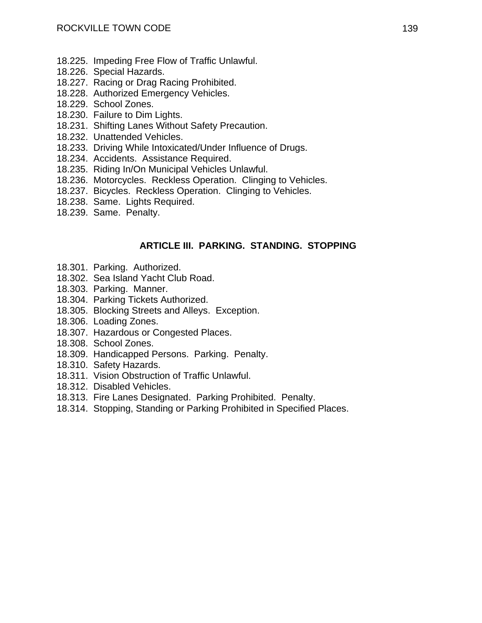- 18.225. Impeding Free Flow of Traffic Unlawful.
- 18.226. Special Hazards.
- 18.227. Racing or Drag Racing Prohibited.
- 18.228. Authorized Emergency Vehicles.
- 18.229. School Zones.
- 18.230. Failure to Dim Lights.
- 18.231. Shifting Lanes Without Safety Precaution.
- 18.232. Unattended Vehicles.
- 18.233. Driving While Intoxicated/Under Influence of Drugs.
- 18.234. Accidents. Assistance Required.
- 18.235. Riding In/On Municipal Vehicles Unlawful.
- 18.236. Motorcycles. Reckless Operation. Clinging to Vehicles.
- 18.237. Bicycles. Reckless Operation. Clinging to Vehicles.
- 18.238. Same. Lights Required.
- 18.239. Same. Penalty.

#### **ARTICLE III. PARKING. STANDING. STOPPING**

- 18.301. Parking. Authorized.
- 18.302. Sea Island Yacht Club Road.
- 18.303. Parking. Manner.
- 18.304. Parking Tickets Authorized.
- 18.305. Blocking Streets and Alleys. Exception.
- 18.306. Loading Zones.
- 18.307. Hazardous or Congested Places.
- 18.308. School Zones.
- 18.309. Handicapped Persons. Parking. Penalty.
- 18.310. Safety Hazards.
- 18.311. Vision Obstruction of Traffic Unlawful.
- 18.312. Disabled Vehicles.
- 18.313. Fire Lanes Designated. Parking Prohibited. Penalty.
- 18.314. Stopping, Standing or Parking Prohibited in Specified Places.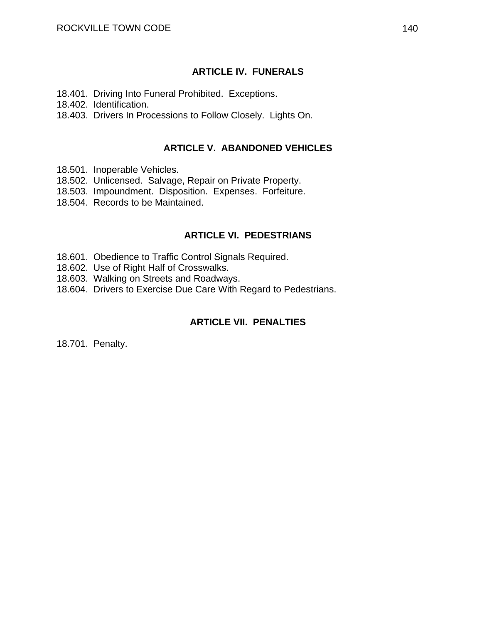### **ARTICLE IV. FUNERALS**

18.401. Driving Into Funeral Prohibited. Exceptions.

18.402. Identification.

18.403. Drivers In Processions to Follow Closely. Lights On.

#### **ARTICLE V. ABANDONED VEHICLES**

- 18.501. Inoperable Vehicles.
- 18.502. Unlicensed. Salvage, Repair on Private Property.
- 18.503. Impoundment. Disposition. Expenses. Forfeiture.
- 18.504. Records to be Maintained.

#### **ARTICLE VI. PEDESTRIANS**

- 18.601. Obedience to Traffic Control Signals Required.
- 18.602. Use of Right Half of Crosswalks.
- 18.603. Walking on Streets and Roadways.
- 18.604. Drivers to Exercise Due Care With Regard to Pedestrians.

### **ARTICLE VII. PENALTIES**

18.701. Penalty.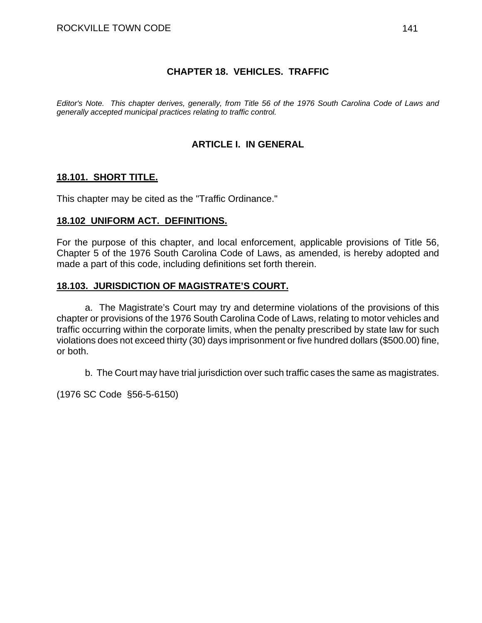### **CHAPTER 18. VEHICLES. TRAFFIC**

*Editor's Note. This chapter derives, generally, from Title 56 of the 1976 South Carolina Code of Laws and generally accepted municipal practices relating to traffic control.* 

## **ARTICLE I. IN GENERAL**

### **18.101. SHORT TITLE.**

This chapter may be cited as the "Traffic Ordinance."

#### **18.102 UNIFORM ACT. DEFINITIONS.**

For the purpose of this chapter, and local enforcement, applicable provisions of Title 56, Chapter 5 of the 1976 South Carolina Code of Laws, as amended, is hereby adopted and made a part of this code, including definitions set forth therein.

#### **18.103. JURISDICTION OF MAGISTRATE'S COURT.**

a. The Magistrate's Court may try and determine violations of the provisions of this chapter or provisions of the 1976 South Carolina Code of Laws, relating to motor vehicles and traffic occurring within the corporate limits, when the penalty prescribed by state law for such violations does not exceed thirty (30) days imprisonment or five hundred dollars (\$500.00) fine, or both.

b. The Court may have trial jurisdiction over such traffic cases the same as magistrates.

(1976 SC Code §56-5-6150)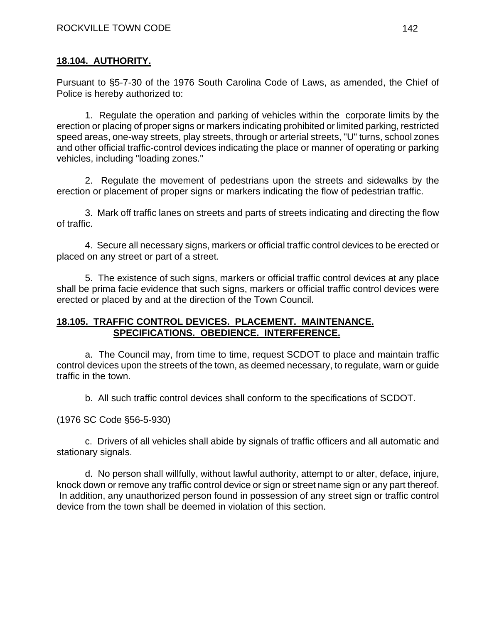## **18.104. AUTHORITY.**

Pursuant to §5-7-30 of the 1976 South Carolina Code of Laws, as amended, the Chief of Police is hereby authorized to:

1. Regulate the operation and parking of vehicles within the corporate limits by the erection or placing of proper signs or markers indicating prohibited or limited parking, restricted speed areas, one-way streets, play streets, through or arterial streets, "U" turns, school zones and other official traffic-control devices indicating the place or manner of operating or parking vehicles, including "loading zones."

2. Regulate the movement of pedestrians upon the streets and sidewalks by the erection or placement of proper signs or markers indicating the flow of pedestrian traffic.

3. Mark off traffic lanes on streets and parts of streets indicating and directing the flow of traffic.

4. Secure all necessary signs, markers or official traffic control devices to be erected or placed on any street or part of a street.

5. The existence of such signs, markers or official traffic control devices at any place shall be prima facie evidence that such signs, markers or official traffic control devices were erected or placed by and at the direction of the Town Council.

### **18.105. TRAFFIC CONTROL DEVICES. PLACEMENT. MAINTENANCE. SPECIFICATIONS. OBEDIENCE. INTERFERENCE.**

a. The Council may, from time to time, request SCDOT to place and maintain traffic control devices upon the streets of the town, as deemed necessary, to regulate, warn or guide traffic in the town.

b. All such traffic control devices shall conform to the specifications of SCDOT.

(1976 SC Code §56-5-930)

c. Drivers of all vehicles shall abide by signals of traffic officers and all automatic and stationary signals.

d. No person shall willfully, without lawful authority, attempt to or alter, deface, injure, knock down or remove any traffic control device or sign or street name sign or any part thereof. In addition, any unauthorized person found in possession of any street sign or traffic control device from the town shall be deemed in violation of this section.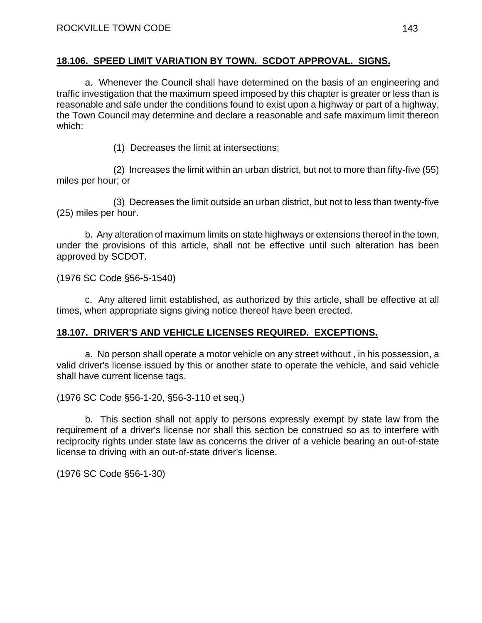### **18.106. SPEED LIMIT VARIATION BY TOWN. SCDOT APPROVAL. SIGNS.**

a. Whenever the Council shall have determined on the basis of an engineering and traffic investigation that the maximum speed imposed by this chapter is greater or less than is reasonable and safe under the conditions found to exist upon a highway or part of a highway, the Town Council may determine and declare a reasonable and safe maximum limit thereon which:

(1) Decreases the limit at intersections;

(2) Increases the limit within an urban district, but not to more than fifty-five (55) miles per hour; or

(3) Decreases the limit outside an urban district, but not to less than twenty-five (25) miles per hour.

b. Any alteration of maximum limits on state highways or extensions thereof in the town, under the provisions of this article, shall not be effective until such alteration has been approved by SCDOT.

(1976 SC Code §56-5-1540)

c. Any altered limit established, as authorized by this article, shall be effective at all times, when appropriate signs giving notice thereof have been erected.

## **18.107. DRIVER'S AND VEHICLE LICENSES REQUIRED. EXCEPTIONS.**

a. No person shall operate a motor vehicle on any street without , in his possession, a valid driver's license issued by this or another state to operate the vehicle, and said vehicle shall have current license tags.

(1976 SC Code §56-1-20, §56-3-110 et seq.)

b. This section shall not apply to persons expressly exempt by state law from the requirement of a driver's license nor shall this section be construed so as to interfere with reciprocity rights under state law as concerns the driver of a vehicle bearing an out-of-state license to driving with an out-of-state driver's license.

(1976 SC Code §56-1-30)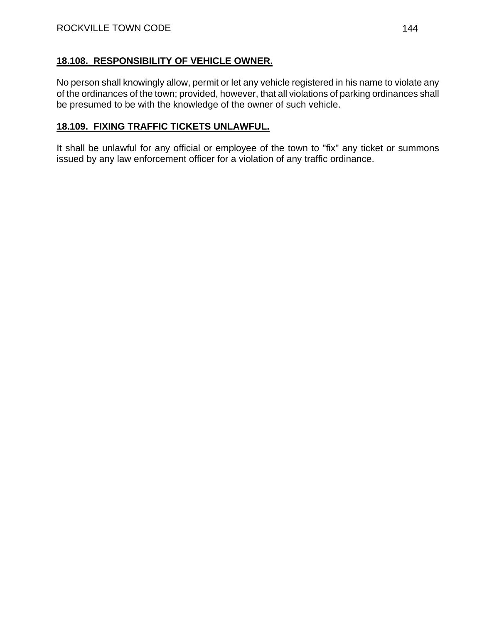### **18.108. RESPONSIBILITY OF VEHICLE OWNER.**

No person shall knowingly allow, permit or let any vehicle registered in his name to violate any of the ordinances of the town; provided, however, that all violations of parking ordinances shall be presumed to be with the knowledge of the owner of such vehicle.

## **18.109. FIXING TRAFFIC TICKETS UNLAWFUL.**

It shall be unlawful for any official or employee of the town to "fix" any ticket or summons issued by any law enforcement officer for a violation of any traffic ordinance.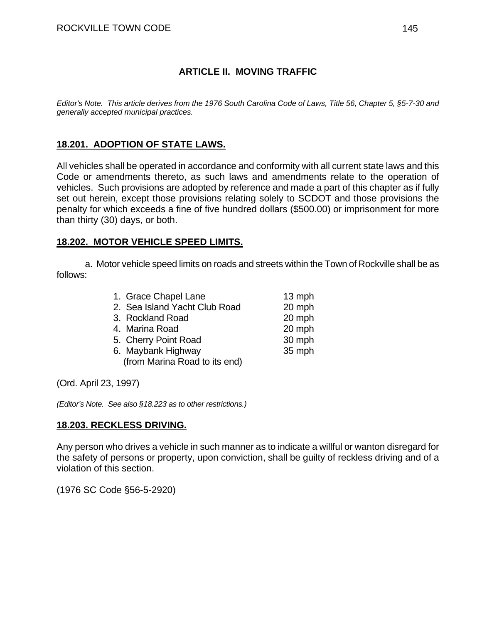#### **ARTICLE II. MOVING TRAFFIC**

*Editor's Note. This article derives from the 1976 South Carolina Code of Laws, Title 56, Chapter 5, §5-7-30 and generally accepted municipal practices.* 

#### **18.201. ADOPTION OF STATE LAWS.**

All vehicles shall be operated in accordance and conformity with all current state laws and this Code or amendments thereto, as such laws and amendments relate to the operation of vehicles. Such provisions are adopted by reference and made a part of this chapter as if fully set out herein, except those provisions relating solely to SCDOT and those provisions the penalty for which exceeds a fine of five hundred dollars (\$500.00) or imprisonment for more than thirty (30) days, or both.

#### **18.202. MOTOR VEHICLE SPEED LIMITS.**

 a. Motor vehicle speed limits on roads and streets within the Town of Rockville shall be as follows:

| 1. Grace Chapel Lane          | $13$ mph |
|-------------------------------|----------|
| 2. Sea Island Yacht Club Road | 20 mph   |
| 3. Rockland Road              | 20 mph   |
| 4. Marina Road                | 20 mph   |
| 5. Cherry Point Road          | 30 mph   |
| 6. Maybank Highway            | 35 mph   |
| (from Marina Road to its end) |          |
|                               |          |

(Ord. April 23, 1997)

*(Editor's Note. See also §18.223 as to other restrictions.)* 

#### **18.203. RECKLESS DRIVING.**

Any person who drives a vehicle in such manner as to indicate a willful or wanton disregard for the safety of persons or property, upon conviction, shall be guilty of reckless driving and of a violation of this section.

(1976 SC Code §56-5-2920)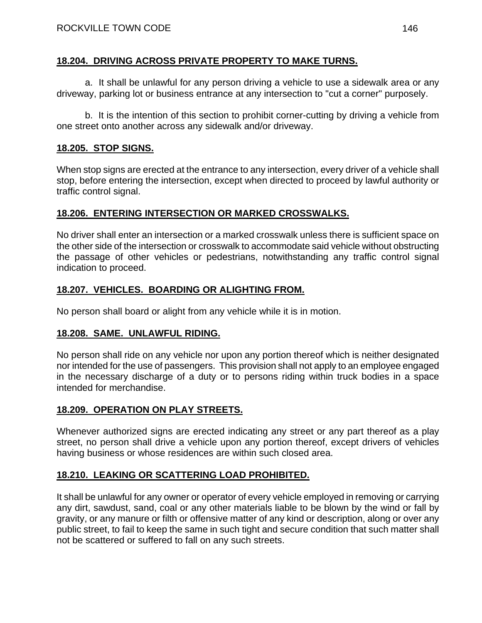#### **18.204. DRIVING ACROSS PRIVATE PROPERTY TO MAKE TURNS.**

a. It shall be unlawful for any person driving a vehicle to use a sidewalk area or any driveway, parking lot or business entrance at any intersection to "cut a corner" purposely.

b. It is the intention of this section to prohibit corner-cutting by driving a vehicle from one street onto another across any sidewalk and/or driveway.

#### **18.205. STOP SIGNS.**

When stop signs are erected at the entrance to any intersection, every driver of a vehicle shall stop, before entering the intersection, except when directed to proceed by lawful authority or traffic control signal.

#### **18.206. ENTERING INTERSECTION OR MARKED CROSSWALKS.**

No driver shall enter an intersection or a marked crosswalk unless there is sufficient space on the other side of the intersection or crosswalk to accommodate said vehicle without obstructing the passage of other vehicles or pedestrians, notwithstanding any traffic control signal indication to proceed.

#### **18.207. VEHICLES. BOARDING OR ALIGHTING FROM.**

No person shall board or alight from any vehicle while it is in motion.

#### **18.208. SAME. UNLAWFUL RIDING.**

No person shall ride on any vehicle nor upon any portion thereof which is neither designated nor intended for the use of passengers. This provision shall not apply to an employee engaged in the necessary discharge of a duty or to persons riding within truck bodies in a space intended for merchandise.

#### **18.209. OPERATION ON PLAY STREETS.**

Whenever authorized signs are erected indicating any street or any part thereof as a play street, no person shall drive a vehicle upon any portion thereof, except drivers of vehicles having business or whose residences are within such closed area.

### **18.210. LEAKING OR SCATTERING LOAD PROHIBITED.**

It shall be unlawful for any owner or operator of every vehicle employed in removing or carrying any dirt, sawdust, sand, coal or any other materials liable to be blown by the wind or fall by gravity, or any manure or filth or offensive matter of any kind or description, along or over any public street, to fail to keep the same in such tight and secure condition that such matter shall not be scattered or suffered to fall on any such streets.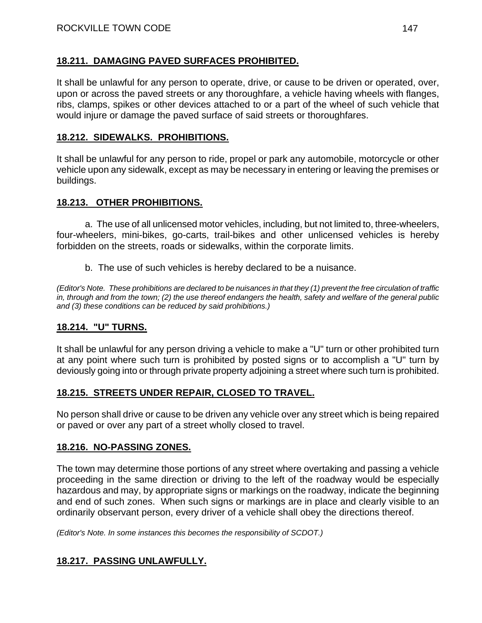#### **18.211. DAMAGING PAVED SURFACES PROHIBITED.**

It shall be unlawful for any person to operate, drive, or cause to be driven or operated, over, upon or across the paved streets or any thoroughfare, a vehicle having wheels with flanges, ribs, clamps, spikes or other devices attached to or a part of the wheel of such vehicle that would injure or damage the paved surface of said streets or thoroughfares.

#### **18.212. SIDEWALKS. PROHIBITIONS.**

It shall be unlawful for any person to ride, propel or park any automobile, motorcycle or other vehicle upon any sidewalk, except as may be necessary in entering or leaving the premises or buildings.

#### **18.213. OTHER PROHIBITIONS.**

a. The use of all unlicensed motor vehicles, including, but not limited to, three-wheelers, four-wheelers, mini-bikes, go-carts, trail-bikes and other unlicensed vehicles is hereby forbidden on the streets, roads or sidewalks, within the corporate limits.

b. The use of such vehicles is hereby declared to be a nuisance.

*(Editor's Note. These prohibitions are declared to be nuisances in that they (1) prevent the free circulation of traffic in, through and from the town; (2) the use thereof endangers the health, safety and welfare of the general public and (3) these conditions can be reduced by said prohibitions.)* 

### **18.214. "U" TURNS.**

It shall be unlawful for any person driving a vehicle to make a "U" turn or other prohibited turn at any point where such turn is prohibited by posted signs or to accomplish a "U" turn by deviously going into or through private property adjoining a street where such turn is prohibited.

### **18.215. STREETS UNDER REPAIR, CLOSED TO TRAVEL.**

No person shall drive or cause to be driven any vehicle over any street which is being repaired or paved or over any part of a street wholly closed to travel.

#### **18.216. NO-PASSING ZONES.**

The town may determine those portions of any street where overtaking and passing a vehicle proceeding in the same direction or driving to the left of the roadway would be especially hazardous and may, by appropriate signs or markings on the roadway, indicate the beginning and end of such zones. When such signs or markings are in place and clearly visible to an ordinarily observant person, every driver of a vehicle shall obey the directions thereof.

*(Editor's Note. In some instances this becomes the responsibility of SCDOT.)* 

### **18.217. PASSING UNLAWFULLY.**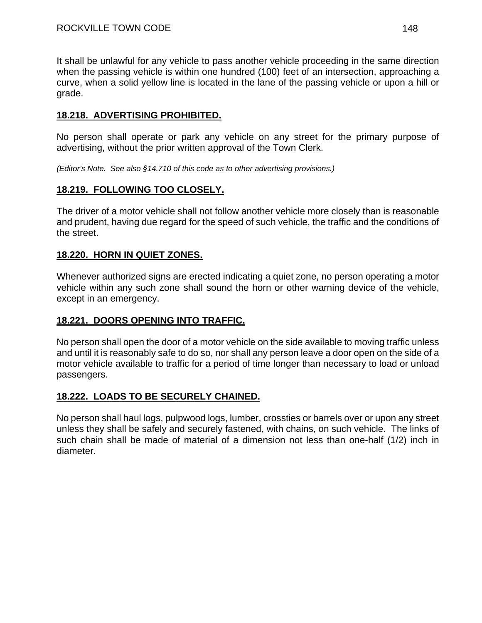It shall be unlawful for any vehicle to pass another vehicle proceeding in the same direction when the passing vehicle is within one hundred (100) feet of an intersection, approaching a curve, when a solid yellow line is located in the lane of the passing vehicle or upon a hill or grade.

### **18.218. ADVERTISING PROHIBITED.**

No person shall operate or park any vehicle on any street for the primary purpose of advertising, without the prior written approval of the Town Clerk.

*(Editor's Note. See also §14.710 of this code as to other advertising provisions.)* 

### **18.219. FOLLOWING TOO CLOSELY.**

The driver of a motor vehicle shall not follow another vehicle more closely than is reasonable and prudent, having due regard for the speed of such vehicle, the traffic and the conditions of the street.

#### **18.220. HORN IN QUIET ZONES.**

Whenever authorized signs are erected indicating a quiet zone, no person operating a motor vehicle within any such zone shall sound the horn or other warning device of the vehicle, except in an emergency.

#### **18.221. DOORS OPENING INTO TRAFFIC.**

No person shall open the door of a motor vehicle on the side available to moving traffic unless and until it is reasonably safe to do so, nor shall any person leave a door open on the side of a motor vehicle available to traffic for a period of time longer than necessary to load or unload passengers.

#### **18.222. LOADS TO BE SECURELY CHAINED.**

No person shall haul logs, pulpwood logs, lumber, crossties or barrels over or upon any street unless they shall be safely and securely fastened, with chains, on such vehicle. The links of such chain shall be made of material of a dimension not less than one-half (1/2) inch in diameter.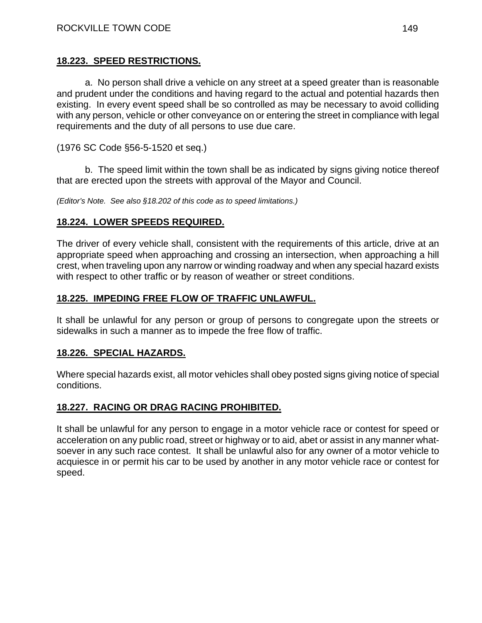#### **18.223. SPEED RESTRICTIONS.**

a. No person shall drive a vehicle on any street at a speed greater than is reasonable and prudent under the conditions and having regard to the actual and potential hazards then existing. In every event speed shall be so controlled as may be necessary to avoid colliding with any person, vehicle or other conveyance on or entering the street in compliance with legal requirements and the duty of all persons to use due care.

(1976 SC Code §56-5-1520 et seq.)

b. The speed limit within the town shall be as indicated by signs giving notice thereof that are erected upon the streets with approval of the Mayor and Council.

*(Editor's Note. See also §18.202 of this code as to speed limitations.)* 

#### **18.224. LOWER SPEEDS REQUIRED.**

The driver of every vehicle shall, consistent with the requirements of this article, drive at an appropriate speed when approaching and crossing an intersection, when approaching a hill crest, when traveling upon any narrow or winding roadway and when any special hazard exists with respect to other traffic or by reason of weather or street conditions.

#### **18.225. IMPEDING FREE FLOW OF TRAFFIC UNLAWFUL.**

It shall be unlawful for any person or group of persons to congregate upon the streets or sidewalks in such a manner as to impede the free flow of traffic.

#### **18.226. SPECIAL HAZARDS.**

Where special hazards exist, all motor vehicles shall obey posted signs giving notice of special conditions.

#### **18.227. RACING OR DRAG RACING PROHIBITED.**

It shall be unlawful for any person to engage in a motor vehicle race or contest for speed or acceleration on any public road, street or highway or to aid, abet or assist in any manner whatsoever in any such race contest. It shall be unlawful also for any owner of a motor vehicle to acquiesce in or permit his car to be used by another in any motor vehicle race or contest for speed.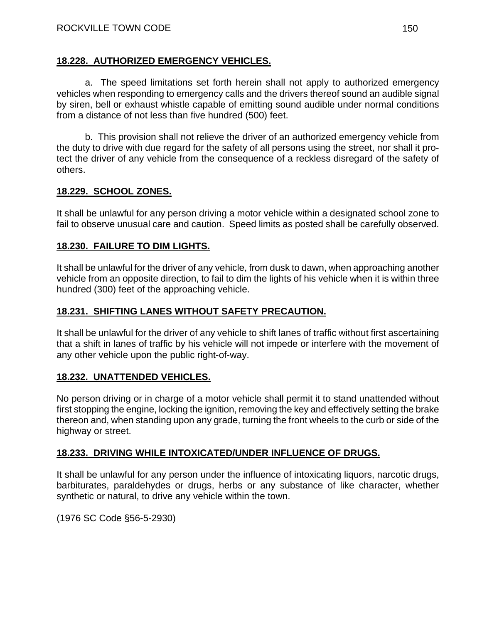#### **18.228. AUTHORIZED EMERGENCY VEHICLES.**

a. The speed limitations set forth herein shall not apply to authorized emergency vehicles when responding to emergency calls and the drivers thereof sound an audible signal by siren, bell or exhaust whistle capable of emitting sound audible under normal conditions from a distance of not less than five hundred (500) feet.

b. This provision shall not relieve the driver of an authorized emergency vehicle from the duty to drive with due regard for the safety of all persons using the street, nor shall it protect the driver of any vehicle from the consequence of a reckless disregard of the safety of others.

#### **18.229. SCHOOL ZONES.**

It shall be unlawful for any person driving a motor vehicle within a designated school zone to fail to observe unusual care and caution. Speed limits as posted shall be carefully observed.

#### **18.230. FAILURE TO DIM LIGHTS.**

It shall be unlawful for the driver of any vehicle, from dusk to dawn, when approaching another vehicle from an opposite direction, to fail to dim the lights of his vehicle when it is within three hundred (300) feet of the approaching vehicle.

#### **18.231. SHIFTING LANES WITHOUT SAFETY PRECAUTION.**

It shall be unlawful for the driver of any vehicle to shift lanes of traffic without first ascertaining that a shift in lanes of traffic by his vehicle will not impede or interfere with the movement of any other vehicle upon the public right-of-way.

#### **18.232. UNATTENDED VEHICLES.**

No person driving or in charge of a motor vehicle shall permit it to stand unattended without first stopping the engine, locking the ignition, removing the key and effectively setting the brake thereon and, when standing upon any grade, turning the front wheels to the curb or side of the highway or street.

#### **18.233. DRIVING WHILE INTOXICATED/UNDER INFLUENCE OF DRUGS.**

It shall be unlawful for any person under the influence of intoxicating liquors, narcotic drugs, barbiturates, paraldehydes or drugs, herbs or any substance of like character, whether synthetic or natural, to drive any vehicle within the town.

(1976 SC Code §56-5-2930)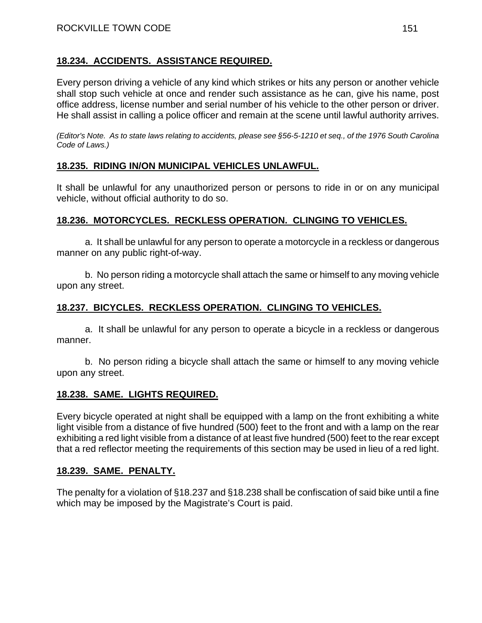#### **18.234. ACCIDENTS. ASSISTANCE REQUIRED.**

Every person driving a vehicle of any kind which strikes or hits any person or another vehicle shall stop such vehicle at once and render such assistance as he can, give his name, post office address, license number and serial number of his vehicle to the other person or driver. He shall assist in calling a police officer and remain at the scene until lawful authority arrives.

*(Editor's Note. As to state laws relating to accidents, please see §56-5-1210 et seq., of the 1976 South Carolina Code of Laws.)* 

#### **18.235. RIDING IN/ON MUNICIPAL VEHICLES UNLAWFUL.**

It shall be unlawful for any unauthorized person or persons to ride in or on any municipal vehicle, without official authority to do so.

#### **18.236. MOTORCYCLES. RECKLESS OPERATION. CLINGING TO VEHICLES.**

a. It shall be unlawful for any person to operate a motorcycle in a reckless or dangerous manner on any public right-of-way.

b. No person riding a motorcycle shall attach the same or himself to any moving vehicle upon any street.

#### **18.237. BICYCLES. RECKLESS OPERATION. CLINGING TO VEHICLES.**

a. It shall be unlawful for any person to operate a bicycle in a reckless or dangerous manner.

b. No person riding a bicycle shall attach the same or himself to any moving vehicle upon any street.

#### **18.238. SAME. LIGHTS REQUIRED.**

Every bicycle operated at night shall be equipped with a lamp on the front exhibiting a white light visible from a distance of five hundred (500) feet to the front and with a lamp on the rear exhibiting a red light visible from a distance of at least five hundred (500) feet to the rear except that a red reflector meeting the requirements of this section may be used in lieu of a red light.

#### **18.239. SAME. PENALTY.**

The penalty for a violation of §18.237 and §18.238 shall be confiscation of said bike until a fine which may be imposed by the Magistrate's Court is paid.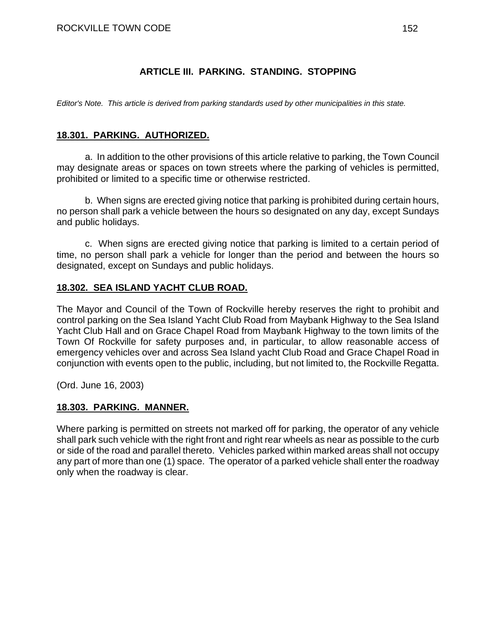#### **ARTICLE III. PARKING. STANDING. STOPPING**

*Editor's Note. This article is derived from parking standards used by other municipalities in this state.* 

#### **18.301. PARKING. AUTHORIZED.**

a. In addition to the other provisions of this article relative to parking, the Town Council may designate areas or spaces on town streets where the parking of vehicles is permitted, prohibited or limited to a specific time or otherwise restricted.

b. When signs are erected giving notice that parking is prohibited during certain hours, no person shall park a vehicle between the hours so designated on any day, except Sundays and public holidays.

c. When signs are erected giving notice that parking is limited to a certain period of time, no person shall park a vehicle for longer than the period and between the hours so designated, except on Sundays and public holidays.

#### **18.302. SEA ISLAND YACHT CLUB ROAD.**

The Mayor and Council of the Town of Rockville hereby reserves the right to prohibit and control parking on the Sea Island Yacht Club Road from Maybank Highway to the Sea Island Yacht Club Hall and on Grace Chapel Road from Maybank Highway to the town limits of the Town Of Rockville for safety purposes and, in particular, to allow reasonable access of emergency vehicles over and across Sea Island yacht Club Road and Grace Chapel Road in conjunction with events open to the public, including, but not limited to, the Rockville Regatta.

(Ord. June 16, 2003)

#### **18.303. PARKING. MANNER.**

Where parking is permitted on streets not marked off for parking, the operator of any vehicle shall park such vehicle with the right front and right rear wheels as near as possible to the curb or side of the road and parallel thereto. Vehicles parked within marked areas shall not occupy any part of more than one (1) space. The operator of a parked vehicle shall enter the roadway only when the roadway is clear.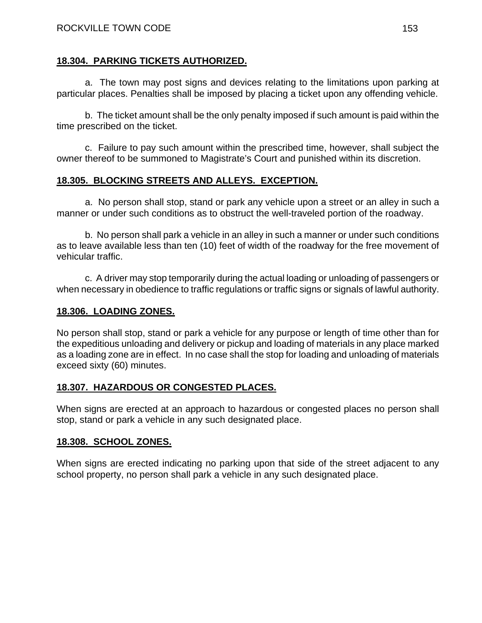#### **18.304. PARKING TICKETS AUTHORIZED.**

a. The town may post signs and devices relating to the limitations upon parking at particular places. Penalties shall be imposed by placing a ticket upon any offending vehicle.

b. The ticket amount shall be the only penalty imposed if such amount is paid within the time prescribed on the ticket.

c. Failure to pay such amount within the prescribed time, however, shall subject the owner thereof to be summoned to Magistrate's Court and punished within its discretion.

#### **18.305. BLOCKING STREETS AND ALLEYS. EXCEPTION.**

a. No person shall stop, stand or park any vehicle upon a street or an alley in such a manner or under such conditions as to obstruct the well-traveled portion of the roadway.

b. No person shall park a vehicle in an alley in such a manner or under such conditions as to leave available less than ten (10) feet of width of the roadway for the free movement of vehicular traffic.

c. A driver may stop temporarily during the actual loading or unloading of passengers or when necessary in obedience to traffic regulations or traffic signs or signals of lawful authority.

#### **18.306. LOADING ZONES.**

No person shall stop, stand or park a vehicle for any purpose or length of time other than for the expeditious unloading and delivery or pickup and loading of materials in any place marked as a loading zone are in effect. In no case shall the stop for loading and unloading of materials exceed sixty (60) minutes.

### **18.307. HAZARDOUS OR CONGESTED PLACES.**

When signs are erected at an approach to hazardous or congested places no person shall stop, stand or park a vehicle in any such designated place.

#### **18.308. SCHOOL ZONES.**

When signs are erected indicating no parking upon that side of the street adjacent to any school property, no person shall park a vehicle in any such designated place.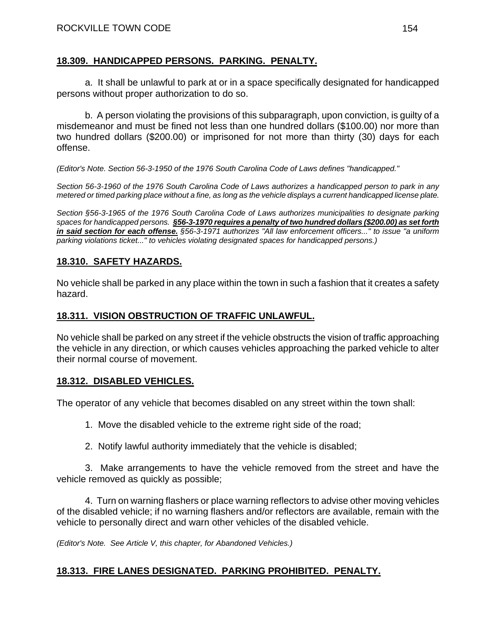#### **18.309. HANDICAPPED PERSONS. PARKING. PENALTY.**

a. It shall be unlawful to park at or in a space specifically designated for handicapped persons without proper authorization to do so.

b. A person violating the provisions of this subparagraph, upon conviction, is guilty of a misdemeanor and must be fined not less than one hundred dollars (\$100.00) nor more than two hundred dollars (\$200.00) or imprisoned for not more than thirty (30) days for each offense.

*(Editor's Note. Section 56-3-1950 of the 1976 South Carolina Code of Laws defines "handicapped."* 

*Section 56-3-1960 of the 1976 South Carolina Code of Laws authorizes a handicapped person to park in any metered or timed parking place without a fine, as long as the vehicle displays a current handicapped license plate.* 

*Section §56-3-1965 of the 1976 South Carolina Code of Laws authorizes municipalities to designate parking spaces for handicapped persons. §56-3-1970 requires a penalty of two hundred dollars (\$200.00) as set forth in said section for each offense. §56-3-1971 authorizes "All law enforcement officers..." to issue "a uniform parking violations ticket..." to vehicles violating designated spaces for handicapped persons.)* 

#### **18.310. SAFETY HAZARDS.**

No vehicle shall be parked in any place within the town in such a fashion that it creates a safety hazard.

#### **18.311. VISION OBSTRUCTION OF TRAFFIC UNLAWFUL.**

No vehicle shall be parked on any street if the vehicle obstructs the vision of traffic approaching the vehicle in any direction, or which causes vehicles approaching the parked vehicle to alter their normal course of movement.

#### **18.312. DISABLED VEHICLES.**

The operator of any vehicle that becomes disabled on any street within the town shall:

1. Move the disabled vehicle to the extreme right side of the road;

2. Notify lawful authority immediately that the vehicle is disabled;

3. Make arrangements to have the vehicle removed from the street and have the vehicle removed as quickly as possible;

4. Turn on warning flashers or place warning reflectors to advise other moving vehicles of the disabled vehicle; if no warning flashers and/or reflectors are available, remain with the vehicle to personally direct and warn other vehicles of the disabled vehicle.

*(Editor's Note. See Article V, this chapter, for Abandoned Vehicles.)* 

### **18.313. FIRE LANES DESIGNATED. PARKING PROHIBITED. PENALTY.**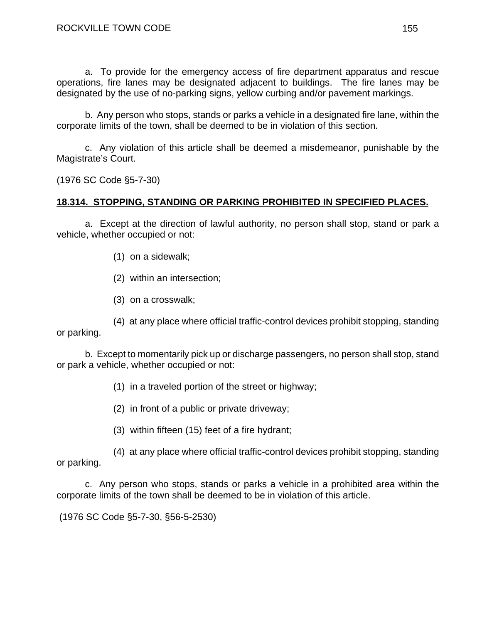a. To provide for the emergency access of fire department apparatus and rescue operations, fire lanes may be designated adjacent to buildings. The fire lanes may be designated by the use of no-parking signs, yellow curbing and/or pavement markings.

b. Any person who stops, stands or parks a vehicle in a designated fire lane, within the corporate limits of the town, shall be deemed to be in violation of this section.

c. Any violation of this article shall be deemed a misdemeanor, punishable by the Magistrate's Court.

(1976 SC Code §5-7-30)

#### **18.314. STOPPING, STANDING OR PARKING PROHIBITED IN SPECIFIED PLACES.**

a. Except at the direction of lawful authority, no person shall stop, stand or park a vehicle, whether occupied or not:

- (1) on a sidewalk;
- (2) within an intersection;
- (3) on a crosswalk;

(4) at any place where official traffic-control devices prohibit stopping, standing or parking.

b. Except to momentarily pick up or discharge passengers, no person shall stop, stand or park a vehicle, whether occupied or not:

- (1) in a traveled portion of the street or highway;
- (2) in front of a public or private driveway;
- (3) within fifteen (15) feet of a fire hydrant;

(4) at any place where official traffic-control devices prohibit stopping, standing or parking.

c. Any person who stops, stands or parks a vehicle in a prohibited area within the corporate limits of the town shall be deemed to be in violation of this article.

(1976 SC Code §5-7-30, §56-5-2530)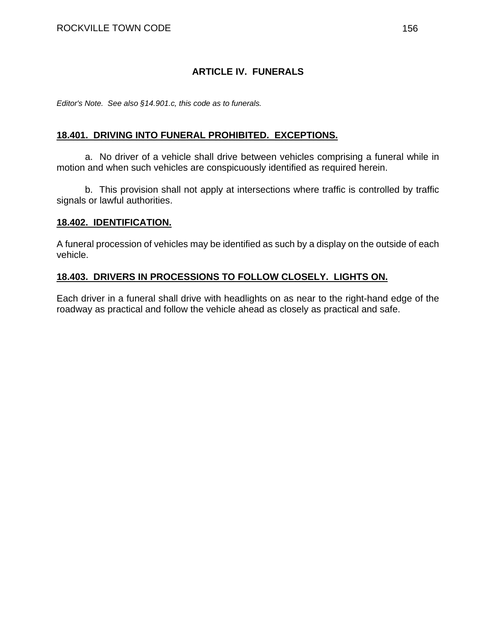#### **ARTICLE IV. FUNERALS**

*Editor's Note. See also §14.901.c, this code as to funerals.* 

#### **18.401. DRIVING INTO FUNERAL PROHIBITED. EXCEPTIONS.**

a. No driver of a vehicle shall drive between vehicles comprising a funeral while in motion and when such vehicles are conspicuously identified as required herein.

b. This provision shall not apply at intersections where traffic is controlled by traffic signals or lawful authorities.

#### **18.402. IDENTIFICATION.**

A funeral procession of vehicles may be identified as such by a display on the outside of each vehicle.

#### **18.403. DRIVERS IN PROCESSIONS TO FOLLOW CLOSELY. LIGHTS ON.**

Each driver in a funeral shall drive with headlights on as near to the right-hand edge of the roadway as practical and follow the vehicle ahead as closely as practical and safe.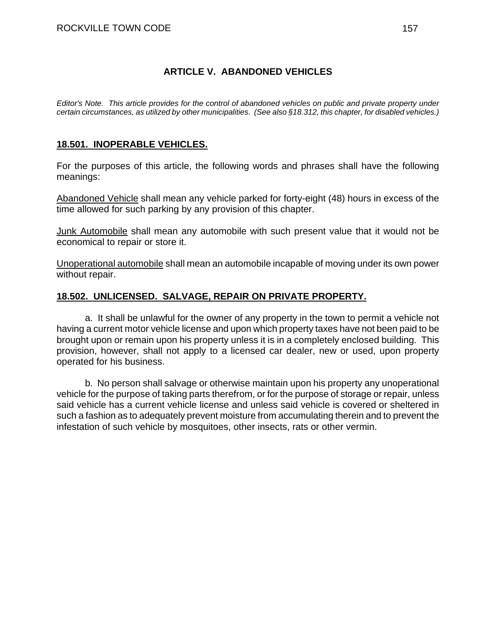#### **ARTICLE V. ABANDONED VEHICLES**

*Editor's Note. This article provides for the control of abandoned vehicles on public and private property under certain circumstances, as utilized by other municipalities. (See also §18.312, this chapter, for disabled vehicles.)* 

#### **18.501. INOPERABLE VEHICLES.**

For the purposes of this article, the following words and phrases shall have the following meanings:

Abandoned Vehicle shall mean any vehicle parked for forty-eight (48) hours in excess of the time allowed for such parking by any provision of this chapter.

Junk Automobile shall mean any automobile with such present value that it would not be economical to repair or store it.

Unoperational automobile shall mean an automobile incapable of moving under its own power without repair.

#### **18.502. UNLICENSED. SALVAGE, REPAIR ON PRIVATE PROPERTY.**

a. It shall be unlawful for the owner of any property in the town to permit a vehicle not having a current motor vehicle license and upon which property taxes have not been paid to be brought upon or remain upon his property unless it is in a completely enclosed building. This provision, however, shall not apply to a licensed car dealer, new or used, upon property operated for his business.

b. No person shall salvage or otherwise maintain upon his property any unoperational vehicle for the purpose of taking parts therefrom, or for the purpose of storage or repair, unless said vehicle has a current vehicle license and unless said vehicle is covered or sheltered in such a fashion as to adequately prevent moisture from accumulating therein and to prevent the infestation of such vehicle by mosquitoes, other insects, rats or other vermin.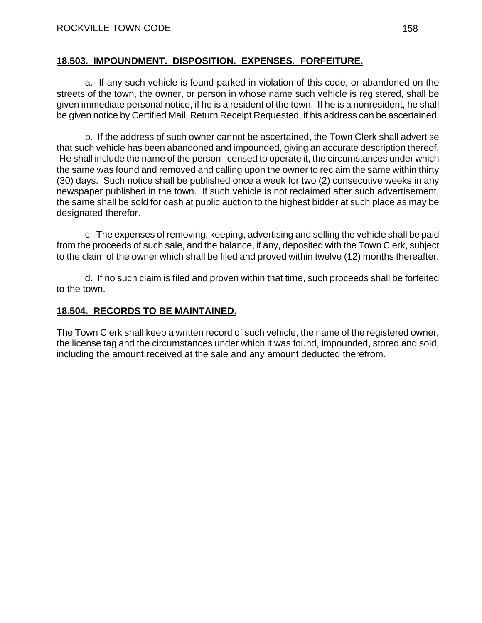#### **18.503. IMPOUNDMENT. DISPOSITION. EXPENSES. FORFEITURE.**

a. If any such vehicle is found parked in violation of this code, or abandoned on the streets of the town, the owner, or person in whose name such vehicle is registered, shall be given immediate personal notice, if he is a resident of the town. If he is a nonresident, he shall be given notice by Certified Mail, Return Receipt Requested, if his address can be ascertained.

b. If the address of such owner cannot be ascertained, the Town Clerk shall advertise that such vehicle has been abandoned and impounded, giving an accurate description thereof. He shall include the name of the person licensed to operate it, the circumstances under which the same was found and removed and calling upon the owner to reclaim the same within thirty (30) days. Such notice shall be published once a week for two (2) consecutive weeks in any newspaper published in the town. If such vehicle is not reclaimed after such advertisement, the same shall be sold for cash at public auction to the highest bidder at such place as may be designated therefor.

c. The expenses of removing, keeping, advertising and selling the vehicle shall be paid from the proceeds of such sale, and the balance, if any, deposited with the Town Clerk, subject to the claim of the owner which shall be filed and proved within twelve (12) months thereafter.

d. If no such claim is filed and proven within that time, such proceeds shall be forfeited to the town.

#### **18.504. RECORDS TO BE MAINTAINED.**

The Town Clerk shall keep a written record of such vehicle, the name of the registered owner, the license tag and the circumstances under which it was found, impounded, stored and sold, including the amount received at the sale and any amount deducted therefrom.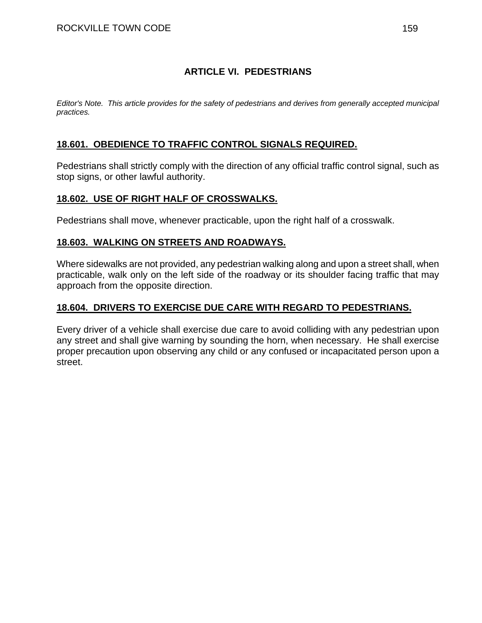#### **ARTICLE VI. PEDESTRIANS**

*Editor's Note. This article provides for the safety of pedestrians and derives from generally accepted municipal practices.* 

#### **18.601. OBEDIENCE TO TRAFFIC CONTROL SIGNALS REQUIRED.**

Pedestrians shall strictly comply with the direction of any official traffic control signal, such as stop signs, or other lawful authority.

#### **18.602. USE OF RIGHT HALF OF CROSSWALKS.**

Pedestrians shall move, whenever practicable, upon the right half of a crosswalk.

#### **18.603. WALKING ON STREETS AND ROADWAYS.**

Where sidewalks are not provided, any pedestrian walking along and upon a street shall, when practicable, walk only on the left side of the roadway or its shoulder facing traffic that may approach from the opposite direction.

#### **18.604. DRIVERS TO EXERCISE DUE CARE WITH REGARD TO PEDESTRIANS.**

Every driver of a vehicle shall exercise due care to avoid colliding with any pedestrian upon any street and shall give warning by sounding the horn, when necessary. He shall exercise proper precaution upon observing any child or any confused or incapacitated person upon a street.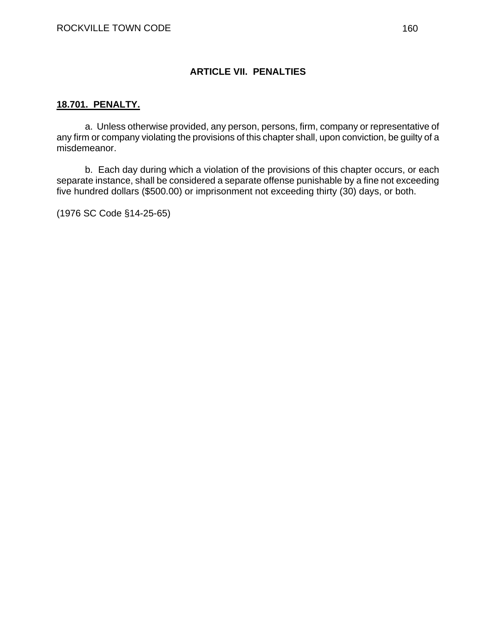#### **ARTICLE VII. PENALTIES**

#### **18.701. PENALTY.**

a. Unless otherwise provided, any person, persons, firm, company or representative of any firm or company violating the provisions of this chapter shall, upon conviction, be guilty of a misdemeanor.

b. Each day during which a violation of the provisions of this chapter occurs, or each separate instance, shall be considered a separate offense punishable by a fine not exceeding five hundred dollars (\$500.00) or imprisonment not exceeding thirty (30) days, or both.

(1976 SC Code §14-25-65)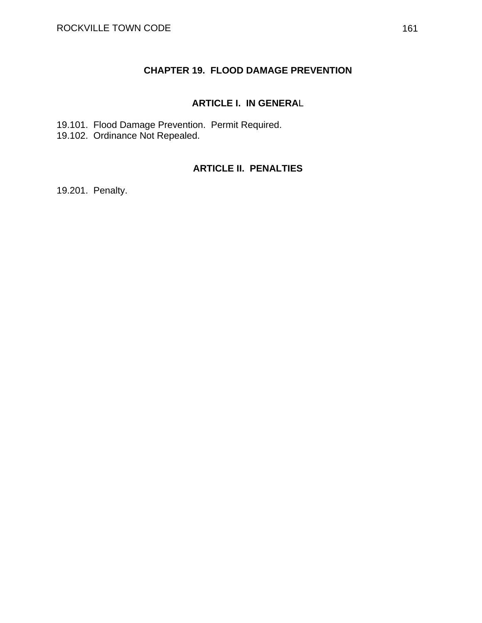#### **CHAPTER 19. FLOOD DAMAGE PREVENTION**

#### **ARTICLE I. IN GENERA**L

19.101. Flood Damage Prevention. Permit Required. 19.102. Ordinance Not Repealed.

#### **ARTICLE II. PENALTIES**

19.201. Penalty.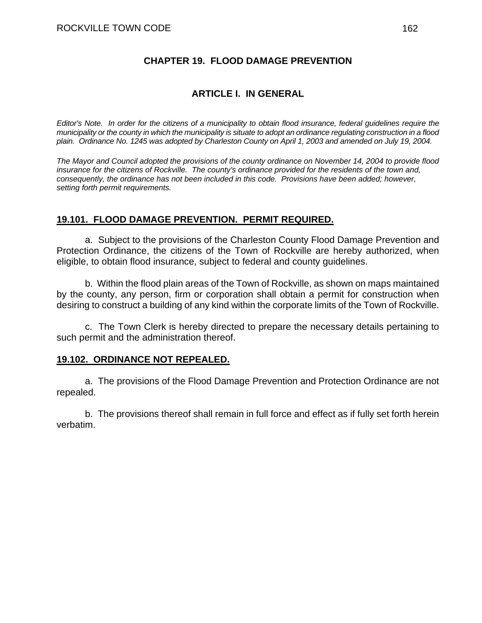#### **CHAPTER 19. FLOOD DAMAGE PREVENTION**

#### **ARTICLE I. IN GENERAL**

*Editor's Note. In order for the citizens of a municipality to obtain flood insurance, federal guidelines require the municipality or the county in which the municipality is situate to adopt an ordinance regulating construction in a flood plain. Ordinance No. 1245 was adopted by Charleston County on April 1, 2003 and amended on July 19, 2004.* 

*The Mayor and Council adopted the provisions of the county ordinance on November 14, 2004 to provide flood insurance for the citizens of Rockville. The county's ordinance provided for the residents of the town and, consequently, the ordinance has not been included in this code. Provisions have been added; however, setting forth permit requirements.* 

#### **19.101. FLOOD DAMAGE PREVENTION. PERMIT REQUIRED.**

a. Subject to the provisions of the Charleston County Flood Damage Prevention and Protection Ordinance, the citizens of the Town of Rockville are hereby authorized, when eligible, to obtain flood insurance, subject to federal and county guidelines.

 b. Within the flood plain areas of the Town of Rockville, as shown on maps maintained by the county, any person, firm or corporation shall obtain a permit for construction when desiring to construct a building of any kind within the corporate limits of the Town of Rockville.

 c. The Town Clerk is hereby directed to prepare the necessary details pertaining to such permit and the administration thereof.

#### **19.102. ORDINANCE NOT REPEALED.**

 a. The provisions of the Flood Damage Prevention and Protection Ordinance are not repealed.

 b. The provisions thereof shall remain in full force and effect as if fully set forth herein verbatim.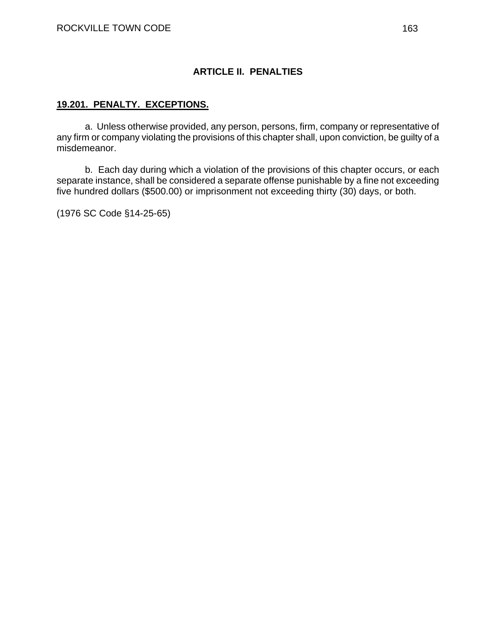#### **ARTICLE II. PENALTIES**

#### **19.201. PENALTY. EXCEPTIONS.**

a. Unless otherwise provided, any person, persons, firm, company or representative of any firm or company violating the provisions of this chapter shall, upon conviction, be guilty of a misdemeanor.

b. Each day during which a violation of the provisions of this chapter occurs, or each separate instance, shall be considered a separate offense punishable by a fine not exceeding five hundred dollars (\$500.00) or imprisonment not exceeding thirty (30) days, or both.

(1976 SC Code §14-25-65)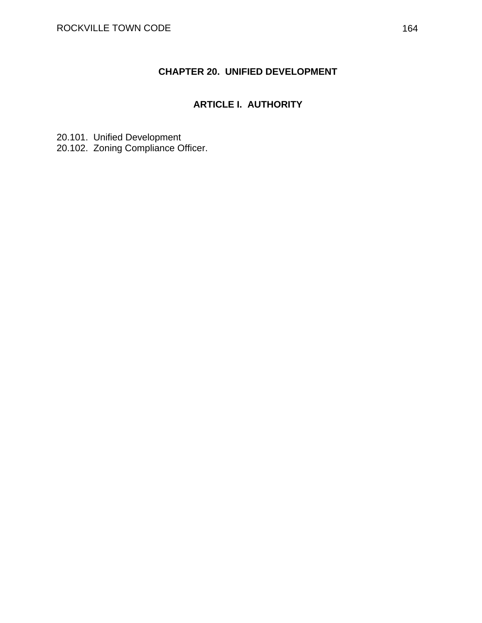### **CHAPTER 20. UNIFIED DEVELOPMENT**

### **ARTICLE I. AUTHORITY**

20.101. Unified Development 20.102. Zoning Compliance Officer.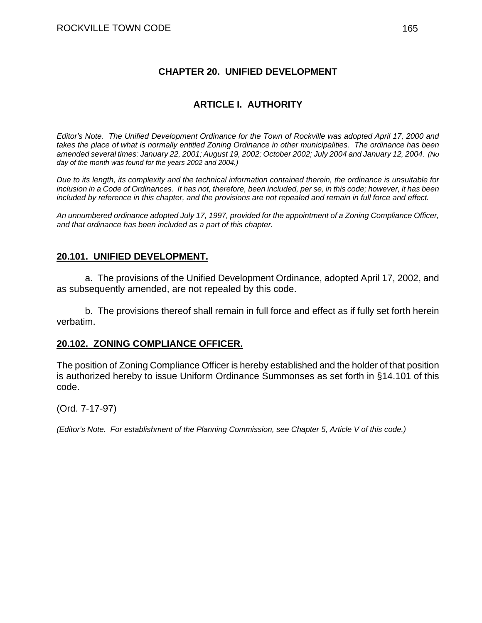#### **CHAPTER 20. UNIFIED DEVELOPMENT**

#### **ARTICLE I. AUTHORITY**

*Editor's Note. The Unified Development Ordinance for the Town of Rockville was adopted April 17, 2000 and takes the place of what is normally entitled Zoning Ordinance in other municipalities. The ordinance has been amended several times: January 22, 2001; August 19, 2002; October 2002; July 2004 and January 12, 2004. (No day of the month was found for the years 2002 and 2004.)* 

*Due to its length, its complexity and the technical information contained therein, the ordinance is unsuitable for inclusion in a Code of Ordinances. It has not, therefore, been included, per se, in this code; however, it has been included by reference in this chapter, and the provisions are not repealed and remain in full force and effect.* 

*An unnumbered ordinance adopted July 17, 1997, provided for the appointment of a Zoning Compliance Officer, and that ordinance has been included as a part of this chapter.*

#### **20.101. UNIFIED DEVELOPMENT.**

 a. The provisions of the Unified Development Ordinance, adopted April 17, 2002, and as subsequently amended, are not repealed by this code.

 b. The provisions thereof shall remain in full force and effect as if fully set forth herein verbatim.

#### **20.102. ZONING COMPLIANCE OFFICER.**

The position of Zoning Compliance Officer is hereby established and the holder of that position is authorized hereby to issue Uniform Ordinance Summonses as set forth in §14.101 of this code.

(Ord. 7-17-97)

*(Editor's Note. For establishment of the Planning Commission, see Chapter 5, Article V of this code.)*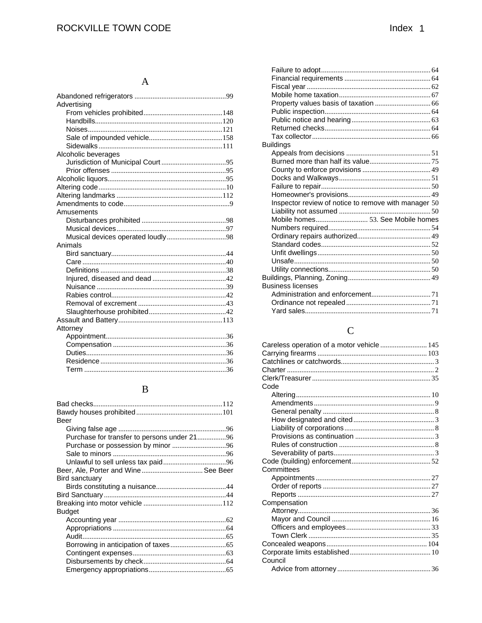#### $\mathbf A$

| Advertising         |  |
|---------------------|--|
|                     |  |
|                     |  |
|                     |  |
|                     |  |
|                     |  |
| Alcoholic beverages |  |
|                     |  |
|                     |  |
|                     |  |
|                     |  |
|                     |  |
|                     |  |
| Amusements          |  |
|                     |  |
|                     |  |
|                     |  |
| Animals             |  |
|                     |  |
|                     |  |
|                     |  |
|                     |  |
|                     |  |
|                     |  |
|                     |  |
|                     |  |
|                     |  |
| Attorney            |  |
|                     |  |
|                     |  |
|                     |  |
|                     |  |
|                     |  |
|                     |  |

## $\, {\bf B}$

| Beer                                        |  |
|---------------------------------------------|--|
|                                             |  |
| Purchase for transfer to persons under 2196 |  |
|                                             |  |
|                                             |  |
|                                             |  |
| Beer, Ale, Porter and Wine See Beer         |  |
| Bird sanctuary                              |  |
|                                             |  |
|                                             |  |
|                                             |  |
| <b>Budget</b>                               |  |
|                                             |  |
|                                             |  |
|                                             |  |
|                                             |  |
|                                             |  |
|                                             |  |
|                                             |  |
|                                             |  |

| Buildings                                            |  |
|------------------------------------------------------|--|
|                                                      |  |
|                                                      |  |
|                                                      |  |
|                                                      |  |
|                                                      |  |
|                                                      |  |
| Inspector review of notice to remove with manager 50 |  |
|                                                      |  |
|                                                      |  |
|                                                      |  |
|                                                      |  |
|                                                      |  |
|                                                      |  |
|                                                      |  |
|                                                      |  |
|                                                      |  |
| <b>Business licenses</b>                             |  |
|                                                      |  |
|                                                      |  |
|                                                      |  |

## $\mathbf C$

| Careless operation of a motor vehicle  145 |  |
|--------------------------------------------|--|
|                                            |  |
|                                            |  |
|                                            |  |
|                                            |  |
| Code                                       |  |
|                                            |  |
|                                            |  |
|                                            |  |
|                                            |  |
|                                            |  |
|                                            |  |
|                                            |  |
|                                            |  |
|                                            |  |
| Committees                                 |  |
|                                            |  |
|                                            |  |
|                                            |  |
| Compensation                               |  |
|                                            |  |
|                                            |  |
|                                            |  |
|                                            |  |
|                                            |  |
|                                            |  |
| Council                                    |  |
|                                            |  |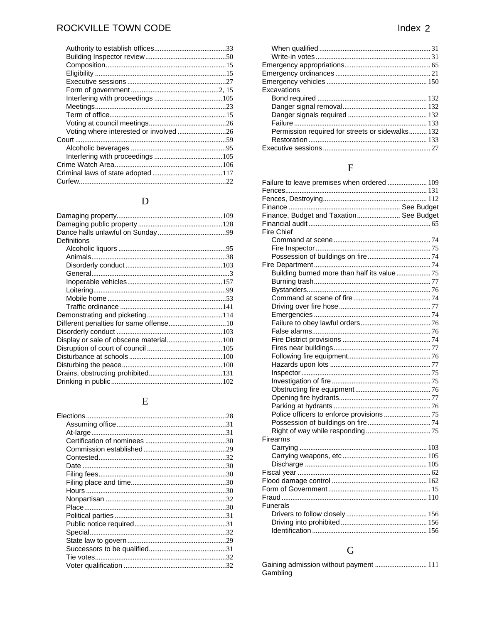| Voting where interested or involved 26 |  |
|----------------------------------------|--|
|                                        |  |
|                                        |  |
|                                        |  |
|                                        |  |
|                                        |  |
|                                        |  |

## $\begin{array}{c}\n\mathbf{D}\n\end{array}$

| Definitions                            |  |
|----------------------------------------|--|
|                                        |  |
|                                        |  |
|                                        |  |
|                                        |  |
|                                        |  |
|                                        |  |
|                                        |  |
|                                        |  |
|                                        |  |
|                                        |  |
|                                        |  |
| Display or sale of obscene material100 |  |
|                                        |  |
|                                        |  |
|                                        |  |
|                                        |  |
|                                        |  |

## ${\bf E}$

| Excavations                                      |  |
|--------------------------------------------------|--|
|                                                  |  |
|                                                  |  |
|                                                  |  |
|                                                  |  |
| Permission required for streets or sidewalks 132 |  |
|                                                  |  |
|                                                  |  |
|                                                  |  |

## $\overline{\mathrm{F}}$

| Failure to leave premises when ordered  109 |  |
|---------------------------------------------|--|
|                                             |  |
|                                             |  |
|                                             |  |
| Finance, Budget and Taxation See Budget     |  |
|                                             |  |
| Fire Chief                                  |  |
|                                             |  |
|                                             |  |
|                                             |  |
|                                             |  |
|                                             |  |
|                                             |  |
|                                             |  |
|                                             |  |
|                                             |  |
|                                             |  |
|                                             |  |
|                                             |  |
|                                             |  |
|                                             |  |
|                                             |  |
|                                             |  |
|                                             |  |
|                                             |  |
|                                             |  |
|                                             |  |
|                                             |  |
|                                             |  |
|                                             |  |
|                                             |  |
| Firearms                                    |  |
|                                             |  |
|                                             |  |
|                                             |  |
|                                             |  |
|                                             |  |
|                                             |  |
|                                             |  |
| <b>Funerals</b>                             |  |
|                                             |  |
|                                             |  |
|                                             |  |
|                                             |  |

# $\overline{G}$

| Gaining admission without payment  111 |  |
|----------------------------------------|--|
| Gambling                               |  |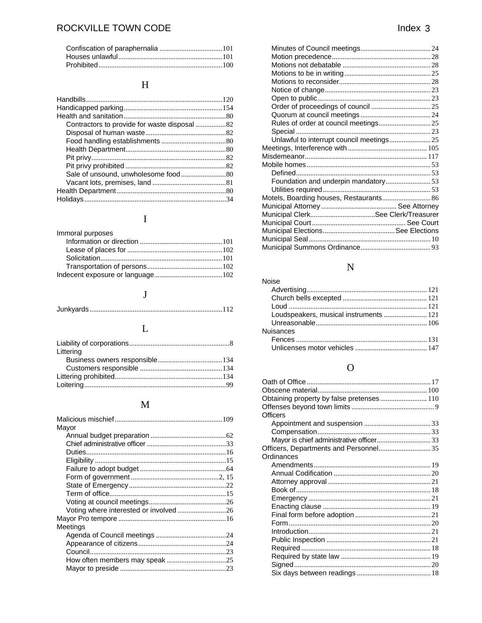## $\boldsymbol{\mathrm{H}}$

# $\overline{I}$

| Immoral purposes |  |
|------------------|--|
|                  |  |
|                  |  |
|                  |  |
|                  |  |
|                  |  |

## $\mathbf{J}$

## $\mathbf{L}$

| Littering |  |
|-----------|--|
|           |  |
|           |  |
|           |  |
|           |  |

# $\overline{M}$

| Mayor                                  |  |
|----------------------------------------|--|
|                                        |  |
|                                        |  |
|                                        |  |
|                                        |  |
|                                        |  |
|                                        |  |
|                                        |  |
|                                        |  |
|                                        |  |
| Voting where interested or involved 26 |  |
|                                        |  |
| Meetings                               |  |
|                                        |  |
|                                        |  |
|                                        |  |
|                                        |  |
|                                        |  |
|                                        |  |

| Unlawful to interrupt council meetings 25 |  |
|-------------------------------------------|--|
|                                           |  |
|                                           |  |
|                                           |  |
|                                           |  |
|                                           |  |
|                                           |  |
| Motels, Boarding houses, Restaurants 86   |  |
|                                           |  |
| Municipal ClerkSee Clerk/Treasurer        |  |
|                                           |  |
|                                           |  |
|                                           |  |
|                                           |  |
|                                           |  |

# $\overline{\mathbf{N}}$

| <b>Noise</b>                           |  |
|----------------------------------------|--|
|                                        |  |
|                                        |  |
|                                        |  |
| Loudspeakers, musical instruments  121 |  |
|                                        |  |
| <b>Nuisances</b>                       |  |
|                                        |  |
|                                        |  |

## $\overline{O}$

| Obtaining property by false pretenses 110 |  |
|-------------------------------------------|--|
|                                           |  |
| Officers                                  |  |
|                                           |  |
|                                           |  |
| Mayor is chief administrative officer 33  |  |
| Officers, Departments and Personnel 35    |  |
| Ordinances                                |  |
|                                           |  |
|                                           |  |
|                                           |  |
|                                           |  |
|                                           |  |
|                                           |  |
|                                           |  |
|                                           |  |
|                                           |  |
|                                           |  |
|                                           |  |
|                                           |  |
|                                           |  |
|                                           |  |
|                                           |  |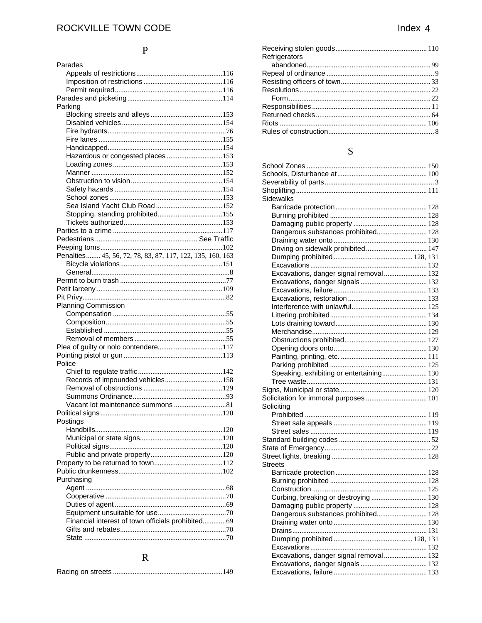## $\overline{P}$

| Parades                                                   |
|-----------------------------------------------------------|
|                                                           |
|                                                           |
|                                                           |
|                                                           |
| Parking                                                   |
|                                                           |
|                                                           |
|                                                           |
|                                                           |
|                                                           |
| Hazardous or congested places 153                         |
|                                                           |
|                                                           |
|                                                           |
|                                                           |
|                                                           |
|                                                           |
|                                                           |
|                                                           |
|                                                           |
|                                                           |
|                                                           |
| Penalties 45, 56, 72, 78, 83, 87, 117, 122, 135, 160, 163 |
|                                                           |
|                                                           |
|                                                           |
|                                                           |
|                                                           |
| <b>Planning Commission</b>                                |
|                                                           |
|                                                           |
|                                                           |
|                                                           |
|                                                           |
| Police                                                    |
|                                                           |
| Records of impounded vehicles158                          |
|                                                           |
|                                                           |
|                                                           |
|                                                           |
| Postings                                                  |
|                                                           |
|                                                           |
|                                                           |
|                                                           |
|                                                           |
|                                                           |
| Purchasing                                                |
|                                                           |
|                                                           |
|                                                           |
|                                                           |
| Financial interest of town officials prohibited69         |
|                                                           |
|                                                           |
|                                                           |

## $\overline{\mathbf{R}}$

|--|

| Refrigerators |  |
|---------------|--|
|               |  |
|               |  |
|               |  |
|               |  |
|               |  |
|               |  |
|               |  |
|               |  |
|               |  |
|               |  |

## ${\bf S}$

| Sidewalks                                |  |
|------------------------------------------|--|
|                                          |  |
|                                          |  |
|                                          |  |
| Dangerous substances prohibited 128      |  |
|                                          |  |
| Driving on sidewalk prohibited 147       |  |
|                                          |  |
|                                          |  |
| Excavations, danger signal removal 132   |  |
|                                          |  |
|                                          |  |
|                                          |  |
|                                          |  |
|                                          |  |
|                                          |  |
|                                          |  |
|                                          |  |
|                                          |  |
|                                          |  |
|                                          |  |
| Speaking, exhibiting or entertaining 130 |  |
|                                          |  |
|                                          |  |
|                                          |  |
| Soliciting                               |  |
|                                          |  |
|                                          |  |
|                                          |  |
|                                          |  |
|                                          |  |
|                                          |  |
| <b>Streets</b>                           |  |
|                                          |  |
|                                          |  |
|                                          |  |
| Curbing, breaking or destroying  130     |  |
|                                          |  |
| Dangerous substances prohibited 128      |  |
|                                          |  |
|                                          |  |
|                                          |  |
|                                          |  |
| Excavations, danger signal removal 132   |  |
|                                          |  |
|                                          |  |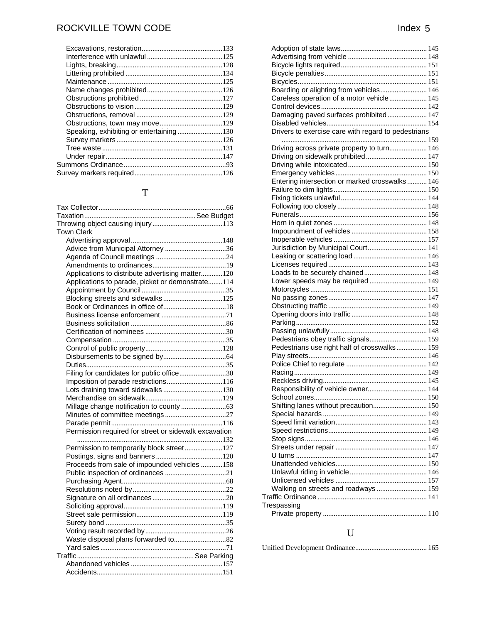# ROCKVILLE TOWN CODE and the state of the state of the state of the state of the state of the state of the state of the state of the state of the state of the state of the state of the state of the state of the state of the

# T

| <b>Town Clerk</b>                                     |  |
|-------------------------------------------------------|--|
|                                                       |  |
| Advice from Municipal Attorney 36                     |  |
|                                                       |  |
|                                                       |  |
| Applications to distribute advertising matter120      |  |
| Applications to parade, picket or demonstrate114      |  |
|                                                       |  |
|                                                       |  |
|                                                       |  |
|                                                       |  |
|                                                       |  |
|                                                       |  |
|                                                       |  |
|                                                       |  |
|                                                       |  |
|                                                       |  |
| Filing for candidates for public office30             |  |
| Imposition of parade restrictions116                  |  |
| Lots draining toward sidewalks130                     |  |
|                                                       |  |
|                                                       |  |
|                                                       |  |
|                                                       |  |
| Permission required for street or sidewalk excavation |  |
|                                                       |  |
| Permission to temporarily block street127             |  |
|                                                       |  |
| Proceeds from sale of impounded vehicles 158          |  |
|                                                       |  |
|                                                       |  |
|                                                       |  |
|                                                       |  |
|                                                       |  |
|                                                       |  |
|                                                       |  |
|                                                       |  |
|                                                       |  |
|                                                       |  |
|                                                       |  |
|                                                       |  |
|                                                       |  |
|                                                       |  |

| Boarding or alighting from vehicles 146             |  |
|-----------------------------------------------------|--|
| Careless operation of a motor vehicle 145           |  |
|                                                     |  |
|                                                     |  |
| Damaging paved surfaces prohibited 147              |  |
|                                                     |  |
| Drivers to exercise care with regard to pedestrians |  |
|                                                     |  |
| Driving across private property to turn 146         |  |
| Driving on sidewalk prohibited 147                  |  |
|                                                     |  |
|                                                     |  |
| Entering intersection or marked crosswalks 146      |  |
|                                                     |  |
|                                                     |  |
|                                                     |  |
|                                                     |  |
|                                                     |  |
|                                                     |  |
|                                                     |  |
|                                                     |  |
| Jurisdiction by Municipal Court 141                 |  |
|                                                     |  |
|                                                     |  |
| Loads to be securely chained 148                    |  |
| Lower speeds may be required  149                   |  |
|                                                     |  |
|                                                     |  |
|                                                     |  |
|                                                     |  |
|                                                     |  |
|                                                     |  |
| Pedestrians obey traffic signals 159                |  |
|                                                     |  |
| Pedestrians use right half of crosswalks 159        |  |
|                                                     |  |
|                                                     |  |
|                                                     |  |
|                                                     |  |
| Responsibility of vehicle owner 144                 |  |
|                                                     |  |
| Shifting lanes without precaution 150               |  |
|                                                     |  |
|                                                     |  |
|                                                     |  |
|                                                     |  |
|                                                     |  |
|                                                     |  |
|                                                     |  |
|                                                     |  |
|                                                     |  |
|                                                     |  |
| Walking on streets and roadways  159                |  |
|                                                     |  |
| Trespassing                                         |  |
|                                                     |  |
|                                                     |  |
|                                                     |  |

# U

|--|--|--|